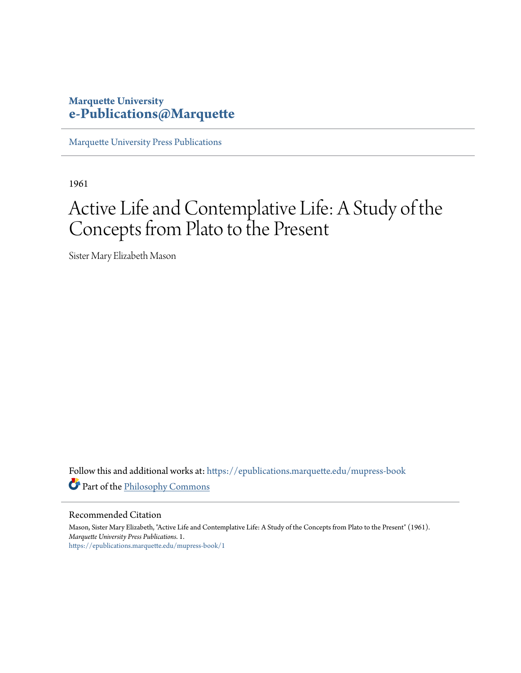#### **Marquette University [e-Publications@Marquette](https://epublications.marquette.edu?utm_source=epublications.marquette.edu%2Fmupress-book%2F1&utm_medium=PDF&utm_campaign=PDFCoverPages)**

[Marquette University Press Publications](https://epublications.marquette.edu/mupress-book?utm_source=epublications.marquette.edu%2Fmupress-book%2F1&utm_medium=PDF&utm_campaign=PDFCoverPages)

1961

## Active Life and Contemplative Life: A Study of the Concepts from Plato to the Present

Sister Mary Elizabeth Mason

Follow this and additional works at: [https://epublications.marquette.edu/mupress-book](https://epublications.marquette.edu/mupress-book?utm_source=epublications.marquette.edu%2Fmupress-book%2F1&utm_medium=PDF&utm_campaign=PDFCoverPages) Part of the [Philosophy Commons](http://network.bepress.com/hgg/discipline/525?utm_source=epublications.marquette.edu%2Fmupress-book%2F1&utm_medium=PDF&utm_campaign=PDFCoverPages)

Recommended Citation

Mason, Sister Mary Elizabeth, "Active Life and Contemplative Life: A Study of the Concepts from Plato to the Present" (1961). *Marquette University Press Publications*. 1. [https://epublications.marquette.edu/mupress-book/1](https://epublications.marquette.edu/mupress-book/1?utm_source=epublications.marquette.edu%2Fmupress-book%2F1&utm_medium=PDF&utm_campaign=PDFCoverPages)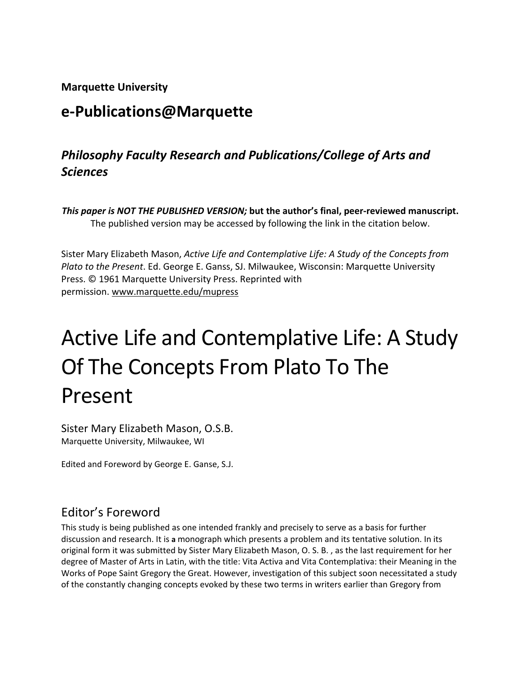**Marquette University**

## **e-Publications@Marquette**

## *Philosophy Faculty Research and Publications/College of Arts and Sciences*

*This paper is NOT THE PUBLISHED VERSION;* **but the author's final, peer-reviewed manuscript.**  The published version may be accessed by following the link in the citation below.

Sister Mary Elizabeth Mason, *Active Life and Contemplative Life: A Study of the Concepts from Plato to the Present*. Ed. George E. Ganss, SJ. Milwaukee, Wisconsin: Marquette University Press. © 1961 Marquette University Press. Reprinted with permission. [www.marquette.edu/mupress](https://www.marquette.edu/mupress/)

# Active Life and Contemplative Life: A Study Of The Concepts From Plato To The Present

Sister Mary Elizabeth Mason, O.S.B. Marquette University, Milwaukee, WI

Edited and Foreword by George E. Ganse, S.J.

## Editor's Foreword

This study is being published as one intended frankly and precisely to serve as a basis for further discussion and research. It is **a** monograph which presents a problem and its tentative solution. In its original form it was submitted by Sister Mary Elizabeth Mason, O. S. B. , as the last requirement for her degree of Master of Arts in Latin, with the title: Vita Activa and Vita Contemplativa: their Meaning in the Works of Pope Saint Gregory the Great. However, investigation of this subject soon necessitated a study of the constantly changing concepts evoked by these two terms in writers earlier than Gregory from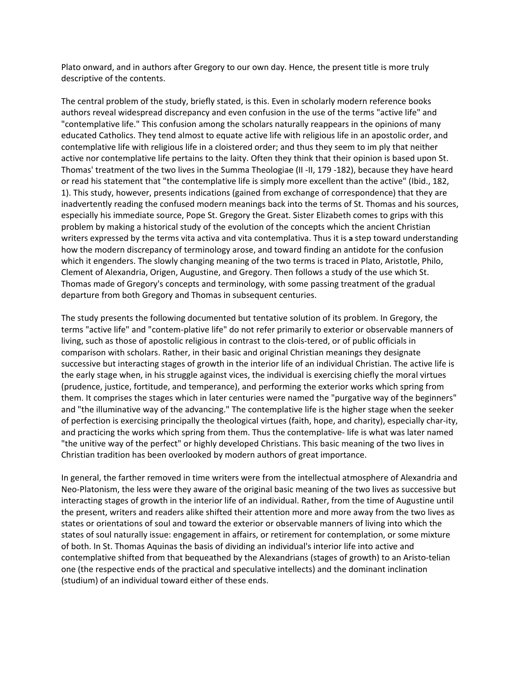Plato onward, and in authors after Gregory to our own day. Hence, the present title is more truly descriptive of the contents.

The central problem of the study, briefly stated, is this. Even in scholarly modern reference books authors reveal widespread discrepancy and even confusion in the use of the terms "active life" and "contemplative life." This confusion among the scholars naturally reappears in the opinions of many educated Catholics. They tend almost to equate active life with religious life in an apostolic order, and contemplative life with religious life in a cloistered order; and thus they seem to im ply that neither active nor contemplative life pertains to the laity. Often they think that their opinion is based upon St. Thomas' treatment of the two lives in the Summa Theologiae (II -II, 179 -182), because they have heard or read his statement that "the contemplative life is simply more excellent than the active" (Ibid., 182, 1). This study, however, presents indications (gained from exchange of correspondence) that they are inadvertently reading the confused modern meanings back into the terms of St. Thomas and his sources, especially his immediate source, Pope St. Gregory the Great. Sister Elizabeth comes to grips with this problem by making a historical study of the evolution of the concepts which the ancient Christian writers expressed by the terms vita activa and vita contemplativa. Thus it is **a** step toward understanding how the modern discrepancy of terminology arose, and toward finding an antidote for the confusion which it engenders. The slowly changing meaning of the two terms is traced in Plato, Aristotle, Philo, Clement of Alexandria, Origen, Augustine, and Gregory. Then follows a study of the use which St. Thomas made of Gregory's concepts and terminology, with some passing treatment of the gradual departure from both Gregory and Thomas in subsequent centuries.

The study presents the following documented but tentative solution of its problem. In Gregory, the terms "active life" and "contem-plative life" do not refer primarily to exterior or observable manners of living, such as those of apostolic religious in contrast to the clois-tered, or of public officials in comparison with scholars. Rather, in their basic and original Christian meanings they designate successive but interacting stages of growth in the interior life of an individual Christian. The active life is the early stage when, in his struggle against vices, the individual is exercising chiefly the moral virtues (prudence, justice, fortitude, and temperance), and performing the exterior works which spring from them. It comprises the stages which in later centuries were named the "purgative way of the beginners" and "the illuminative way of the advancing." The contemplative life is the higher stage when the seeker of perfection is exercising principally the theological virtues (faith, hope, and charity), especially char-ity, and practicing the works which spring from them. Thus the contemplative- life is what was later named "the unitive way of the perfect" or highly developed Christians. This basic meaning of the two lives in Christian tradition has been overlooked by modern authors of great importance.

In general, the farther removed in time writers were from the intellectual atmosphere of Alexandria and Neo-Platonism, the less were they aware of the original basic meaning of the two lives as successive but interacting stages of growth in the interior life of an individual. Rather, from the time of Augustine until the present, writers and readers alike shifted their attention more and more away from the two lives as states or orientations of soul and toward the exterior or observable manners of living into which the states of soul naturally issue: engagement in affairs, or retirement for contemplation, or some mixture of both. In St. Thomas Aquinas the basis of dividing an individual's interior life into active and contemplative shifted from that bequeathed by the Alexandrians (stages of growth) to an Aristo-telian one (the respective ends of the practical and speculative intellects) and the dominant inclination (studium) of an individual toward either of these ends.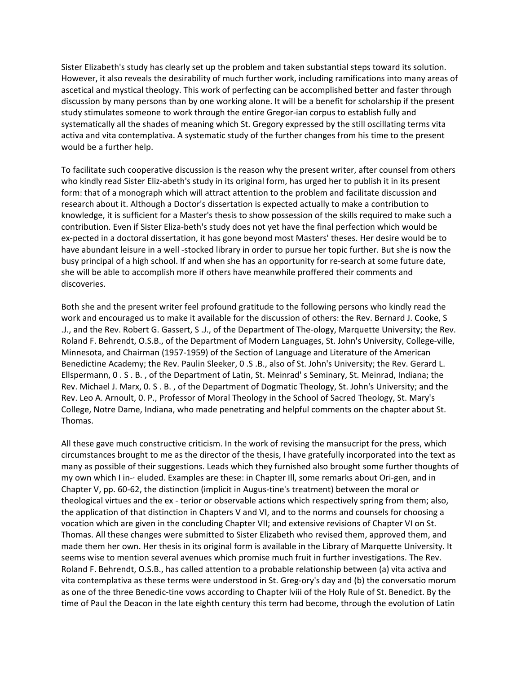Sister Elizabeth's study has clearly set up the problem and taken substantial steps toward its solution. However, it also reveals the desirability of much further work, including ramifications into many areas of ascetical and mystical theology. This work of perfecting can be accomplished better and faster through discussion by many persons than by one working alone. It will be a benefit for scholarship if the present study stimulates someone to work through the entire Gregor-ian corpus to establish fully and systematically all the shades of meaning which St. Gregory expressed by the still oscillating terms vita activa and vita contemplativa. A systematic study of the further changes from his time to the present would be a further help.

To facilitate such cooperative discussion is the reason why the present writer, after counsel from others who kindly read Sister Eliz-abeth's study in its original form, has urged her to publish it in its present form: that of a monograph which will attract attention to the problem and facilitate discussion and research about it. Although a Doctor's dissertation is expected actually to make a contribution to knowledge, it is sufficient for a Master's thesis to show possession of the skills required to make such a contribution. Even if Sister Eliza-beth's study does not yet have the final perfection which would be ex-pected in a doctoral dissertation, it has gone beyond most Masters' theses. Her desire would be to have abundant leisure in a well -stocked library in order to pursue her topic further. But she is now the busy principal of a high school. If and when she has an opportunity for re-search at some future date, she will be able to accomplish more if others have meanwhile proffered their comments and discoveries.

Both she and the present writer feel profound gratitude to the following persons who kindly read the work and encouraged us to make it available for the discussion of others: the Rev. Bernard J. Cooke, S .J., and the Rev. Robert G. Gassert, S .J., of the Department of The-ology, Marquette University; the Rev. Roland F. Behrendt, O.S.B., of the Department of Modern Languages, St. John's University, College-ville, Minnesota, and Chairman (1957-1959) of the Section of Language and Literature of the American Benedictine Academy; the Rev. Paulin Sleeker, 0 .S .B., also of St. John's University; the Rev. Gerard L. Ellspermann, 0 . S . B. , of the Department of Latin, St. Meinrad' s Seminary, St. Meinrad, Indiana; the Rev. Michael J. Marx, 0. S . B. , of the Department of Dogmatic Theology, St. John's University; and the Rev. Leo A. Arnoult, 0. P., Professor of Moral Theology in the School of Sacred Theology, St. Mary's College, Notre Dame, Indiana, who made penetrating and helpful comments on the chapter about St. Thomas.

All these gave much constructive criticism. In the work of revising the mansucript for the press, which circumstances brought to me as the director of the thesis, I have gratefully incorporated into the text as many as possible of their suggestions. Leads which they furnished also brought some further thoughts of my own which I in-· eluded. Examples are these: in Chapter Ill, some remarks about Ori-gen, and in Chapter V, pp. 60-62, the distinction (implicit in Augus-tine's treatment) between the moral or theological virtues and the ex - terior or observable actions which respectively spring from them; also, the application of that distinction in Chapters V and VI, and to the norms and counsels for choosing a vocation which are given in the concluding Chapter VII; and extensive revisions of Chapter VI on St. Thomas. All these changes were submitted to Sister Elizabeth who revised them, approved them, and made them her own. Her thesis in its original form is available in the Library of Marquette University. It seems wise to mention several avenues which promise much fruit in further investigations. The Rev. Roland F. Behrendt, O.S.B., has called attention to a probable relationship between (a) vita activa and vita contemplativa as these terms were understood in St. Greg-ory's day and (b) the conversatio morum as one of the three Benedic-tine vows according to Chapter lviii of the Holy Rule of St. Benedict. By the time of Paul the Deacon in the late eighth century this term had become, through the evolution of Latin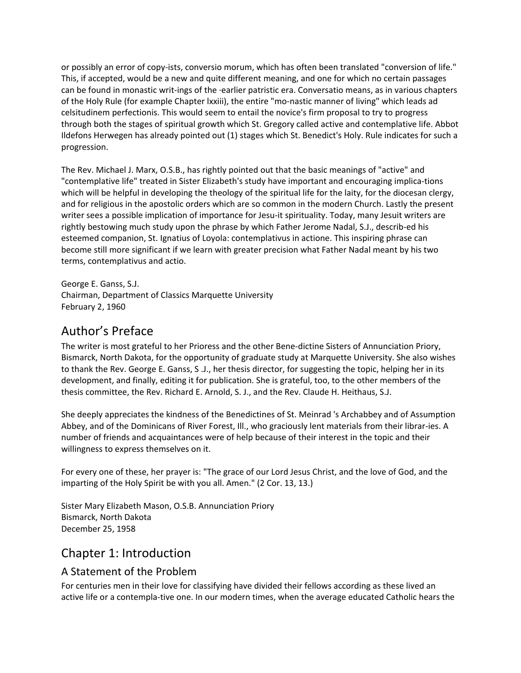or possibly an error of copy-ists, conversio morum, which has often been translated "conversion of life." This, if accepted, would be a new and quite different meaning, and one for which no certain passages can be found in monastic writ-ings of the ·earlier patristic era. Conversatio means, as in various chapters of the Holy Rule (for example Chapter lxxiii), the entire "mo-nastic manner of living" which leads ad celsitudinem perfectionis. This would seem to entail the novice's firm proposal to try to progress through both the stages of spiritual growth which St. Gregory called active and contemplative life. Abbot Ildefons Herwegen has already pointed out (1) stages which St. Benedict's Holy. Rule indicates for such a progression.

The Rev. Michael J. Marx, O.S.B., has rightly pointed out that the basic meanings of "active" and "contemplative life" treated in Sister Elizabeth's study have important and encouraging implica-tions which will be helpful in developing the theology of the spiritual life for the laity, for the diocesan clergy, and for religious in the apostolic orders which are so common in the modern Church. Lastly the present writer sees a possible implication of importance for Jesu-it spirituality. Today, many Jesuit writers are rightly bestowing much study upon the phrase by which Father Jerome Nadal, S.J., describ-ed his esteemed companion, St. Ignatius of Loyola: contemplativus in actione. This inspiring phrase can become still more significant if we learn with greater precision what Father Nadal meant by his two terms, contemplativus and actio.

George E. Ganss, S.J. Chairman, Department of Classics Marquette University February 2, 1960

## Author's Preface

The writer is most grateful to her Prioress and the other Bene-dictine Sisters of Annunciation Priory, Bismarck, North Dakota, for the opportunity of graduate study at Marquette University. She also wishes to thank the Rev. George E. Ganss, S .J., her thesis director, for suggesting the topic, helping her in its development, and finally, editing it for publication. She is grateful, too, to the other members of the thesis committee, the Rev. Richard E. Arnold, S. J., and the Rev. Claude H. Heithaus, S.J.

She deeply appreciates the kindness of the Benedictines of St. Meinrad 's Archabbey and of Assumption Abbey, and of the Dominicans of River Forest, Ill., who graciously lent materials from their librar-ies. A number of friends and acquaintances were of help because of their interest in the topic and their willingness to express themselves on it.

For every one of these, her prayer is: "The grace of our Lord Jesus Christ, and the love of God, and the imparting of the Holy Spirit be with you all. Amen." (2 Cor. 13, 13.)

Sister Mary Elizabeth Mason, O.S.B. Annunciation Priory Bismarck, North Dakota December 25, 1958

## Chapter 1: Introduction

#### A Statement of the Problem

For centuries men in their love for classifying have divided their fellows according as these lived an active life or a contempla-tive one. In our modern times, when the average educated Catholic hears the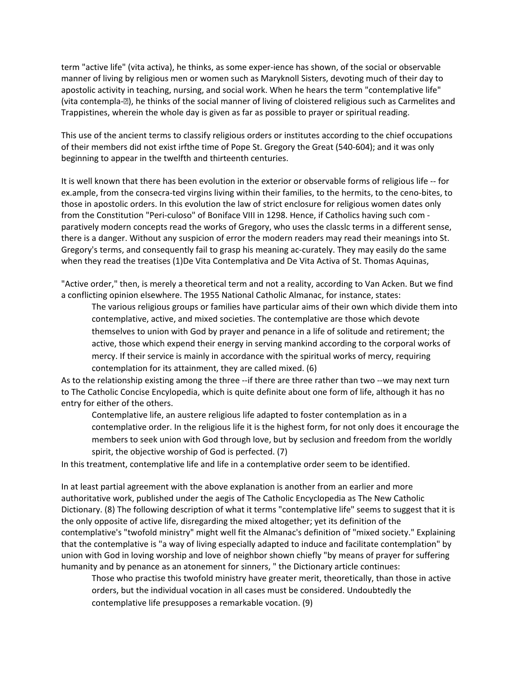term "active life" (vita activa), he thinks, as some exper-ience has shown, of the social or observable manner of living by religious men or women such as Maryknoll Sisters, devoting much of their day to apostolic activity in teaching, nursing, and social work. When he hears the term "contemplative life" (vita contempla-�), he thinks of the social manner of living of cloistered religious such as Carmelites and Trappistines, wherein the whole day is given as far as possible to prayer or spiritual reading.

This use of the ancient terms to classify religious orders or institutes according to the chief occupations of their members did not exist irfthe time of Pope St. Gregory the Great (540-604); and it was only beginning to appear in the twelfth and thirteenth centuries.

It is well known that there has been evolution in the exterior or observable forms of religious life -- for ex.ample, from the consecra-ted virgins living within their families, to the hermits, to the ceno-bites, to those in apostolic orders. In this evolution the law of strict enclosure for religious women dates only from the Constitution "Peri-culoso" of Boniface VIII in 1298. Hence, if Catholics having such com paratively modern concepts read the works of Gregory, who uses the classlc terms in a different sense, there is a danger. Without any suspicion of error the modern readers may read their meanings into St. Gregory's terms, and consequently fail to grasp his meaning ac-curately. They may easily do the same when they read the treatises (1)De Vita Contemplativa and De Vita Activa of St. Thomas Aquinas,

"Active order," then, is merely a theoretical term and not a reality, according to Van Acken. But we find a conflicting opinion elsewhere. The 1955 National Catholic Almanac, for instance, states:

The various religious groups or families have particular aims of their own which divide them into contemplative, active, and mixed societies. The contemplative are those which devote themselves to union with God by prayer and penance in a life of solitude and retirement; the active, those which expend their energy in serving mankind according to the corporal works of mercy. If their service is mainly in accordance with the spiritual works of mercy, requiring contemplation for its attainment, they are called mixed. (6)

As to the relationship existing among the three --if there are three rather than two --we may next turn to The Catholic Concise Encylopedia, which is quite definite about one form of life, although it has no entry for either of the others.

Contemplative life, an austere religious life adapted to foster contemplation as in a contemplative order. In the religious life it is the highest form, for not only does it encourage the members to seek union with God through love, but by seclusion and freedom from the worldly spirit, the objective worship of God is perfected. (7)

In this treatment, contemplative life and life in a contemplative order seem to be identified.

In at least partial agreement with the above explanation is another from an earlier and more authoritative work, published under the aegis of The Catholic Encyclopedia as The New Catholic Dictionary. (8) The following description of what it terms "contemplative life" seems to suggest that it is the only opposite of active life, disregarding the mixed altogether; yet its definition of the contemplative's "twofold ministry" might well fit the Almanac's definition of "mixed society." Explaining that the contemplative is "a way of living especially adapted to induce and facilitate contemplation" by union with God in loving worship and love of neighbor shown chiefly "by means of prayer for suffering humanity and by penance as an atonement for sinners, " the Dictionary article continues:

Those who practise this twofold ministry have greater merit, theoretically, than those in active orders, but the individual vocation in all cases must be considered. Undoubtedly the contemplative life presupposes a remarkable vocation. (9)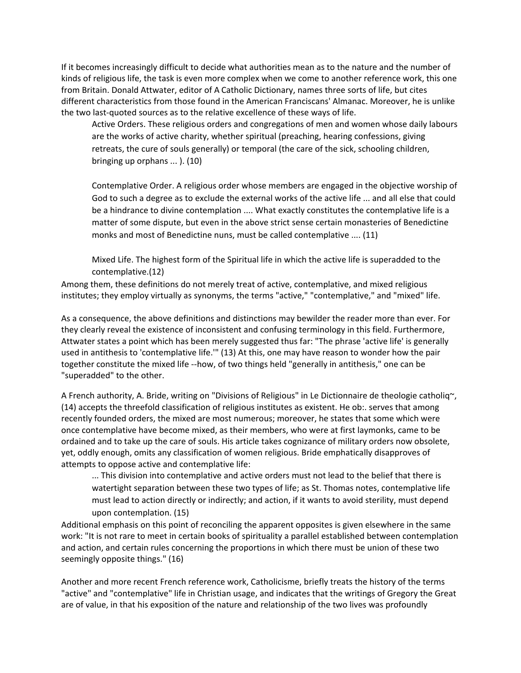If it becomes increasingly difficult to decide what authorities mean as to the nature and the number of kinds of religious life, the task is even more complex when we come to another reference work, this one from Britain. Donald Attwater, editor of A Catholic Dictionary, names three sorts of life, but cites different characteristics from those found in the American Franciscans' Almanac. Moreover, he is unlike the two last-quoted sources as to the relative excellence of these ways of life.

Active Orders. These religious orders and congregations of men and women whose daily labours are the works of active charity, whether spiritual (preaching, hearing confessions, giving retreats, the cure of souls generally) or temporal (the care of the sick, schooling children, bringing up orphans ... ). (10)

Contemplative Order. A religious order whose members are engaged in the objective worship of God to such a degree as to exclude the external works of the active life ... and all else that could be a hindrance to divine contemplation .... What exactly constitutes the contemplative life is a matter of some dispute, but even in the above strict sense certain monasteries of Benedictine monks and most of Benedictine nuns, must be called contemplative .... (11)

Mixed Life. The highest form of the Spiritual life in which the active life is superadded to the contemplative.(12)

Among them, these definitions do not merely treat of active, contemplative, and mixed religious institutes; they employ virtually as synonyms, the terms "active," "contemplative," and "mixed" life.

As a consequence, the above definitions and distinctions may bewilder the reader more than ever. For they clearly reveal the existence of inconsistent and confusing terminology in this field. Furthermore, Attwater states a point which has been merely suggested thus far: "The phrase 'active life' is generally used in antithesis to 'contemplative life.'" (13) At this, one may have reason to wonder how the pair together constitute the mixed life --how, of two things held "generally in antithesis," one can be "superadded" to the other.

A French authority, A. Bride, writing on "Divisions of Religious" in Le Dictionnaire de theologie catholiq~, (14) accepts the threefold classification of religious institutes as existent. He ob:. serves that among recently founded orders, the mixed are most numerous; moreover, he states that some which were once contemplative have become mixed, as their members, who were at first laymonks, came to be ordained and to take up the care of souls. His article takes cognizance of military orders now obsolete, yet, oddly enough, omits any classification of women religious. Bride emphatically disapproves of attempts to oppose active and contemplative life:

... This division into contemplative and active orders must not lead to the belief that there is watertight separation between these two types of life; as St. Thomas notes, contemplative life must lead to action directly or indirectly; and action, if it wants to avoid sterility, must depend upon contemplation. (15)

Additional emphasis on this point of reconciling the apparent opposites is given elsewhere in the same work: "It is not rare to meet in certain books of spirituality a parallel established between contemplation and action, and certain rules concerning the proportions in which there must be union of these two seemingly opposite things." (16)

Another and more recent French reference work, Catholicisme, briefly treats the history of the terms "active" and "contemplative" life in Christian usage, and indicates that the writings of Gregory the Great are of value, in that his exposition of the nature and relationship of the two lives was profoundly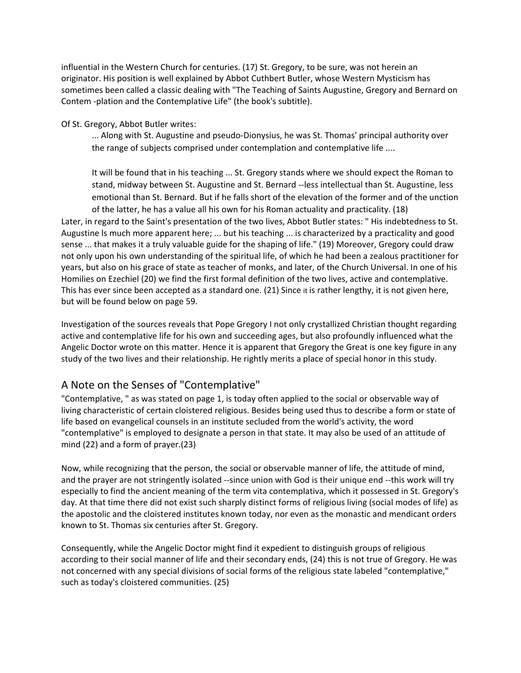influential in the Western Church for centuries. (17) St. Gregory, to be sure, was not herein an originator. His position is well explained by Abbot Cuthbert Butler, whose Western Mysticism has sometimes been called a classic dealing with "The Teaching of Saints Augustine, Gregory and Bernard on Contem -plation and the Contemplative Life" (the book's subtitle).

Of St. Gregory, Abbot Butler writes:

... Along with St. Augustine and pseudo-Dionysius, he was St. Thomas' principal authority over the range of subjects comprised under contemplation and contemplative life ....

It will be found that in his teaching ... St. Gregory stands where we should expect the Roman to stand, midway between St. Augustine and St. Bernard --less intellectual than St. Augustine, less emotional than St. Bernard. But if he falls short of the elevation of the former and of the unction of the latter, he has a value all his own for his Roman actuality and practicality. (18)

Later, in regard to the Saint's presentation of the two lives, Abbot Butler states: " His indebtedness to St. Augustine ls much more apparent here; ... but his teaching ... is characterized by a practicality and good sense ... that makes it a truly valuable guide for the shaping of life." (19) Moreover, Gregory could draw not only upon his own understanding of the spiritual life, of which he had been a zealous practitioner for years, but also on his grace of state as teacher of monks, and later, of the Church Universal. In one of his Homilies on Ezechiel (20) we find the first formal definition of the two lives, active and contemplative. This has ever since been accepted as a standard one. (21) Since it is rather lengthy, it is not given here, but will be found below on page 59.

Investigation of the sources reveals that Pope Gregory I not only crystallized Christian thought regarding active and contemplative life for his own and succeeding ages, but also profoundly influenced what the Angelic Doctor wrote on this matter. Hence it is apparent that Gregory the Great is one key figure in any study of the two lives and their relationship. He rightly merits a place of special honor in this study.

#### A Note on the Senses of "Contemplative"

"Contemplative, " as was stated on page 1, is today often applied to the social or observable way of living characteristic of certain cloistered religious. Besides being used thus to describe a form or state of life based on evangelical counsels in an institute secluded from the world's activity, the word "contemplative" is employed to designate a person in that state. It may also be used of an attitude of mind (22) and a form of prayer.(23)

Now, while recognizing that the person, the social or observable manner of life, the attitude of mind, and the prayer are not stringently isolated --since union with God is their unique end --this work will try especially to find the ancient meaning of the term vita contemplativa, which it possessed in St. Gregory's day. At that time there did not exist such sharply distinct forms of religious living (social modes of life) as the apostolic and the cloistered institutes known today, nor even as the monastic and mendicant orders known to St. Thomas six centuries after St. Gregory.

Consequently, while the Angelic Doctor might find it expedient to distinguish groups of religious according to their social manner of life and their secondary ends, (24) this is not true of Gregory. He was not concerned with any special divisions of social forms of the religious state labeled "contemplative," such as today's cloistered communities. (25)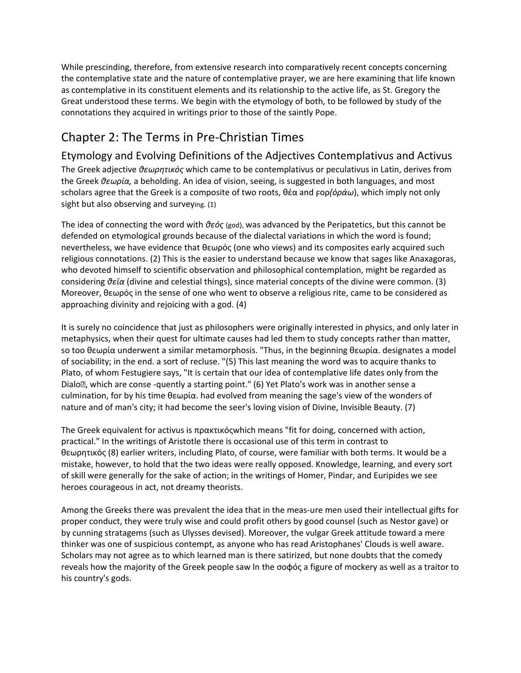While prescinding, therefore, from extensive research into comparatively recent concepts concerning the contemplative state and the nature of contemplative prayer, we are here examining that life known as contemplative in its constituent elements and its relationship to the active life, as St. Gregory the Great understood these terms. We begin with the etymology of both, to be followed by study of the connotations they acquired in writings prior to those of the saintly Pope.

## Chapter 2: The Terms in Pre-Christian Times

Etymology and Evolving Definitions of the Adjectives Contemplativus and Activus The Greek adjective *θεωρητικός* which came to be contemplativus or peculativus in Latin, derives from the Greek *θεωρία,* a beholding. An idea of vision, seeing, is suggested in both languages, and most scholars agree that the Greek is a composite of two roots, θέα and ϝορ*(όράω*), which imply not only sight but also observing and surveying. (1)

The idea of connecting the word with *θεός* (god), was advanced by the Peripatetics, but this cannot be defended on etymological grounds because of the dialectal variations in which the word is found; nevertheless, we have evidence that θεωρός (one who views) and its composites early acquired such religious connotations. (2) This is the easier to understand because we know that sages like Anaxagoras, who devoted himself to scientific observation and philosophical contemplation, might be regarded as considering *θεῑα* (divine and celestial things), since material concepts of the divine were common. (3) Moreover, θεωρός in the sense of one who went to observe a religious rite, came to be considered as approaching divinity and rejoicing with a god. (4)

It is surely no coincidence that just as philosophers were originally interested in physics, and only later in metaphysics, when their quest for ultimate causes had led them to study concepts rather than matter, so too θεωρία underwent a similar metamorphosis. "Thus, in the beginning θεωρία. designates a model of sociability; in the end. a sort of recluse. "(5) This last meaning the word was to acquire thanks to Plato, of whom Festugiere says, "It is certain that our idea of contemplative life dates only from the Dialo<sup>n</sup>, which are conse -quently a starting point." (6) Yet Plato's work was in another sense a culmination, for by his time θεωρία. had evolved from meaning the sage's view of the wonders of nature and of man's city; it had become the seer's loving vision of Divine, Invisible Beauty. (7)

The Greek equivalent for activus is πρακτικόςwhich means "fit for doing, concerned with action, practical." In the writings of Aristotle there is occasional use of this term in contrast to θεωρητικός (8) earlier writers, including Plato, of course, were familiar with both terms. It would be a mistake, however, to hold that the two ideas were really opposed. Knowledge, learning, and every sort of skill were generally for the sake of action; in the writings of Homer, Pindar, and Euripides we see heroes courageous in act, not dreamy theorists.

Among the Greeks there was prevalent the idea that in the meas-ure men used their intellectual gifts for proper conduct, they were truly wise and could profit others by good counsel (such as Nestor gave) or by cunning stratagems (such as Ulysses devised). Moreover, the vulgar Greek attitude toward a mere thinker was one of suspicious contempt, as anyone who has read Aristophanes' Clouds is well aware. Scholars may not agree as to which learned man is there satirized, but none doubts that the comedy reveals how the majority of the Greek people saw ln the σοφός a figure of mockery as well as a traitor to his country's gods.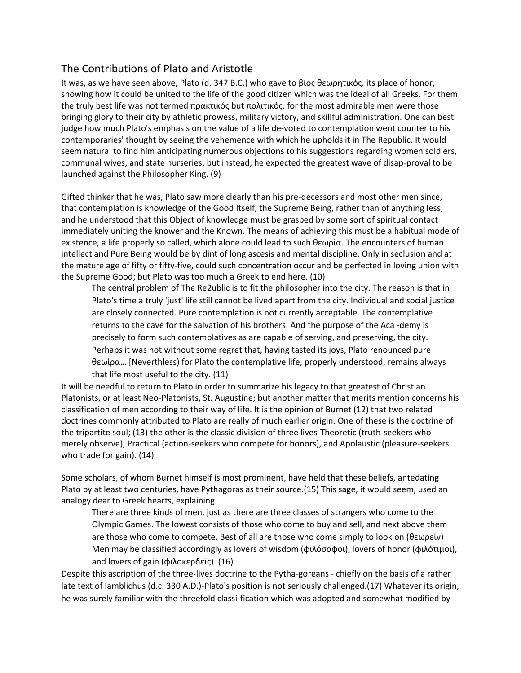#### The Contributions of Plato and Aristotle

It was, as we have seen above, Plato (d. 347 B.C.) who gave to βίος θεωρητικός. its place of honor, showing how it could be united to the life of the good citizen which was the ideal of all Greeks. For them the truly best life was not termed πρακτικός but πολιτικός, for the most admirable men were those bringing glory to their city by athletic prowess, military victory, and skillful administration. One can best judge how much Plato's emphasis on the value of a life de-voted to contemplation went counter to his contemporaries' thought by seeing the vehemence with which he upholds it in The Republic. It would seem natural to find him anticipating numerous objections to his suggestions regarding women soldiers, communal wives, and state nurseries; but instead, he expected the greatest wave of disap-proval to be launched against the Philosopher King. (9)

Gifted thinker that he was, Plato saw more clearly than his pre-decessors and most other men since, that contemplation is knowledge of the Good Itself, the Supreme Being, rather than of anything less; and he understood that this Object of knowledge must be grasped by some sort of spiritual contact immediately uniting the knower and the Known. The means of achieving this must be a habitual mode of existence, a life properly so called, which alone could lead to such θεωρία. The encounters of human intellect and Pure Being would be by dint of long ascesis and mental discipline. Only in seclusion and at the mature age of fifty or fifty-five, could such concentration occur and be perfected in loving union with the Supreme Good; but Plato was too much a Greek to end here. (10)

The central problem of The Re2ublic is to fit the philosopher into the city. The reason is that in Plato's time a truly 'just' life still cannot be lived apart from the city. Individual and social justice are closely connected. Pure contemplation is not currently acceptable. The contemplative returns to the cave for the salvation of his brothers. And the purpose of the Aca -demy is precisely to form such contemplatives as are capable of serving, and preserving, the city. Perhaps it was not without some regret that, having tasted its joys, Plato renounced pure θεωίρα… [Neverthless) for Plato the contemplative life, properly understood, remains always that life most useful to the city. (11)

It will be needful to return to Plato in order to summarize his legacy to that greatest of Christian Platonists, or at least Neo-Platonists, St. Augustine; but another matter that merits mention concerns his classification of men according to their way of life. It is the opinion of Burnet (12) that two related doctrines commonly attributed to Plato are really of much earlier origin. One of these is the doctrine of the tripartite soul; (13) the other is the classic division of three lives-Theoretic (truth-seekers who merely observe), Practical (action-seekers who compete for honors), and Apolaustic (pleasure-seekers who trade for gain). (14)

Some scholars, of whom Burnet himself is most prominent, have held that these beliefs, antedating Plato by at least two centuries, have Pythagoras as their source.(15) This sage, it would seem, used an analogy dear to Greek hearts, explaining:

There are three kinds of men, just as there are three classes of strangers who come to the Olympic Games. The lowest consists of those who come to buy and sell, and next above them are those who come to compete. Best of all are those who come simply to look on (θεωρεῖν) Men may be classified accordingly as lovers of wisdom (φιλόσοφοι), lovers of honor (φιλότιμοι), and lovers of gain (φιλοκερδείς). (16)

Despite this ascription of the three-lives doctrine to the Pytha-goreans - chiefly on the basis of a rather late text of Iamblichus (d.c. 330 A.D.)-Plato's position is not seriously challenged.(17) Whatever its origin, he was surely familiar with the threefold classi-fication which was adopted and somewhat modified by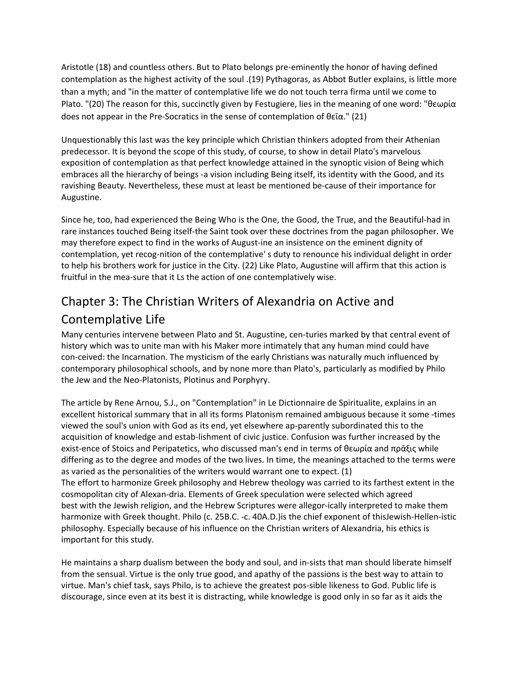Aristotle (18) and countless others. But to Plato belongs pre-eminently the honor of having defined contemplation as the highest activity of the soul .(19) Pythagoras, as Abbot Butler explains, is little more than a myth; and "in the matter of contemplative life we do not touch terra firma until we come to Plato. "(20) The reason for this, succinctly given by Festugiere, lies in the meaning of one word: "θεωρία does not appear in the Pre-Socratics in the sense of contemplation of θεΐα." (21)

Unquestionably this last was the key principle which Christian thinkers adopted from their Athenian predecessor. It is beyond the scope of this study, of course, to show in detail Plato's marvelous exposition of contemplation as that perfect knowledge attained in the synoptic vision of Being which embraces all the hierarchy of beings -a vision including Being itself, its identity with the Good, and its ravishing Beauty. Nevertheless, these must at least be mentioned be-cause of their importance for Augustine.

Since he, too, had experienced the Being Who is the One, the Good, the True, and the Beautiful-had in rare instances touched Being itself-the Saint took over these doctrines from the pagan philosopher. We may therefore expect to find in the works of August-ine an insistence on the eminent dignity of contemplation, yet recog-nition of the contemplative' s duty to renounce his individual delight in order to help his brothers work for justice in the City. (22) Like Plato, Augustine will affirm that this action is fruitful in the mea-sure that it Ls the action of one contemplatively wise.

## Chapter 3: The Christian Writers of Alexandria on Active and Contemplative Life

Many centuries intervene between Plato and St. Augustine, cen-turies marked by that central event of history which was to unite man with his Maker more intimately that any human mind could have con-ceived: the Incarnation. The mysticism of the early Christians was naturally much influenced by contemporary philosophical schools, and by none more than Plato's, particularly as modified by Philo the Jew and the Neo-Platonists, Plotinus and Porphyry.

The article by Rene Arnou, S.J., on "Contemplation" in Le Dictionnaire de Spiritualite, explains in an excellent historical summary that in all its forms Platonism remained ambiguous because it some -times viewed the soul's union with God as its end, yet elsewhere ap-parently subordinated this to the acquisition of knowledge and estab-lishment of civic justice. Confusion was further increased by the exist-ence of Stoics and Peripatetics, who discussed man's end in terms of θεωρία and πρᾱξις while differing as to the degree and modes of the two lives. In time, the meanings attached to the terms were as varied as the personalities of the writers would warrant one to expect. (1) The effort to harmonize Greek philosophy and Hebrew theology was carried to its farthest extent in the cosmopolitan city of Alexan-dria. Elements of Greek speculation were selected which agreed best with the Jewish religion, and the Hebrew Scriptures were allegor-ically interpreted to make them harmonize with Greek thought. Philo (c. 25B.C. -c. 40A.D.)is the chief exponent of thisJewish-Hellen-istic philosophy. Especially because of his influence on the Christian writers of Alexandria, his ethics is important for this study.

He maintains a sharp dualism between the body and soul, and in-sists that man should liberate himself from the sensual. Virtue is the only true good, and apathy of the passions is the best way to attain to virtue. Man's chief task, says Philo, is to achieve the greatest pos-sible likeness to God. Public life is discourage, since even at its best it is distracting, while knowledge is good only in so far as it aids the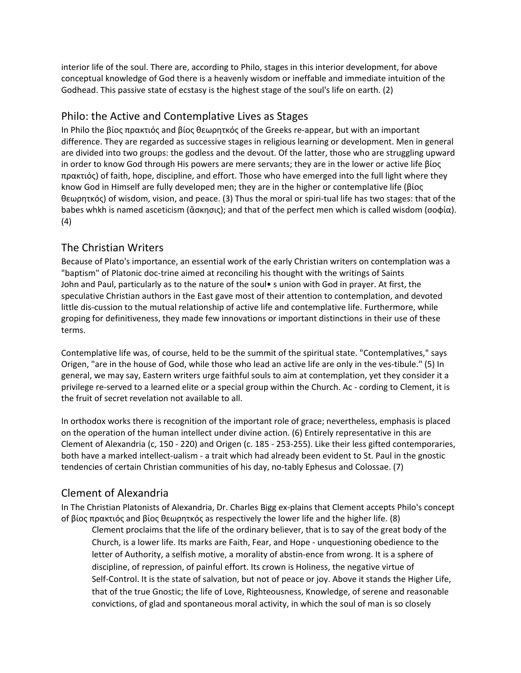interior life of the soul. There are, according to Philo, stages in this interior development, for above conceptual knowledge of God there is a heavenly wisdom or ineffable and immediate intuition of the Godhead. This passive state of ecstasy is the highest stage of the soul's life on earth. (2)

#### Philo: the Active and Contemplative Lives as Stages

In Philo the βίος πρακτιός and βίος θεωρητκός of the Greeks re-appear, but with an important difference. They are regarded as successive stages in religious learning or development. Men in general are divided into two groups: the godless and the devout. Of the latter, those who are struggling upward in order to know God through His powers are mere servants; they are in the lower or active life βίος πρακτιός) of faith, hope, discipline, and effort. Those who have emerged into the full light where they know God in Himself are fully developed men; they are in the higher or contemplative life (βίος θεωρητκός) of wisdom, vision, and peace. (3) Thus the moral or spiri-tual life has two stages: that of the babes whkh is named asceticism (ἄσκησις); and that of the perfect men which is called wisdom (σοφία). (4)

#### The Christian Writers

Because of Plato's importance, an essential work of the early Christian writers on contemplation was a "baptism" of Platonic doc-trine aimed at reconciling his thought with the writings of Saints John and Paul, particularly as to the nature of the soul• s union with God in prayer. At first, the speculative Christian authors in the East gave most of their attention to contemplation, and devoted little dis-cussion to the mutual relationship of active life and contemplative life. Furthermore, while groping for definitiveness, they made few innovations or important distinctions in their use of these terms.

Contemplative life was, of course, held to be the summit of the spiritual state. "Contemplatives," says Origen, "are in the house of God, while those who lead an active life are only in the ves-tibule." (5) In general, we may say, Eastern writers urge faithful souls to aim at contemplation, yet they consider it a privilege re-served to a learned elite or a special group within the Church. Ac - cording to Clement, it is the fruit of secret revelation not available to all.

In orthodox works there is recognition of the important role of grace; nevertheless, emphasis is placed on the operation of the human intellect under divine action. (6) Entirely representative in this are Clement of Alexandria (c, 150 - 220) and Origen (c. 185 - 253-255). Like their less gifted contemporaries, both have a marked intellect-ualism - a trait which had already been evident to St. Paul in the gnostic tendencies of certain Christian communities of his day, no-tably Ephesus and Colossae. (7)

#### Clement of Alexandria

In The Christian Platonists of Alexandria, Dr. Charles Bigg ex-plains that Clement accepts Philo's concept of βίος πρακτιός and βίος θεωρητκός as respectively the lower life and the higher life. (8)

Clement proclaims that the life of the ordinary believer, that is to say of the great body of the Church, is a lower life. Its marks are Faith, Fear, and Hope - unquestioning obedience to the letter of Authority, a selfish motive, a morality of abstin-ence from wrong. It is a sphere of discipline, of repression, of painful effort. Its crown is Holiness, the negative virtue of Self-Control. It is the state of salvation, but not of peace or joy. Above it stands the Higher Life, that of the true Gnostic; the life of Love, Righteousness, Knowledge, of serene and reasonable convictions, of glad and spontaneous moral activity, in which the soul of man is so closely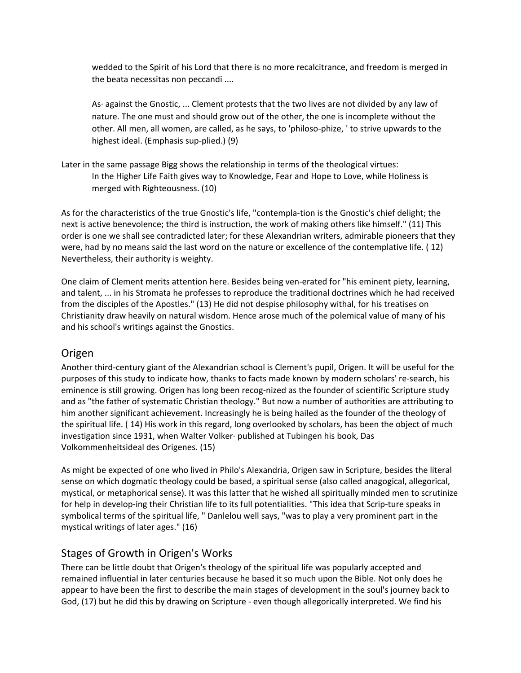wedded to the Spirit of his Lord that there is no more recalcitrance, and freedom is merged in the beata necessitas non peccandi ....

As· against the Gnostic, ... Clement protests that the two lives are not divided by any law of nature. The one must and should grow out of the other, the one is incomplete without the other. All men, all women, are called, as he says, to 'philoso-phize, ' to strive upwards to the highest ideal. (Emphasis sup-plied.) (9)

Later in the same passage Bigg shows the relationship in terms of the theological virtues: In the Higher Life Faith gives way to Knowledge, Fear and Hope to Love, while Holiness is merged with Righteousness. (10)

As for the characteristics of the true Gnostic's life, "contempla-tion is the Gnostic's chief delight; the next is active benevolence; the third is instruction, the work of making others like himself." (11) This order is one we shall see contradicted later; for these Alexandrian writers, admirable pioneers that they were, had by no means said the last word on the nature or excellence of the contemplative life. ( 12) Nevertheless, their authority is weighty.

One claim of Clement merits attention here. Besides being ven-erated for "his eminent piety, learning, and talent, ... in his Stromata he professes to reproduce the traditional doctrines which he had received from the disciples of the Apostles." (13) He did not despise philosophy withal, for his treatises on Christianity draw heavily on natural wisdom. Hence arose much of the polemical value of many of his and his school's writings against the Gnostics.

#### Origen

Another third-century giant of the Alexandrian school is Clement's pupil, Origen. It will be useful for the purposes of this study to indicate how, thanks to facts made known by modern scholars' re-search, his eminence is still growing. Origen has long been recog-nized as the founder of scientific Scripture study and as "the father of systematic Christian theology." But now a number of authorities are attributing to him another significant achievement. Increasingly he is being hailed as the founder of the theology of the spiritual life. ( 14) His work in this regard, long overlooked by scholars, has been the object of much investigation since 1931, when Walter Volker· published at Tubingen his book, Das Volkommenheitsideal des Origenes. (15)

As might be expected of one who lived in Philo's Alexandria, Origen saw in Scripture, besides the literal sense on which dogmatic theology could be based, a spiritual sense (also called anagogical, allegorical, mystical, or metaphorical sense). It was this latter that he wished all spiritually minded men to scrutinize for help in develop-ing their Christian life to its full potentialities. "This idea that Scrip-ture speaks in symbolical terms of the spiritual life, " Danlelou well says, "was to play a very prominent part in the mystical writings of later ages." (16)

#### Stages of Growth in Origen's Works

There can be little doubt that Origen's theology of the spiritual life was popularly accepted and remained influential in later centuries because he based it so much upon the Bible. Not only does he appear to have been the first to describe the main stages of development in the soul's journey back to God, (17) but he did this by drawing on Scripture - even though allegorically interpreted. We find his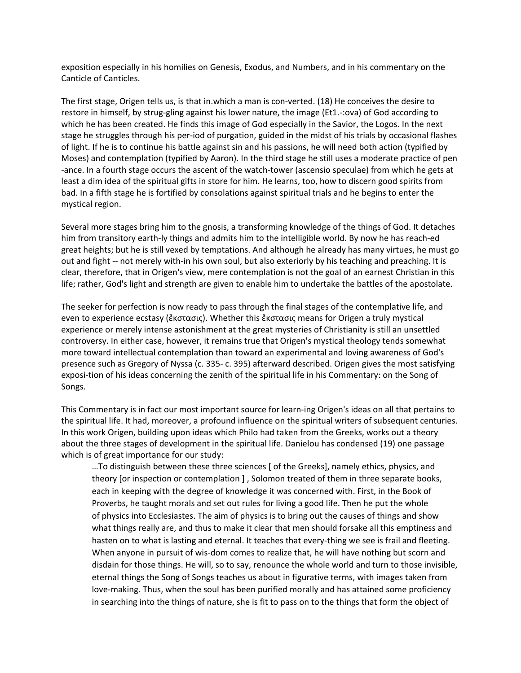exposition especially in his homilies on Genesis, Exodus, and Numbers, and in his commentary on the Canticle of Canticles.

The first stage, Origen tells us, is that in.which a man is con-verted. (18) He conceives the desire to restore in himself, by strug-gling against his lower nature, the image (Et1.-:ova) of God according to which he has been created. He finds this image of God especially in the Savior, the Logos. In the next stage he struggles through his per-iod of purgation, guided in the midst of his trials by occasional flashes of light. If he is to continue his battle against sin and his passions, he will need both action (typified by Moses) and contemplation (typified by Aaron). In the third stage he still uses a moderate practice of pen -ance. In a fourth stage occurs the ascent of the watch-tower (ascensio speculae) from which he gets at least a dim idea of the spiritual gifts in store for him. He learns, too, how to discern good spirits from bad. In a fifth stage he is fortified by consolations against spiritual trials and he begins to enter the mystical region.

Several more stages bring him to the gnosis, a transforming knowledge of the things of God. It detaches him from transitory earth-ly things and admits him to the intelligible world. By now he has reach-ed great heights; but he is still vexed by temptations. And although he already has many virtues, he must go out and fight -- not merely with-in his own soul, but also exteriorly by his teaching and preaching. It is clear, therefore, that in Origen's view, mere contemplation is not the goal of an earnest Christian in this life; rather, God's light and strength are given to enable him to undertake the battles of the apostolate.

The seeker for perfection is now ready to pass through the final stages of the contemplative life, and even to experience ecstasy (ἔκστασις). Whether this ἔκστασις means for Origen a truly mystical experience or merely intense astonishment at the great mysteries of Christianity is still an unsettled controversy. In either case, however, it remains true that Origen's mystical theology tends somewhat more toward intellectual contemplation than toward an experimental and loving awareness of God's presence such as Gregory of Nyssa (c. 335- c. 395) afterward described. Origen gives the most satisfying exposi-tion of his ideas concerning the zenith of the spiritual life in his Commentary: on the Song of Songs.

This Commentary is in fact our most important source for learn-ing Origen's ideas on all that pertains to the spiritual life. It had, moreover, a profound influence on the spiritual writers of subsequent centuries. In this work Origen, building upon ideas which Philo had taken from the Greeks, works out a theory about the three stages of development in the spiritual life. Danielou has condensed (19) one passage which is of great importance for our study:

…To distinguish between these three sciences [ of the Greeks], namely ethics, physics, and theory [or inspection or contemplation ] , Solomon treated of them in three separate books, each in keeping with the degree of knowledge it was concerned with. First, in the Book of Proverbs, he taught morals and set out rules for living a good life. Then he put the whole of physics into Ecclesiastes. The aim of physics is to bring out the causes of things and show what things really are, and thus to make it clear that men should forsake all this emptiness and hasten on to what is lasting and eternal. It teaches that every-thing we see is frail and fleeting. When anyone in pursuit of wis-dom comes to realize that, he will have nothing but scorn and disdain for those things. He will, so to say, renounce the whole world and turn to those invisible, eternal things the Song of Songs teaches us about in figurative terms, with images taken from love-making. Thus, when the soul has been purified morally and has attained some proficiency in searching into the things of nature, she is fit to pass on to the things that form the object of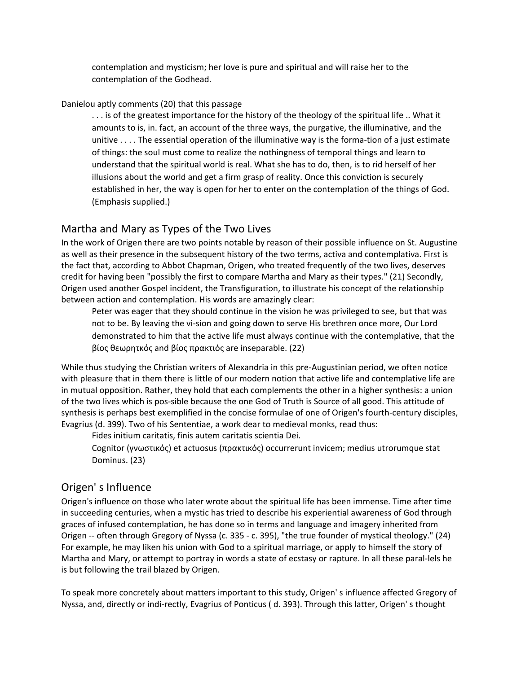contemplation and mysticism; her love is pure and spiritual and will raise her to the contemplation of the Godhead.

#### Danielou aptly comments (20) that this passage

. . . is of the greatest importance for the history of the theology of the spiritual life .. What it amounts to is, in. fact, an account of the three ways, the purgative, the illuminative, and the unitive . . . . The essential operation of the illuminative way is the forma-tion of a just estimate of things: the soul must come to realize the nothingness of temporal things and learn to understand that the spiritual world is real. What she has to do, then, is to rid herself of her illusions about the world and get a firm grasp of reality. Once this conviction is securely established in her, the way is open for her to enter on the contemplation of the things of God. (Emphasis supplied.)

#### Martha and Mary as Types of the Two Lives

In the work of Origen there are two points notable by reason of their possible influence on St. Augustine as well as their presence in the subsequent history of the two terms, activa and contemplativa. First is the fact that, according to Abbot Chapman, Origen, who treated frequently of the two lives, deserves credit for having been "possibly the first to compare Martha and Mary as their types." (21) Secondly, Origen used another Gospel incident, the Transfiguration, to illustrate his concept of the relationship between action and contemplation. His words are amazingly clear:

Peter was eager that they should continue in the vision he was privileged to see, but that was not to be. By leaving the vi-sion and going down to serve His brethren once more, Our Lord demonstrated to him that the active life must always continue with the contemplative, that the βίος θεωρητκός and βίος πρακτιός are inseparable. (22)

While thus studying the Christian writers of Alexandria in this pre-Augustinian period, we often notice with pleasure that in them there is little of our modern notion that active life and contemplative life are in mutual opposition. Rather, they hold that each complements the other in a higher synthesis: a union of the two lives which is pos-sible because the one God of Truth is Source of all good. This attitude of synthesis is perhaps best exemplified in the concise formulae of one of Origen's fourth-century disciples, Evagrius (d. 399). Two of his Sententiae, a work dear to medieval monks, read thus:

Fides initium caritatis, finis autem caritatis scientia Dei.

Cognitor (γνωστικός) et actuosus (πρακτικός) occurrerunt invicem; medius utrorumque stat Dominus. (23)

#### Origen' s Influence

Origen's influence on those who later wrote about the spiritual life has been immense. Time after time in succeeding centuries, when a mystic has tried to describe his experiential awareness of God through graces of infused contemplation, he has done so in terms and language and imagery inherited from Origen -- often through Gregory of Nyssa (c. 335 - c. 395), "the true founder of mystical theology." (24) For example, he may liken his union with God to a spiritual marriage, or apply to himself the story of Martha and Mary, or attempt to portray in words a state of ecstasy or rapture. In all these paral-lels he is but following the trail blazed by Origen.

To speak more concretely about matters important to this study, Origen' s influence affected Gregory of Nyssa, and, directly or indi-rectly, Evagrius of Ponticus ( d. 393). Through this latter, Origen' s thought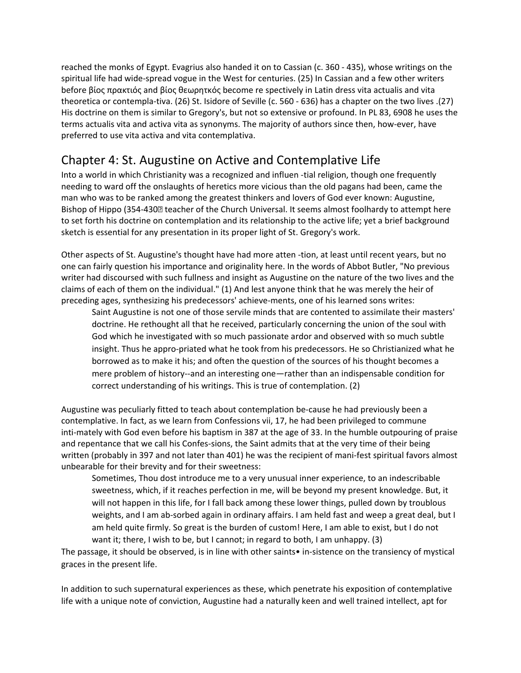reached the monks of Egypt. Evagrius also handed it on to Cassian (c. 360 - 435), whose writings on the spiritual life had wide-spread vogue in the West for centuries. (25) In Cassian and a few other writers before βίος πρακτιός and βίος θεωρητκός become re spectively in Latin dress vita actualis and vita theoretica or contempla-tiva. (26) St. Isidore of Seville (c. 560 - 636) has a chapter on the two lives .(27) His doctrine on them is similar to Gregory's, but not so extensive or profound. In PL 83, 6908 he uses the terms actualis vita and activa vita as synonyms. The majority of authors since then, how-ever, have preferred to use vita activa and vita contemplativa.

## Chapter 4: St. Augustine on Active and Contemplative Life

Into a world in which Christianity was a recognized and influen -tial religion, though one frequently needing to ward off the onslaughts of heretics more vicious than the old pagans had been, came the man who was to be ranked among the greatest thinkers and lovers of God ever known: Augustine, Bishop of Hippo (354-430 leacher of the Church Universal. It seems almost foolhardy to attempt here to set forth his doctrine on contemplation and its relationship to the active life; yet a brief background sketch is essential for any presentation in its proper light of St. Gregory's work.

Other aspects of St. Augustine's thought have had more atten -tion, at least until recent years, but no one can fairly question his importance and originality here. In the words of Abbot Butler, "No previous writer had discoursed with such fullness and insight as Augustine on the nature of the two lives and the claims of each of them on the individual." (1) And lest anyone think that he was merely the heir of preceding ages, synthesizing his predecessors' achieve-ments, one of his learned sons writes:

Saint Augustine is not one of those servile minds that are contented to assimilate their masters' doctrine. He rethought all that he received, particularly concerning the union of the soul with God which he investigated with so much passionate ardor and observed with so much subtle insight. Thus he appro-priated what he took from his predecessors. He so Christianized what he borrowed as to make it his; and often the question of the sources of his thought becomes a mere problem of history--and an interesting one—rather than an indispensable condition for correct understanding of his writings. This is true of contemplation. (2)

Augustine was peculiarly fitted to teach about contemplation be-cause he had previously been a contemplative. In fact, as we learn from Confessions vii, 17, he had been privileged to commune inti-mately with God even before his baptism in 387 at the age of 33. In the humble outpouring of praise and repentance that we call his Confes-sions, the Saint admits that at the very time of their being written (probably in 397 and not later than 401) he was the recipient of mani-fest spiritual favors almost unbearable for their brevity and for their sweetness:

Sometimes, Thou dost introduce me to a very unusual inner experience, to an indescribable sweetness, which, if it reaches perfection in me, will be beyond my present knowledge. But, it will not happen in this life, for I fall back among these lower things, pulled down by troublous weights, and I am ab-sorbed again in ordinary affairs. I am held fast and weep a great deal, but I am held quite firmly. So great is the burden of custom! Here, I am able to exist, but I do not want it; there, I wish to be, but I cannot; in regard to both, I am unhappy. (3)

The passage, it should be observed, is in line with other saints• in-sistence on the transiency of mystical graces in the present life.

In addition to such supernatural experiences as these, which penetrate his exposition of contemplative life with a unique note of conviction, Augustine had a naturally keen and well trained intellect, apt for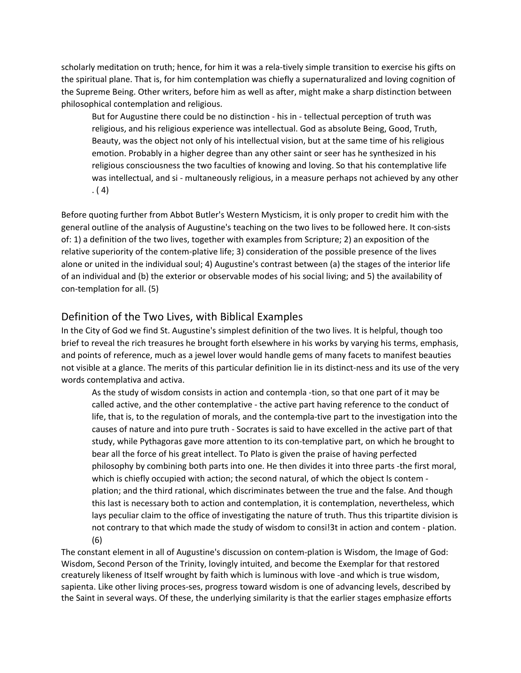scholarly meditation on truth; hence, for him it was a rela-tively simple transition to exercise his gifts on the spiritual plane. That is, for him contemplation was chiefly a supernaturalized and loving cognition of the Supreme Being. Other writers, before him as well as after, might make a sharp distinction between philosophical contemplation and religious.

But for Augustine there could be no distinction - his in - tellectual perception of truth was religious, and his religious experience was intellectual. God as absolute Being, Good, Truth, Beauty, was the object not only of his intellectual vision, but at the same time of his religious emotion. Probably in a higher degree than any other saint or seer has he synthesized in his religious consciousness the two faculties of knowing and loving. So that his contemplative life was intellectual, and si - multaneously religious, in a measure perhaps not achieved by any other . ( 4)

Before quoting further from Abbot Butler's Western Mysticism, it is only proper to credit him with the general outline of the analysis of Augustine's teaching on the two lives to be followed here. It con-sists of: 1) a definition of the two lives, together with examples from Scripture; 2) an exposition of the relative superiority of the contem-plative life; 3) consideration of the possible presence of the lives alone or united in the individual soul; 4) Augustine's contrast between (a) the stages of the interior life of an individual and (b) the exterior or observable modes of his social living; and 5) the availability of con-templation for all. (5)

#### Definition of the Two Lives, with Biblical Examples

In the City of God we find St. Augustine's simplest definition of the two lives. It is helpful, though too brief to reveal the rich treasures he brought forth elsewhere in his works by varying his terms, emphasis, and points of reference, much as a jewel lover would handle gems of many facets to manifest beauties not visible at a glance. The merits of this particular definition lie in its distinct-ness and its use of the very words contemplativa and activa.

As the study of wisdom consists in action and contempla -tion, so that one part of it may be called active, and the other contemplative - the active part having reference to the conduct of life, that is, to the regulation of morals, and the contempla-tive part to the investigation into the causes of nature and into pure truth - Socrates is said to have excelled in the active part of that study, while Pythagoras gave more attention to its con-templative part, on which he brought to bear all the force of his great intellect. To Plato is given the praise of having perfected philosophy by combining both parts into one. He then divides it into three parts -the first moral, which is chiefly occupied with action; the second natural, of which the object ls contem plation; and the third rational, which discriminates between the true and the false. And though this last is necessary both to action and contemplation, it is contemplation, nevertheless, which lays peculiar claim to the office of investigating the nature of truth. Thus this tripartite division is not contrary to that which made the study of wisdom to consi!3t in action and contem - plation. (6)

The constant element in all of Augustine's discussion on contem-plation is Wisdom, the Image of God: Wisdom, Second Person of the Trinity, lovingly intuited, and become the Exemplar for that restored creaturely likeness of Itself wrought by faith which is luminous with love -and which is true wisdom, sapienta. Like other living proces-ses, progress toward wisdom is one of advancing levels, described by the Saint in several ways. Of these, the underlying similarity is that the earlier stages emphasize efforts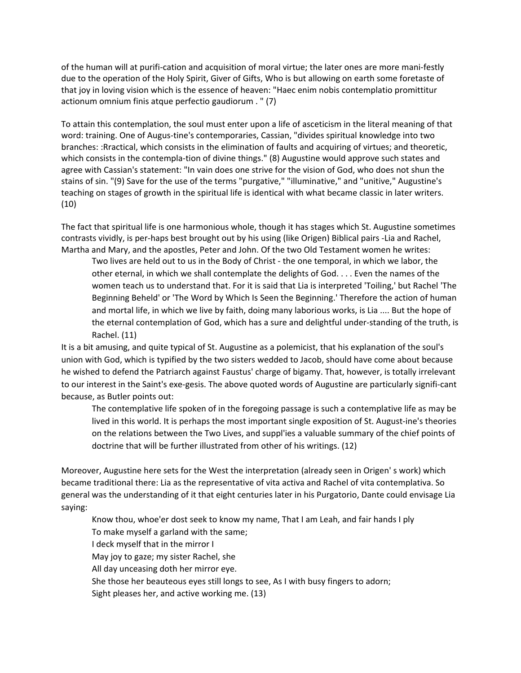of the human will at purifi-cation and acquisition of moral virtue; the later ones are more mani-festly due to the operation of the Holy Spirit, Giver of Gifts, Who is but allowing on earth some foretaste of that joy in loving vision which is the essence of heaven: "Haec enim nobis contemplatio promittitur actionum omnium finis atque perfectio gaudiorum . " (7)

To attain this contemplation, the soul must enter upon a life of asceticism in the literal meaning of that word: training. One of Augus-tine's contemporaries, Cassian, "divides spiritual knowledge into two branches: :Rractical, which consists in the elimination of faults and acquiring of virtues; and theoretic, which consists in the contempla-tion of divine things." (8) Augustine would approve such states and agree with Cassian's statement: "In vain does one strive for the vision of God, who does not shun the stains of sin. "(9) Save for the use of the terms "purgative," "illuminative," and "unitive," Augustine's teaching on stages of growth in the spiritual life is identical with what became classic in later writers. (10)

The fact that spiritual life is one harmonious whole, though it has stages which St. Augustine sometimes contrasts vividly, is per-haps best brought out by his using (like Origen) Biblical pairs -Lia and Rachel, Martha and Mary, and the apostles, Peter and John. Of the two Old Testament women he writes:

Two lives are held out to us in the Body of Christ - the one temporal, in which we labor, the other eternal, in which we shall contemplate the delights of God. . . . Even the names of the women teach us to understand that. For it is said that Lia is interpreted 'Toiling,' but Rachel 'The Beginning Beheld' or 'The Word by Which Is Seen the Beginning.' Therefore the action of human and mortal life, in which we live by faith, doing many laborious works, is Lia .... But the hope of the eternal contemplation of God, which has a sure and delightful under-standing of the truth, is Rachel. (11)

It is a bit amusing, and quite typical of St. Augustine as a polemicist, that his explanation of the soul's union with God, which is typified by the two sisters wedded to Jacob, should have come about because he wished to defend the Patriarch against Faustus' charge of bigamy. That, however, is totally irrelevant to our interest in the Saint's exe-gesis. The above quoted words of Augustine are particularly signifi-cant because, as Butler points out:

The contemplative life spoken of in the foregoing passage is such a contemplative life as may be lived in this world. It is perhaps the most important single exposition of St. August-ine's theories on the relations between the Two Lives, and suppl'ies a valuable summary of the chief points of doctrine that will be further illustrated from other of his writings. (12)

Moreover, Augustine here sets for the West the interpretation (already seen in Origen' s work) which became traditional there: Lia as the representative of vita activa and Rachel of vita contemplativa. So general was the understanding of it that eight centuries later in his Purgatorio, Dante could envisage Lia saying:

Know thou, whoe'er dost seek to know my name, That I am Leah, and fair hands I ply To make myself a garland with the same; I deck myself that in the mirror I May joy to gaze; my sister Rachel, she All day unceasing doth her mirror eye. She those her beauteous eyes still longs to see, As I with busy fingers to adorn; Sight pleases her, and active working me. (13)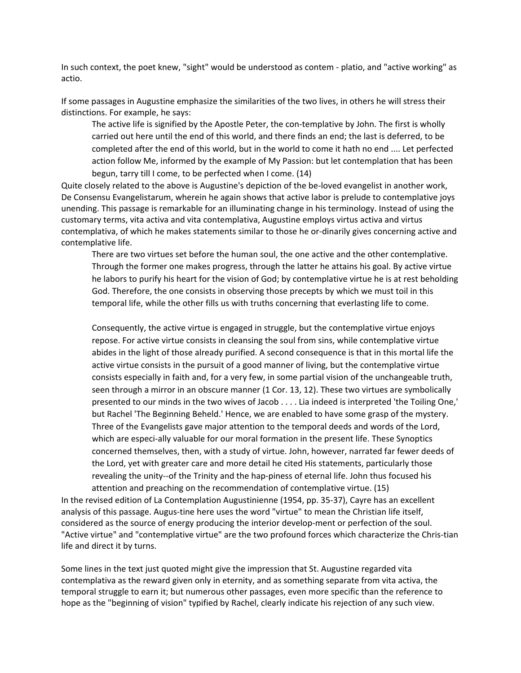In such context, the poet knew, "sight" would be understood as contem - platio, and "active working" as actio.

If some passages in Augustine emphasize the similarities of the two lives, in others he will stress their distinctions. For example, he says:

The active life is signified by the Apostle Peter, the con-templative by John. The first is wholly carried out here until the end of this world, and there finds an end; the last is deferred, to be completed after the end of this world, but in the world to come it hath no end .... Let perfected action follow Me, informed by the example of My Passion: but let contemplation that has been begun, tarry till I come, to be perfected when I come. (14)

Quite closely related to the above is Augustine's depiction of the be-loved evangelist in another work, De Consensu Evangelistarum, wherein he again shows that active labor is prelude to contemplative joys unending. This passage is remarkable for an illuminating change in his terminology. Instead of using the customary terms, vita activa and vita contemplativa, Augustine employs virtus activa and virtus contemplativa, of which he makes statements similar to those he or-dinarily gives concerning active and contemplative life.

There are two virtues set before the human soul, the one active and the other contemplative. Through the former one makes progress, through the latter he attains his goal. By active virtue he labors to purify his heart for the vision of God; by contemplative virtue he is at rest beholding God. Therefore, the one consists in observing those precepts by which we must toil in this temporal life, while the other fills us with truths concerning that everlasting life to come.

Consequently, the active virtue is engaged in struggle, but the contemplative virtue enjoys repose. For active virtue consists in cleansing the soul from sins, while contemplative virtue abides in the light of those already purified. A second consequence is that in this mortal life the active virtue consists in the pursuit of a good manner of living, but the contemplative virtue consists especially in faith and, for a very few, in some partial vision of the unchangeable truth, seen through a mirror in an obscure manner (1 Cor. 13, 12). These two virtues are symbolically presented to our minds in the two wives of Jacob . . . . Lia indeed is interpreted 'the Toiling One,' but Rachel 'The Beginning Beheld.' Hence, we are enabled to have some grasp of the mystery. Three of the Evangelists gave major attention to the temporal deeds and words of the Lord, which are especi-ally valuable for our moral formation in the present life. These Synoptics concerned themselves, then, with a study of virtue. John, however, narrated far fewer deeds of the Lord, yet with greater care and more detail he cited His statements, particularly those revealing the unity--of the Trinity and the hap-piness of eternal life. John thus focused his attention and preaching on the recommendation of contemplative virtue. (15)

In the revised edition of La Contemplation Augustinienne (1954, pp. 35-37), Cayre has an excellent analysis of this passage. Augus-tine here uses the word "virtue" to mean the Christian life itself, considered as the source of energy producing the interior develop-ment or perfection of the soul. "Active virtue" and "contemplative virtue" are the two profound forces which characterize the Chris-tian life and direct it by turns.

Some lines in the text just quoted might give the impression that St. Augustine regarded vita contemplativa as the reward given only in eternity, and as something separate from vita activa, the temporal struggle to earn it; but numerous other passages, even more specific than the reference to hope as the "beginning of vision" typified by Rachel, clearly indicate his rejection of any such view.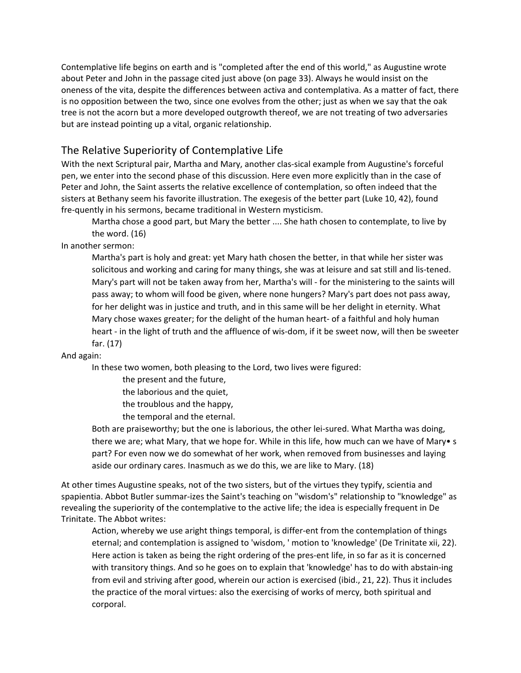Contemplative life begins on earth and is "completed after the end of this world," as Augustine wrote about Peter and John in the passage cited just above (on page 33). Always he would insist on the oneness of the vita, despite the differences between activa and contemplativa. As a matter of fact, there is no opposition between the two, since one evolves from the other; just as when we say that the oak tree is not the acorn but a more developed outgrowth thereof, we are not treating of two adversaries but are instead pointing up a vital, organic relationship.

#### The Relative Superiority of Contemplative Life

With the next Scriptural pair, Martha and Mary, another clas-sical example from Augustine's forceful pen, we enter into the second phase of this discussion. Here even more explicitly than in the case of Peter and John, the Saint asserts the relative excellence of contemplation, so often indeed that the sisters at Bethany seem his favorite illustration. The exegesis of the better part (Luke 10, 42), found fre-quently in his sermons, became traditional in Western mysticism.

Martha chose a good part, but Mary the better .... She hath chosen to contemplate, to live by the word. (16)

In another sermon:

Martha's part is holy and great: yet Mary hath chosen the better, in that while her sister was solicitous and working and caring for many things, she was at leisure and sat still and lis-tened. Mary's part will not be taken away from her, Martha's will - for the ministering to the saints will pass away; to whom will food be given, where none hungers? Mary's part does not pass away, for her delight was in justice and truth, and in this same will be her delight in eternity. What Mary chose waxes greater; for the delight of the human heart- of a faithful and holy human heart - in the light of truth and the affluence of wis-dom, if it be sweet now, will then be sweeter far. (17)

And again:

In these two women, both pleasing to the Lord, two lives were figured:

the present and the future,

the laborious and the quiet,

the troublous and the happy,

the temporal and the eternal.

Both are praiseworthy; but the one is laborious, the other lei-sured. What Martha was doing, there we are; what Mary, that we hope for. While in this life, how much can we have of Mary• s part? For even now we do somewhat of her work, when removed from businesses and laying aside our ordinary cares. Inasmuch as we do this, we are like to Mary. (18)

At other times Augustine speaks, not of the two sisters, but of the virtues they typify, scientia and spapientia. Abbot Butler summar-izes the Saint's teaching on "wisdom's" relationship to "knowledge" as revealing the superiority of the contemplative to the active life; the idea is especially frequent in De Trinitate. The Abbot writes:

Action, whereby we use aright things temporal, is differ-ent from the contemplation of things eternal; and contemplation is assigned to 'wisdom, ' motion to 'knowledge' (De Trinitate xii, 22). Here action is taken as being the right ordering of the pres-ent life, in so far as it is concerned with transitory things. And so he goes on to explain that 'knowledge' has to do with abstain-ing from evil and striving after good, wherein our action is exercised (ibid., 21, 22). Thus it includes the practice of the moral virtues: also the exercising of works of mercy, both spiritual and corporal.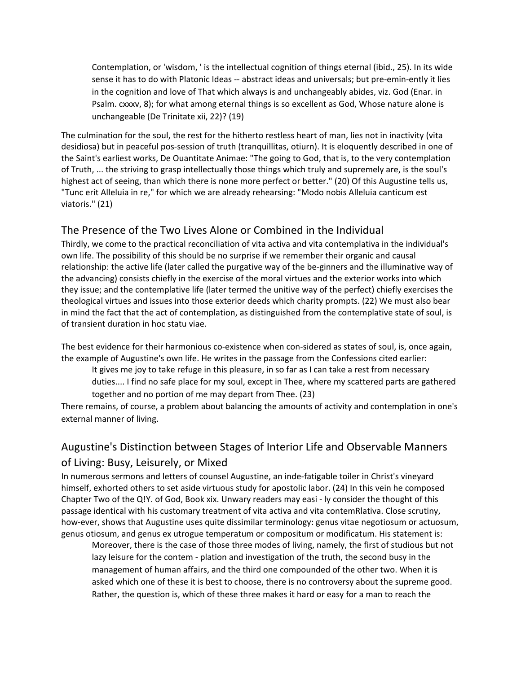Contemplation, or 'wisdom, ' is the intellectual cognition of things eternal (ibid., 25). In its wide sense it has to do with Platonic Ideas -- abstract ideas and universals; but pre-emin-ently it lies in the cognition and love of That which always is and unchangeably abides, viz. God (Enar. in Psalm. cxxxv, 8); for what among eternal things is so excellent as God, Whose nature alone is unchangeable (De Trinitate xii, 22)? (19)

The culmination for the soul, the rest for the hitherto restless heart of man, lies not in inactivity (vita desidiosa) but in peaceful pos-session of truth (tranquillitas, otiurn). It is eloquently described in one of the Saint's earliest works, De Ouantitate Animae: "The going to God, that is, to the very contemplation of Truth, ... the striving to grasp intellectually those things which truly and supremely are, is the soul's highest act of seeing, than which there is none more perfect or better." (20) Of this Augustine tells us, "Tunc erit Alleluia in re," for which we are already rehearsing: "Modo nobis Alleluia canticum est viatoris." (21)

#### The Presence of the Two Lives Alone or Combined in the Individual

Thirdly, we come to the practical reconciliation of vita activa and vita contemplativa in the individual's own life. The possibility of this should be no surprise if we remember their organic and causal relationship: the active life (later called the purgative way of the be-ginners and the illuminative way of the advancing) consists chiefly in the exercise of the moral virtues and the exterior works into which they issue; and the contemplative life (later termed the unitive way of the perfect) chiefly exercises the theological virtues and issues into those exterior deeds which charity prompts. (22) We must also bear in mind the fact that the act of contemplation, as distinguished from the contemplative state of soul, is of transient duration in hoc statu viae.

The best evidence for their harmonious co-existence when con-sidered as states of soul, is, once again, the example of Augustine's own life. He writes in the passage from the Confessions cited earlier:

It gives me joy to take refuge in this pleasure, in so far as I can take a rest from necessary duties.... I find no safe place for my soul, except in Thee, where my scattered parts are gathered together and no portion of me may depart from Thee. (23)

There remains, of course, a problem about balancing the amounts of activity and contemplation in one's external manner of living.

#### Augustine's Distinction between Stages of Interior Life and Observable Manners

#### of Living: Busy, Leisurely, or Mixed

In numerous sermons and letters of counsel Augustine, an inde-fatigable toiler in Christ's vineyard himself, exhorted others to set aside virtuous study for apostolic labor. (24) In this vein he composed Chapter Two of the Q!Y. of God, Book xix. Unwary readers may easi - ly consider the thought of this passage identical with his customary treatment of vita activa and vita contemRlativa. Close scrutiny, how-ever, shows that Augustine uses quite dissimilar terminology: genus vitae negotiosum or actuosum, genus otiosum, and genus ex utrogue temperatum or compositum or modificatum. His statement is:

Moreover, there is the case of those three modes of living, namely, the first of studious but not lazy leisure for the contem - plation and investigation of the truth, the second busy in the management of human affairs, and the third one compounded of the other two. When it is asked which one of these it is best to choose, there is no controversy about the supreme good. Rather, the question is, which of these three makes it hard or easy for a man to reach the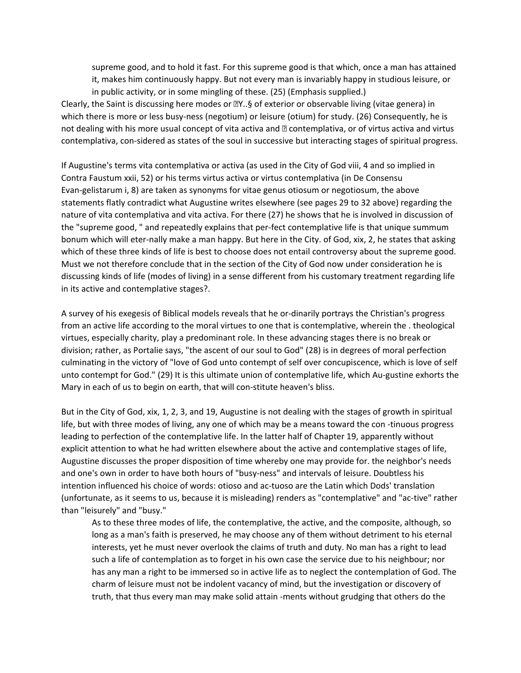supreme good, and to hold it fast. For this supreme good is that which, once a man has attained it, makes him continuously happy. But not every man is invariably happy in studious leisure, or in public activity, or in some mingling of these. (25) (Emphasis supplied.)

Clearly, the Saint is discussing here modes or  $\mathbb{Z}Y$ ..§ of exterior or observable living (vitae genera) in which there is more or less busy-ness (negotium) or leisure (otium) for study. (26) Consequently, he is not dealing with his more usual concept of vita activa and **a** contemplativa, or of virtus activa and virtus contemplativa, con-sidered as states of the soul in successive but interacting stages of spiritual progress.

If Augustine's terms vita contemplativa or activa (as used in the City of God viii, 4 and so implied in Contra Faustum xxii, 52) or his terms virtus activa or virtus contemplativa (in De Consensu Evan-gelistarum i, 8) are taken as synonyms for vitae genus otiosum or negotiosum, the above statements flatly contradict what Augustine writes elsewhere (see pages 29 to 32 above) regarding the nature of vita contemplativa and vita activa. For there (27) he shows that he is involved in discussion of the "supreme good, " and repeatedly explains that per-fect contemplative life is that unique summum bonum which will eter-nally make a man happy. But here in the City. of God, xix, 2, he states that asking which of these three kinds of life is best to choose does not entail controversy about the supreme good. Must we not therefore conclude that in the section of the City of God now under consideration he is discussing kinds of life (modes of living) in a sense different from his customary treatment regarding life in its active and contemplative stages?.

A survey of his exegesis of Biblical models reveals that he or-dinarily portrays the Christian's progress from an active life according to the moral virtues to one that is contemplative, wherein the . theological virtues, especially charity, play a predominant role. In these advancing stages there is no break or division; rather, as Portalie says, "the ascent of our soul to God" (28) is in degrees of moral perfection culminating in the victory of "love of God unto contempt of self over concupiscence, which is love of self unto contempt for God." (29) It is this ultimate union of contemplative life, which Au-gustine exhorts the Mary in each of us to begin on earth, that will con-stitute heaven's bliss.

But in the City of God, xix, 1, 2, 3, and 19, Augustine is not dealing with the stages of growth in spiritual life, but with three modes of living, any one of which may be a means toward the con -tinuous progress leading to perfection of the contemplative life. In the latter half of Chapter 19, apparently without explicit attention to what he had written elsewhere about the active and contemplative stages of life, Augustine discusses the proper disposition of time whereby one may provide for. the neighbor's needs and one's own in order to have both hours of "busy-ness" and intervals of leisure. Doubtless his intention influenced his choice of words: otioso and ac-tuoso are the Latin which Dods' translation (unfortunate, as it seems to us, because it is misleading) renders as "contemplative" and "ac-tive" rather than "leisurely" and "busy."

As to these three modes of life, the contemplative, the active, and the composite, although, so long as a man's faith is preserved, he may choose any of them without detriment to his eternal interests, yet he must never overlook the claims of truth and duty. No man has a right to lead such a life of contemplation as to forget in his own case the service due to his neighbour; nor has any man a right to be immersed so in active life as to neglect the contemplation of God. The charm of leisure must not be indolent vacancy of mind, but the investigation or discovery of truth, that thus every man may make solid attain -ments without grudging that others do the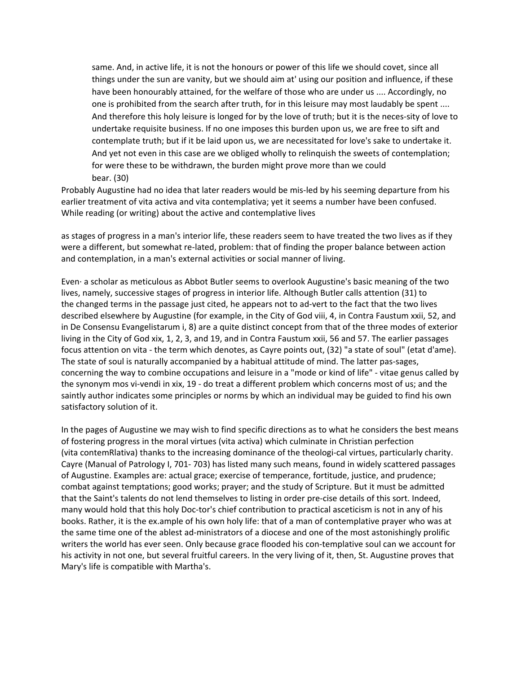same. And, in active life, it is not the honours or power of this life we should covet, since all things under the sun are vanity, but we should aim at' using our position and influence, if these have been honourably attained, for the welfare of those who are under us .... Accordingly, no one is prohibited from the search after truth, for in this leisure may most laudably be spent .... And therefore this holy leisure is longed for by the love of truth; but it is the neces-sity of love to undertake requisite business. If no one imposes this burden upon us, we are free to sift and contemplate truth; but if it be laid upon us, we are necessitated for love's sake to undertake it. And yet not even in this case are we obliged wholly to relinquish the sweets of contemplation; for were these to be withdrawn, the burden might prove more than we could bear. (30)

Probably Augustine had no idea that later readers would be mis-led by his seeming departure from his earlier treatment of vita activa and vita contemplativa; yet it seems a number have been confused. While reading (or writing) about the active and contemplative lives

as stages of progress in a man's interior life, these readers seem to have treated the two lives as if they were a different, but somewhat re-lated, problem: that of finding the proper balance between action and contemplation, in a man's external activities or social manner of living.

Even· a scholar as meticulous as Abbot Butler seems to overlook Augustine's basic meaning of the two lives, namely, successive stages of progress in interior life. Although Butler calls attention (31) to the changed terms in the passage just cited, he appears not to ad-vert to the fact that the two lives described elsewhere by Augustine (for example, in the City of God viii, 4, in Contra Faustum xxii, 52, and in De Consensu Evangelistarum i, 8) are a quite distinct concept from that of the three modes of exterior living in the City of God xix, 1, 2, 3, and 19, and in Contra Faustum xxii, 56 and 57. The earlier passages focus attention on vita - the term which denotes, as Cayre points out, (32) "a state of soul" (etat d'ame). The state of soul is naturally accompanied by a habitual attitude of mind. The latter pas-sages, concerning the way to combine occupations and leisure in a "mode or kind of life" - vitae genus called by the synonym mos vi-vendi in xix, 19 - do treat a different problem which concerns most of us; and the saintly author indicates some principles or norms by which an individual may be guided to find his own satisfactory solution of it.

In the pages of Augustine we may wish to find specific directions as to what he considers the best means of fostering progress in the moral virtues (vita activa) which culminate in Christian perfection (vita contemRlativa) thanks to the increasing dominance of the theologi-cal virtues, particularly charity. Cayre (Manual of Patrology I, 701- 703) has listed many such means, found in widely scattered passages of Augustine. Examples are: actual grace; exercise of temperance, fortitude, justice, and prudence; combat against temptations; good works; prayer; and the study of Scripture. But it must be admitted that the Saint's talents do not lend themselves to listing in order pre-cise details of this sort. Indeed, many would hold that this holy Doc-tor's chief contribution to practical asceticism is not in any of his books. Rather, it is the ex.ample of his own holy life: that of a man of contemplative prayer who was at the same time one of the ablest ad-ministrators of a diocese and one of the most astonishingly prolific writers the world has ever seen. Only because grace flooded his con-templative soul can we account for his activity in not one, but several fruitful careers. In the very living of it, then, St. Augustine proves that Mary's life is compatible with Martha's.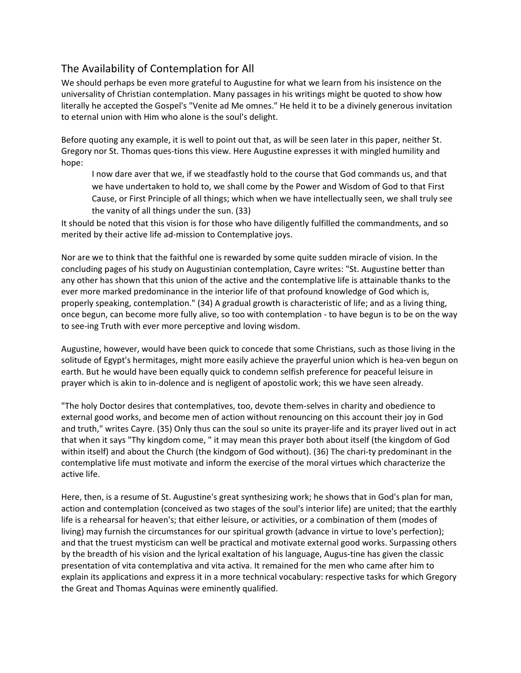#### The Availability of Contemplation for All

We should perhaps be even more grateful to Augustine for what we learn from his insistence on the universality of Christian contemplation. Many passages in his writings might be quoted to show how literally he accepted the Gospel's "Venite ad Me omnes." He held it to be a divinely generous invitation to eternal union with Him who alone is the soul's delight.

Before quoting any example, it is well to point out that, as will be seen later in this paper, neither St. Gregory nor St. Thomas ques-tions this view. Here Augustine expresses it with mingled humility and hope:

I now dare aver that we, if we steadfastly hold to the course that God commands us, and that we have undertaken to hold to, we shall come by the Power and Wisdom of God to that First Cause, or First Principle of all things; which when we have intellectually seen, we shall truly see the vanity of all things under the sun. (33)

It should be noted that this vision is for those who have diligently fulfilled the commandments, and so merited by their active life ad-mission to Contemplative joys.

Nor are we to think that the faithful one is rewarded by some quite sudden miracle of vision. In the concluding pages of his study on Augustinian contemplation, Cayre writes: "St. Augustine better than any other has shown that this union of the active and the contemplative life is attainable thanks to the ever more marked predominance in the interior life of that profound knowledge of God which is, properly speaking, contemplation." (34) A gradual growth is characteristic of life; and as a living thing, once begun, can become more fully alive, so too with contemplation - to have begun is to be on the way to see-ing Truth with ever more perceptive and loving wisdom.

Augustine, however, would have been quick to concede that some Christians, such as those living in the solitude of Egypt's hermitages, might more easily achieve the prayerful union which is hea-ven begun on earth. But he would have been equally quick to condemn selfish preference for peaceful leisure in prayer which is akin to in-dolence and is negligent of apostolic work; this we have seen already.

"The holy Doctor desires that contemplatives, too, devote them-selves in charity and obedience to external good works, and become men of action without renouncing on this account their joy in God and truth," writes Cayre. (35) Only thus can the soul so unite its prayer-life and its prayer lived out in act that when it says "Thy kingdom come, " it may mean this prayer both about itself (the kingdom of God within itself) and about the Church (the kindgom of God without). (36) The chari-ty predominant in the contemplative life must motivate and inform the exercise of the moral virtues which characterize the active life.

Here, then, is a resume of St. Augustine's great synthesizing work; he shows that in God's plan for man, action and contemplation (conceived as two stages of the soul's interior life) are united; that the earthly life is a rehearsal for heaven's; that either leisure, or activities, or a combination of them (modes of living) may furnish the circumstances for our spiritual growth (advance in virtue to love's perfection); and that the truest mysticism can well be practical and motivate external good works. Surpassing others by the breadth of his vision and the lyrical exaltation of his language, Augus-tine has given the classic presentation of vita contemplativa and vita activa. It remained for the men who came after him to explain its applications and express it in a more technical vocabulary: respective tasks for which Gregory the Great and Thomas Aquinas were eminently qualified.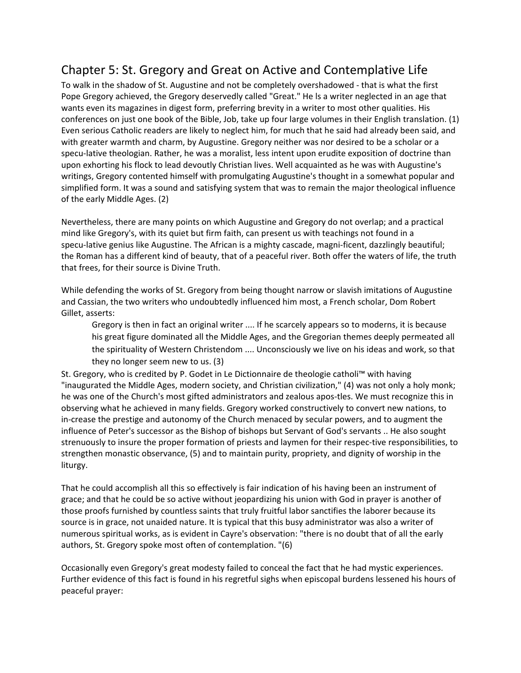## Chapter 5: St. Gregory and Great on Active and Contemplative Life

To walk in the shadow of St. Augustine and not be completely overshadowed - that is what the first Pope Gregory achieved, the Gregory deservedly called "Great." He ls a writer neglected in an age that wants even its magazines in digest form, preferring brevity in a writer to most other qualities. His conferences on just one book of the Bible, Job, take up four large volumes in their English translation. (1) Even serious Catholic readers are likely to neglect him, for much that he said had already been said, and with greater warmth and charm, by Augustine. Gregory neither was nor desired to be a scholar or a specu-lative theologian. Rather, he was a moralist, less intent upon erudite exposition of doctrine than upon exhorting his flock to lead devoutly Christian lives. Well acquainted as he was with Augustine's writings, Gregory contented himself with promulgating Augustine's thought in a somewhat popular and simplified form. It was a sound and satisfying system that was to remain the major theological influence of the early Middle Ages. (2)

Nevertheless, there are many points on which Augustine and Gregory do not overlap; and a practical mind like Gregory's, with its quiet but firm faith, can present us with teachings not found in a specu-lative genius like Augustine. The African is a mighty cascade, magni-ficent, dazzlingly beautiful; the Roman has a different kind of beauty, that of a peaceful river. Both offer the waters of life, the truth that frees, for their source is Divine Truth.

While defending the works of St. Gregory from being thought narrow or slavish imitations of Augustine and Cassian, the two writers who undoubtedly influenced him most, a French scholar, Dom Robert Gillet, asserts:

Gregory is then in fact an original writer .... If he scarcely appears so to moderns, it is because his great figure dominated all the Middle Ages, and the Gregorian themes deeply permeated all the spirituality of Western Christendom .... Unconsciously we live on his ideas and work, so that they no longer seem new to us. (3)

St. Gregory, who is credited by P. Godet in Le Dictionnaire de theologie catholi™ with having "inaugurated the Middle Ages, modern society, and Christian civilization," (4) was not only a holy monk; he was one of the Church's most gifted administrators and zealous apos-tles. We must recognize this in observing what he achieved in many fields. Gregory worked constructively to convert new nations, to in-crease the prestige and autonomy of the Church menaced by secular powers, and to augment the influence of Peter's successor as the Bishop of bishops but Servant of God's servants .. He also sought strenuously to insure the proper formation of priests and laymen for their respec-tive responsibilities, to strengthen monastic observance, (5) and to maintain purity, propriety, and dignity of worship in the liturgy.

That he could accomplish all this so effectively is fair indication of his having been an instrument of grace; and that he could be so active without jeopardizing his union with God in prayer is another of those proofs furnished by countless saints that truly fruitful labor sanctifies the laborer because its source is in grace, not unaided nature. It is typical that this busy administrator was also a writer of numerous spiritual works, as is evident in Cayre's observation: "there is no doubt that of all the early authors, St. Gregory spoke most often of contemplation. "(6)

Occasionally even Gregory's great modesty failed to conceal the fact that he had mystic experiences. Further evidence of this fact is found in his regretful sighs when episcopal burdens lessened his hours of peaceful prayer: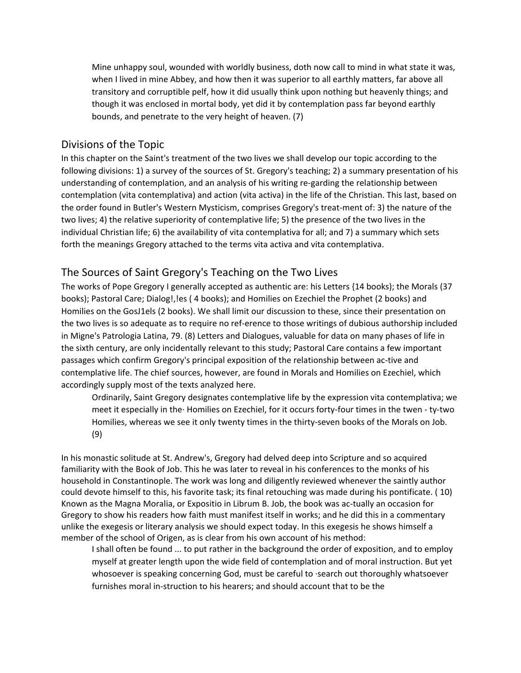Mine unhappy soul, wounded with worldly business, doth now call to mind in what state it was, when I lived in mine Abbey, and how then it was superior to all earthly matters, far above all transitory and corruptible pelf, how it did usually think upon nothing but heavenly things; and though it was enclosed in mortal body, yet did it by contemplation pass far beyond earthly bounds, and penetrate to the very height of heaven. (7)

#### Divisions of the Topic

In this chapter on the Saint's treatment of the two lives we shall develop our topic according to the following divisions: 1) a survey of the sources of St. Gregory's teaching; 2) a summary presentation of his understanding of contemplation, and an analysis of his writing re-garding the relationship between contemplation (vita contemplativa) and action (vita activa) in the life of the Christian. This last, based on the order found in Butler's Western Mysticism, comprises Gregory's treat-ment of: 3) the nature of the two lives; 4) the relative superiority of contemplative life; 5) the presence of the two lives in the individual Christian life; 6) the availability of vita contemplativa for all; and 7) a summary which sets forth the meanings Gregory attached to the terms vita activa and vita contemplativa.

#### The Sources of Saint Gregory's Teaching on the Two Lives

The works of Pope Gregory I generally accepted as authentic are: his Letters {14 books); the Morals (37 books); Pastoral Care; Dialog!,!es ( 4 books); and Homilies on Ezechiel the Prophet (2 books) and Homilies on the GosJ1els (2 books). We shall limit our discussion to these, since their presentation on the two lives is so adequate as to require no ref-erence to those writings of dubious authorship included in Migne's Patrologia Latina, 79. (8) Letters and Dialogues, valuable for data on many phases of life in the sixth century, are only incidentally relevant to this study; Pastoral Care contains a few important passages which confirm Gregory's principal exposition of the relationship between ac-tive and contemplative life. The chief sources, however, are found in Morals and Homilies on Ezechiel, which accordingly supply most of the texts analyzed here.

Ordinarily, Saint Gregory designates contemplative life by the expression vita contemplativa; we meet it especially in the· Homilies on Ezechiel, for it occurs forty-four times in the twen - ty-two Homilies, whereas we see it only twenty times in the thirty-seven books of the Morals on Job. (9)

In his monastic solitude at St. Andrew's, Gregory had delved deep into Scripture and so acquired familiarity with the Book of Job. This he was later to reveal in his conferences to the monks of his household in Constantinople. The work was long and diligently reviewed whenever the saintly author could devote himself to this, his favorite task; its final retouching was made during his pontificate. ( 10) Known as the Magna Moralia, or Expositio in Librum B. Job, the book was ac-tually an occasion for Gregory to show his readers how faith must manifest itself in works; and he did this in a commentary unlike the exegesis or literary analysis we should expect today. In this exegesis he shows himself a member of the school of Origen, as is clear from his own account of his method:

I shall often be found ... to put rather in the background the order of exposition, and to employ myself at greater length upon the wide field of contemplation and of moral instruction. But yet whosoever is speaking concerning God, must be careful to ·search out thoroughly whatsoever furnishes moral in-struction to his hearers; and should account that to be the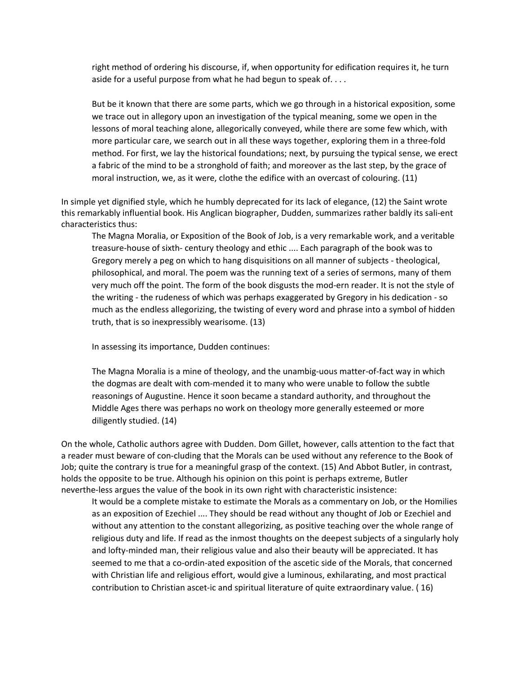right method of ordering his discourse, if, when opportunity for edification requires it, he turn aside for a useful purpose from what he had begun to speak of....

But be it known that there are some parts, which we go through in a historical exposition, some we trace out in allegory upon an investigation of the typical meaning, some we open in the lessons of moral teaching alone, allegorically conveyed, while there are some few which, with more particular care, we search out in all these ways together, exploring them in a three-fold method. For first, we lay the historical foundations; next, by pursuing the typical sense, we erect a fabric of the mind to be a stronghold of faith; and moreover as the last step, by the grace of moral instruction, we, as it were, clothe the edifice with an overcast of colouring. (11)

In simple yet dignified style, which he humbly deprecated for its lack of elegance, (12) the Saint wrote this remarkably influential book. His Anglican biographer, Dudden, summarizes rather baldly its sali-ent characteristics thus:

The Magna Moralia, or Exposition of the Book of Job, is a very remarkable work, and a veritable treasure-house of sixth- century theology and ethic .... Each paragraph of the book was to Gregory merely a peg on which to hang disquisitions on all manner of subjects - theological, philosophical, and moral. The poem was the running text of a series of sermons, many of them very much off the point. The form of the book disgusts the mod-ern reader. It is not the style of the writing - the rudeness of which was perhaps exaggerated by Gregory in his dedication - so much as the endless allegorizing, the twisting of every word and phrase into a symbol of hidden truth, that is so inexpressibly wearisome. (13)

In assessing its importance, Dudden continues:

The Magna Moralia is a mine of theology, and the unambig-uous matter-of-fact way in which the dogmas are dealt with com-mended it to many who were unable to follow the subtle reasonings of Augustine. Hence it soon became a standard authority, and throughout the Middle Ages there was perhaps no work on theology more generally esteemed or more diligently studied. (14)

On the whole, Catholic authors agree with Dudden. Dom Gillet, however, calls attention to the fact that a reader must beware of con-cluding that the Morals can be used without any reference to the Book of Job; quite the contrary is true for a meaningful grasp of the context. (15) And Abbot Butler, in contrast, holds the opposite to be true. Although his opinion on this point is perhaps extreme, Butler neverthe-less argues the value of the book in its own right with characteristic insistence:

It would be a complete mistake to estimate the Morals as a commentary on Job, or the Homilies as an exposition of Ezechiel .... They should be read without any thought of Job or Ezechiel and without any attention to the constant allegorizing, as positive teaching over the whole range of religious duty and life. If read as the inmost thoughts on the deepest subjects of a singularly holy and lofty-minded man, their religious value and also their beauty will be appreciated. It has seemed to me that a co-ordin-ated exposition of the ascetic side of the Morals, that concerned with Christian life and religious effort, would give a luminous, exhilarating, and most practical contribution to Christian ascet-ic and spiritual literature of quite extraordinary value. ( 16)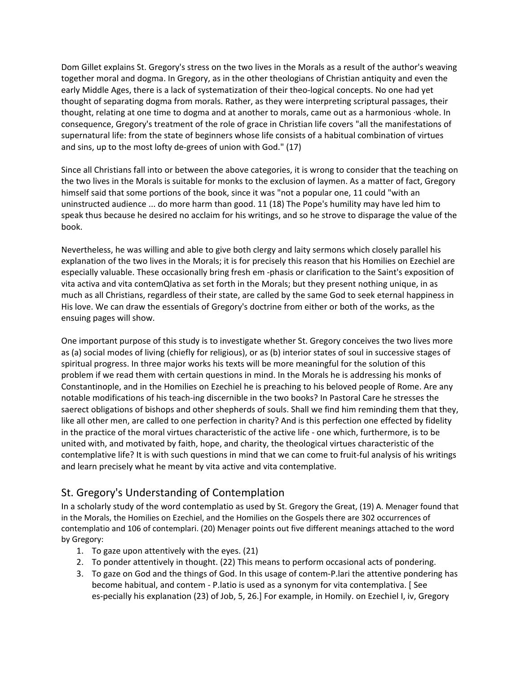Dom Gillet explains St. Gregory's stress on the two lives in the Morals as a result of the author's weaving together moral and dogma. In Gregory, as in the other theologians of Christian antiquity and even the early Middle Ages, there is a lack of systematization of their theo-logical concepts. No one had yet thought of separating dogma from morals. Rather, as they were interpreting scriptural passages, their thought, relating at one time to dogma and at another to morals, came out as a harmonious ·whole. In consequence, Gregory's treatment of the role of grace in Christian life covers "all the manifestations of supernatural life: from the state of beginners whose life consists of a habitual combination of virtues and sins, up to the most lofty de-grees of union with God." (17)

Since all Christians fall into or between the above categories, it is wrong to consider that the teaching on the two lives in the Morals is suitable for monks to the exclusion of laymen. As a matter of fact, Gregory himself said that some portions of the book, since it was "not a popular one, 11 could "with an uninstructed audience ... do more harm than good. 11 (18) The Pope's humility may have led him to speak thus because he desired no acclaim for his writings, and so he strove to disparage the value of the book.

Nevertheless, he was willing and able to give both clergy and laity sermons which closely parallel his explanation of the two lives in the Morals; it is for precisely this reason that his Homilies on Ezechiel are especially valuable. These occasionally bring fresh em -phasis or clarification to the Saint's exposition of vita activa and vita contemQlativa as set forth in the Morals; but they present nothing unique, in as much as all Christians, regardless of their state, are called by the same God to seek eternal happiness in His love. We can draw the essentials of Gregory's doctrine from either or both of the works, as the ensuing pages will show.

One important purpose of this study is to investigate whether St. Gregory conceives the two lives more as (a) social modes of living (chiefly for religious), or as (b) interior states of soul in successive stages of spiritual progress. In three major works his texts will be more meaningful for the solution of this problem if we read them with certain questions in mind. In the Morals he is addressing his monks of Constantinople, and in the Homilies on Ezechiel he is preaching to his beloved people of Rome. Are any notable modifications of his teach-ing discernible in the two books? In Pastoral Care he stresses the saerect obligations of bishops and other shepherds of souls. Shall we find him reminding them that they, like all other men, are called to one perfection in charity? And is this perfection one effected by fidelity in the practice of the moral virtues characteristic of the active life - one which, furthermore, is to be united with, and motivated by faith, hope, and charity, the theological virtues characteristic of the contemplative life? It is with such questions in mind that we can come to fruit-ful analysis of his writings and learn precisely what he meant by vita active and vita contemplative.

#### St. Gregory's Understanding of Contemplation

In a scholarly study of the word contemplatio as used by St. Gregory the Great, (19) A. Menager found that in the Morals, the Homilies on Ezechiel, and the Homilies on the Gospels there are 302 occurrences of contemplatio and 106 of contemplari. (20) Menager points out five different meanings attached to the word by Gregory:

- 1. To gaze upon attentively with the eyes. (21)
- 2. To ponder attentively in thought. (22) This means to perform occasional acts of pondering.
- 3. To gaze on God and the things of God. In this usage of contem-P.lari the attentive pondering has become habitual, and contem - P.latio is used as a synonym for vita contemplativa. [ See es-pecially his explanation (23) of Job, 5, 26.] For example, in Homily. on Ezechiel I, iv, Gregory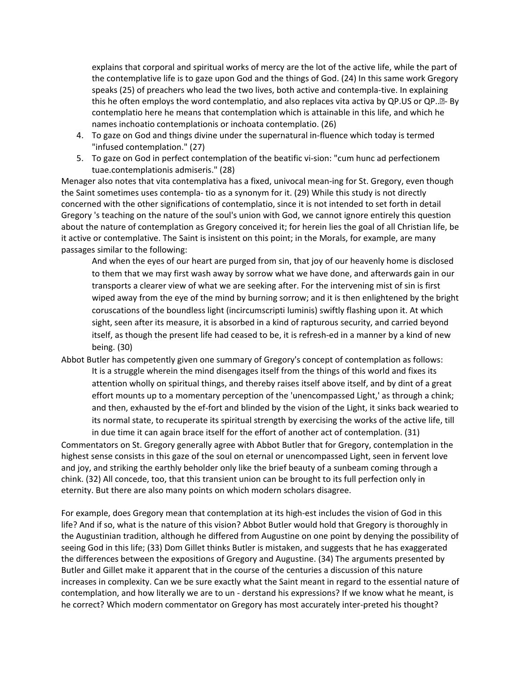explains that corporal and spiritual works of mercy are the lot of the active life, while the part of the contemplative life is to gaze upon God and the things of God. (24) In this same work Gregory speaks (25) of preachers who lead the two lives, both active and contempla-tive. In explaining this he often employs the word contemplatio, and also replaces vita activa by QP.US or QP.<sup>[2]</sup>- By contemplatio here he means that contemplation which is attainable in this life, and which he names inchoatio contemplationis or inchoata contemplatio. (26)

- 4. To gaze on God and things divine under the supernatural in-fluence which today is termed "infused contemplation." (27)
- 5. To gaze on God in perfect contemplation of the beatific vi-sion: "cum hunc ad perfectionem tuae.contemplationis admiseris." (28)

Menager also notes that vita contemplativa has a fixed, univocal mean-ing for St. Gregory, even though the Saint sometimes uses contempla- tio as a synonym for it. (29) While this study is not directly concerned with the other significations of contemplatio, since it is not intended to set forth in detail Gregory 's teaching on the nature of the soul's union with God, we cannot ignore entirely this question about the nature of contemplation as Gregory conceived it; for herein lies the goal of all Christian life, be it active or contemplative. The Saint is insistent on this point; in the Morals, for example, are many passages similar to the following:

And when the eyes of our heart are purged from sin, that joy of our heavenly home is disclosed to them that we may first wash away by sorrow what we have done, and afterwards gain in our transports a clearer view of what we are seeking after. For the intervening mist of sin is first wiped away from the eye of the mind by burning sorrow; and it is then enlightened by the bright coruscations of the boundless light (incircumscripti luminis) swiftly flashing upon it. At which sight, seen after its measure, it is absorbed in a kind of rapturous security, and carried beyond itself, as though the present life had ceased to be, it is refresh-ed in a manner by a kind of new being. (30)

Abbot Butler has competently given one summary of Gregory's concept of contemplation as follows: It is a struggle wherein the mind disengages itself from the things of this world and fixes its attention wholly on spiritual things, and thereby raises itself above itself, and by dint of a great effort mounts up to a momentary perception of the 'unencompassed Light,' as through a chink; and then, exhausted by the ef-fort and blinded by the vision of the Light, it sinks back wearied to its normal state, to recuperate its spiritual strength by exercising the works of the active life, till in due time it can again brace itself for the effort of another act of contemplation. (31)

Commentators on St. Gregory generally agree with Abbot Butler that for Gregory, contemplation in the highest sense consists in this gaze of the soul on eternal or unencompassed Light, seen in fervent love and joy, and striking the earthly beholder only like the brief beauty of a sunbeam coming through a chink. (32) All concede, too, that this transient union can be brought to its full perfection only in eternity. But there are also many points on which modern scholars disagree.

For example, does Gregory mean that contemplation at its high-est includes the vision of God in this life? And if so, what is the nature of this vision? Abbot Butler would hold that Gregory is thoroughly in the Augustinian tradition, although he differed from Augustine on one point by denying the possibility of seeing God in this life; (33) Dom Gillet thinks Butler is mistaken, and suggests that he has exaggerated the differences between the expositions of Gregory and Augustine. (34) The arguments presented by Butler and Gillet make it apparent that in the course of the centuries a discussion of this nature increases in complexity. Can we be sure exactly what the Saint meant in regard to the essential nature of contemplation, and how literally we are to un - derstand his expressions? If we know what he meant, is he correct? Which modern commentator on Gregory has most accurately inter-preted his thought?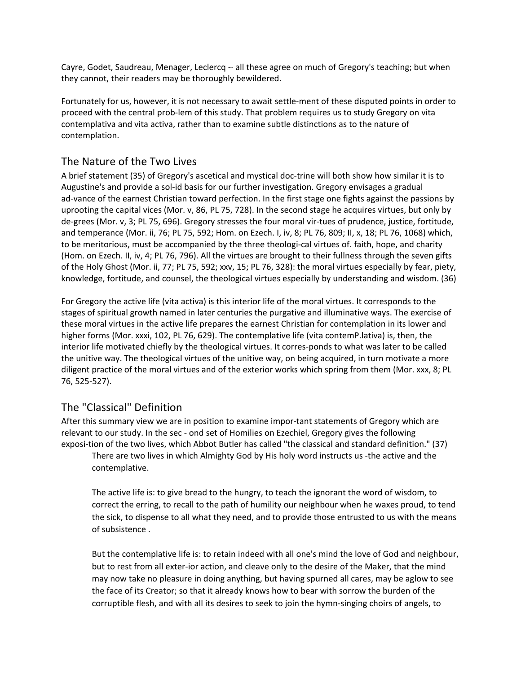Cayre, Godet, Saudreau, Menager, Leclercq -· all these agree on much of Gregory's teaching; but when they cannot, their readers may be thoroughly bewildered.

Fortunately for us, however, it is not necessary to await settle-ment of these disputed points in order to proceed with the central prob-lem of this study. That problem requires us to study Gregory on vita contemplativa and vita activa, rather than to examine subtle distinctions as to the nature of contemplation.

#### The Nature of the Two Lives

A brief statement (35) of Gregory's ascetical and mystical doc-trine will both show how similar it is to Augustine's and provide a sol-id basis for our further investigation. Gregory envisages a gradual ad-vance of the earnest Christian toward perfection. In the first stage one fights against the passions by uprooting the capital vices (Mor. v, 86, PL 75, 728). In the second stage he acquires virtues, but only by de-grees (Mor. v, 3; PL 75, 696). Gregory stresses the four moral vir-tues of prudence, justice, fortitude, and temperance (Mor. ii, 76; PL 75, 592; Hom. on Ezech. I, iv, 8; PL 76, 809; II, x, 18; PL 76, 1068) which, to be meritorious, must be accompanied by the three theologi-cal virtues of. faith, hope, and charity (Hom. on Ezech. II, iv, 4; PL 76, 796). All the virtues are brought to their fullness through the seven gifts of the Holy Ghost (Mor. ii, 77; PL 75, 592; xxv, 15; PL 76, 328): the moral virtues especially by fear, piety, knowledge, fortitude, and counsel, the theological virtues especially by understanding and wisdom. (36)

For Gregory the active life (vita activa) is this interior life of the moral virtues. It corresponds to the stages of spiritual growth named in later centuries the purgative and illuminative ways. The exercise of these moral virtues in the active life prepares the earnest Christian for contemplation in its lower and higher forms (Mor. xxxi, 102, PL 76, 629). The contemplative life (vita contemP.lativa) is, then, the interior life motivated chiefly by the theological virtues. It corres-ponds to what was later to be called the unitive way. The theological virtues of the unitive way, on being acquired, in turn motivate a more diligent practice of the moral virtues and of the exterior works which spring from them (Mor. xxx, 8; PL 76, 525-527).

#### The "Classical" Definition

After this summary view we are in position to examine impor-tant statements of Gregory which are relevant to our study. In the sec - ond set of Homilies on Ezechiel, Gregory gives the following exposi-tion of the two lives, which Abbot Butler has called "the classical and standard definition." (37)

There are two lives in which Almighty God by His holy word instructs us -the active and the contemplative.

The active life is: to give bread to the hungry, to teach the ignorant the word of wisdom, to correct the erring, to recall to the path of humility our neighbour when he waxes proud, to tend the sick, to dispense to all what they need, and to provide those entrusted to us with the means of subsistence .

But the contemplative life is: to retain indeed with all one's mind the love of God and neighbour, but to rest from all exter-ior action, and cleave only to the desire of the Maker, that the mind may now take no pleasure in doing anything, but having spurned all cares, may be aglow to see the face of its Creator; so that it already knows how to bear with sorrow the burden of the corruptible flesh, and with all its desires to seek to join the hymn-singing choirs of angels, to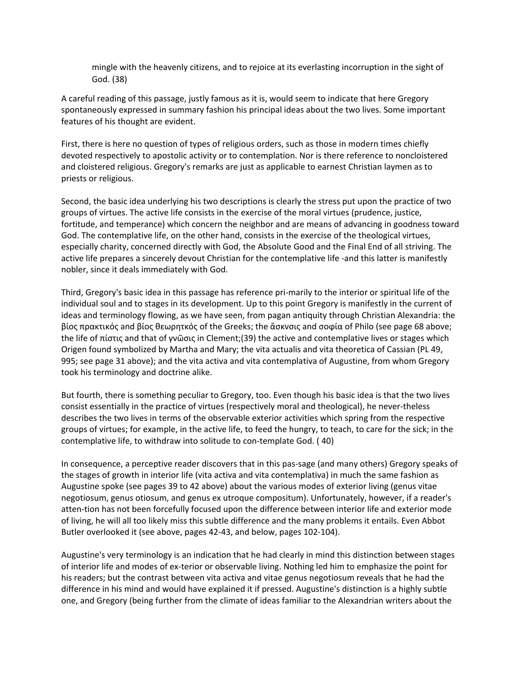mingle with the heavenly citizens, and to rejoice at its everlasting incorruption in the sight of God. (38)

A careful reading of this passage, justly famous as it is, would seem to indicate that here Gregory spontaneously expressed in summary fashion his principal ideas about the two lives. Some important features of his thought are evident.

First, there is here no question of types of religious orders, such as those in modern times chiefly devoted respectively to apostolic activity or to contemplation. Nor is there reference to noncloistered and cloistered religious. Gregory's remarks are just as applicable to earnest Christian laymen as to priests or religious.

Second, the basic idea underlying his two descriptions is clearly the stress put upon the practice of two groups of virtues. The active life consists in the exercise of the moral virtues (prudence, justice, fortitude, and temperance) which concern the neighbor and are means of advancing in goodness toward God. The contemplative life, on the other hand, consists in the exercise of the theological virtues, especially charity, concerned directly with God, the Absolute Good and the Final End of all striving. The active life prepares a sincerely devout Christian for the contemplative life -and this latter is manifestly nobler, since it deals immediately with God.

Third, Gregory's basic idea in this passage has reference pri-marily to the interior or spiritual life of the individual soul and to stages in its development. Up to this point Gregory is manifestly in the current of ideas and terminology flowing, as we have seen, from pagan antiquity through Christian Alexandria: the βίος πρακτικός and βίος θεωρητκός of the Greeks; the ἄσκνσις and σοϕία of Philo (see page 68 above; the life of πίστις and that of γνῶσις in Clement;(39) the active and contemplative lives or stages which Origen found symbolized by Martha and Mary; the vita actualis and vita theoretica of Cassian (PL 49, 995; see page 31 above); and the vita activa and vita contemplativa of Augustine, from whom Gregory took his terminology and doctrine alike.

But fourth, there is something peculiar to Gregory, too. Even though his basic idea is that the two lives consist essentially in the practice of virtues (respectively moral and theological), he never-theless describes the two lives in terms of the observable exterior activities which spring from the respective groups of virtues; for example, in the active life, to feed the hungry, to teach, to care for the sick; in the contemplative life, to withdraw into solitude to con-template God. ( 40)

In consequence, a perceptive reader discovers that in this pas-sage (and many others) Gregory speaks of the stages of growth in interior life (vita activa and vita contemplativa) in much the same fashion as Augustine spoke (see pages 39 to 42 above) about the various modes of exterior living (genus vitae negotiosum, genus otiosum, and genus ex utroque compositum). Unfortunately, however, if a reader's atten-tion has not been forcefully focused upon the difference between interior life and exterior mode of living, he will all too likely miss this subtle difference and the many problems it entails. Even Abbot Butler overlooked it (see above, pages 42-43, and below, pages 102-104).

Augustine's very terminology is an indication that he had clearly in mind this distinction between stages of interior life and modes of ex-terior or observable living. Nothing led him to emphasize the point for his readers; but the contrast between vita activa and vitae genus negotiosum reveals that he had the difference in his mind and would have explained it if pressed. Augustine's distinction is a highly subtle one, and Gregory (being further from the climate of ideas familiar to the Alexandrian writers about the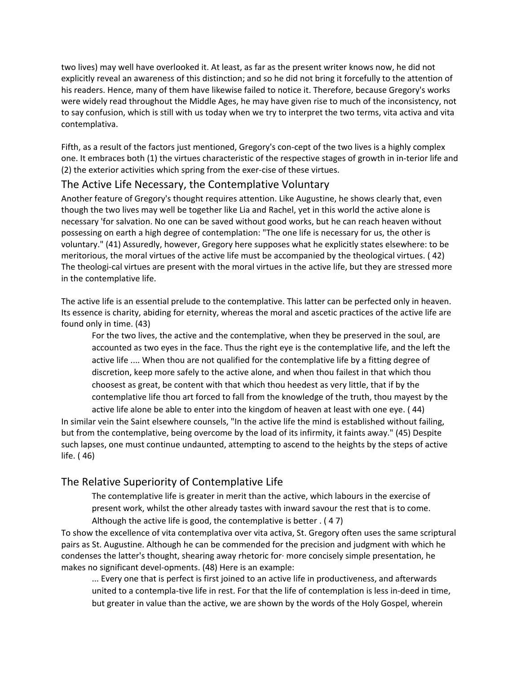two lives) may well have overlooked it. At least, as far as the present writer knows now, he did not explicitly reveal an awareness of this distinction; and so he did not bring it forcefully to the attention of his readers. Hence, many of them have likewise failed to notice it. Therefore, because Gregory's works were widely read throughout the Middle Ages, he may have given rise to much of the inconsistency, not to say confusion, which is still with us today when we try to interpret the two terms, vita activa and vita contemplativa.

Fifth, as a result of the factors just mentioned, Gregory's con-cept of the two lives is a highly complex one. It embraces both (1) the virtues characteristic of the respective stages of growth in in-terior life and (2) the exterior activities which spring from the exer-cise of these virtues.

#### The Active Life Necessary, the Contemplative Voluntary

Another feature of Gregory's thought requires attention. Like Augustine, he shows clearly that, even though the two lives may well be together like Lia and Rachel, yet in this world the active alone is necessary 'for salvation. No one can be saved without good works, but he can reach heaven without possessing on earth a high degree of contemplation: "The one life is necessary for us, the other is voluntary." (41) Assuredly, however, Gregory here supposes what he explicitly states elsewhere: to be meritorious, the moral virtues of the active life must be accompanied by the theological virtues. ( 42) The theologi-cal virtues are present with the moral virtues in the active life, but they are stressed more in the contemplative life.

The active life is an essential prelude to the contemplative. This latter can be perfected only in heaven. Its essence is charity, abiding for eternity, whereas the moral and ascetic practices of the active life are found only in time. (43)

For the two lives, the active and the contemplative, when they be preserved in the soul, are accounted as two eyes in the face. Thus the right eye is the contemplative life, and the left the active life .... When thou are not qualified for the contemplative life by a fitting degree of discretion, keep more safely to the active alone, and when thou failest in that which thou choosest as great, be content with that which thou heedest as very little, that if by the contemplative life thou art forced to fall from the knowledge of the truth, thou mayest by the

active life alone be able to enter into the kingdom of heaven at least with one eye. ( 44) In similar vein the Saint elsewhere counsels, "In the active life the mind is established without failing, but from the contemplative, being overcome by the load of its infirmity, it faints away." (45) Despite such lapses, one must continue undaunted, attempting to ascend to the heights by the steps of active life. ( 46)

#### The Relative Superiority of Contemplative Life

The contemplative life is greater in merit than the active, which labours in the exercise of present work, whilst the other already tastes with inward savour the rest that is to come. Although the active life is good, the contemplative is better . ( 4 7)

To show the excellence of vita contemplativa over vita activa, St. Gregory often uses the same scriptural pairs as St. Augustine. Although he can be commended for the precision and judgment with which he condenses the latter's thought, shearing away rhetoric for· more concisely simple presentation, he makes no significant devel-opments. (48) Here is an example:

... Every one that is perfect is first joined to an active life in productiveness, and afterwards united to a contempla-tive life in rest. For that the life of contemplation is less in-deed in time, but greater in value than the active, we are shown by the words of the Holy Gospel, wherein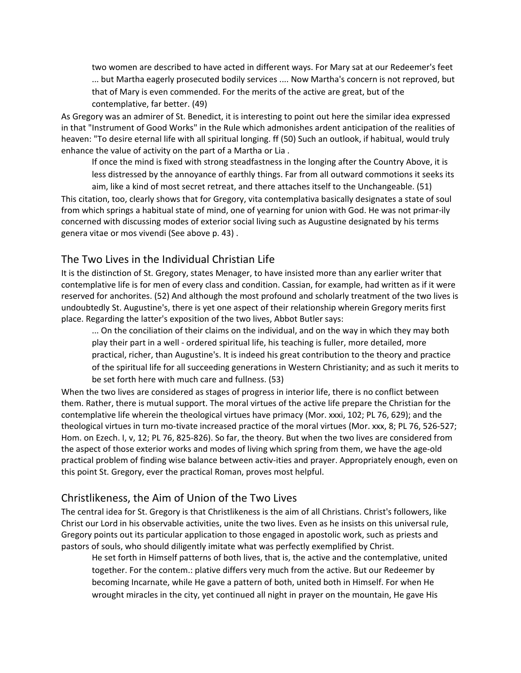two women are described to have acted in different ways. For Mary sat at our Redeemer's feet ... but Martha eagerly prosecuted bodily services .... Now Martha's concern is not reproved, but that of Mary is even commended. For the merits of the active are great, but of the contemplative, far better. (49)

As Gregory was an admirer of St. Benedict, it is interesting to point out here the similar idea expressed in that "Instrument of Good Works" in the Rule which admonishes ardent anticipation of the realities of heaven: "To desire eternal life with all spiritual longing. ff (50) Such an outlook, if habitual, would truly enhance the value of activity on the part of a Martha or Lia .

If once the mind is fixed with strong steadfastness in the longing after the Country Above, it is less distressed by the annoyance of earthly things. Far from all outward commotions it seeks its

aim, like a kind of most secret retreat, and there attaches itself to the Unchangeable. (51) This citation, too, clearly shows that for Gregory, vita contemplativa basically designates a state of soul from which springs a habitual state of mind, one of yearning for union with God. He was not primar-ily concerned with discussing modes of exterior social living such as Augustine designated by his terms genera vitae or mos vivendi (See above p. 43) .

#### The Two Lives in the Individual Christian Life

It is the distinction of St. Gregory, states Menager, to have insisted more than any earlier writer that contemplative life is for men of every class and condition. Cassian, for example, had written as if it were reserved for anchorites. (52) And although the most profound and scholarly treatment of the two lives is undoubtedly St. Augustine's, there is yet one aspect of their relationship wherein Gregory merits first place. Regarding the latter's exposition of the two lives, Abbot Butler says:

... On the conciliation of their claims on the individual, and on the way in which they may both play their part in a well - ordered spiritual life, his teaching is fuller, more detailed, more practical, richer, than Augustine's. It is indeed his great contribution to the theory and practice of the spiritual life for all succeeding generations in Western Christianity; and as such it merits to be set forth here with much care and fullness. (53)

When the two lives are considered as stages of progress in interior life, there is no conflict between them. Rather, there is mutual support. The moral virtues of the active life prepare the Christian for the contemplative life wherein the theological virtues have primacy (Mor. xxxi, 102; PL 76, 629); and the theological virtues in turn mo-tivate increased practice of the moral virtues (Mor. xxx, 8; PL 76, 526-527; Hom. on Ezech. I, v, 12; PL 76, 825-826). So far, the theory. But when the two lives are considered from the aspect of those exterior works and modes of living which spring from them, we have the age-old practical problem of finding wise balance between activ-ities and prayer. Appropriately enough, even on this point St. Gregory, ever the practical Roman, proves most helpful.

#### Christlikeness, the Aim of Union of the Two Lives

The central idea for St. Gregory is that Christlikeness is the aim of all Christians. Christ's followers, like Christ our Lord in his observable activities, unite the two lives. Even as he insists on this universal rule, Gregory points out its particular application to those engaged in apostolic work, such as priests and pastors of souls, who should diligently imitate what was perfectly exemplified by Christ.

He set forth in Himself patterns of both lives, that is, the active and the contemplative, united together. For the contem.: plative differs very much from the active. But our Redeemer by becoming Incarnate, while He gave a pattern of both, united both in Himself. For when He wrought miracles in the city, yet continued all night in prayer on the mountain, He gave His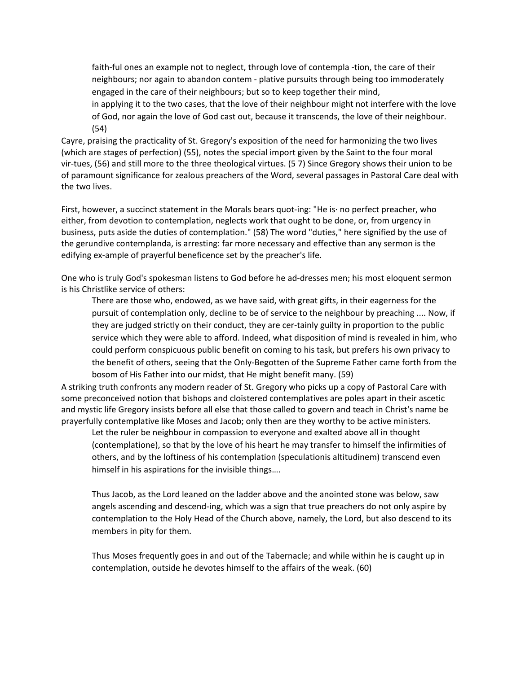faith-ful ones an example not to neglect, through love of contempla -tion, the care of their neighbours; nor again to abandon contem - plative pursuits through being too immoderately engaged in the care of their neighbours; but so to keep together their mind,

in applying it to the two cases, that the love of their neighbour might not interfere with the love of God, nor again the love of God cast out, because it transcends, the love of their neighbour. (54)

Cayre, praising the practicality of St. Gregory's exposition of the need for harmonizing the two lives (which are stages of perfection) (55), notes the special import given by the Saint to the four moral vir-tues, (56) and still more to the three theological virtues. (5 7) Since Gregory shows their union to be of paramount significance for zealous preachers of the Word, several passages in Pastoral Care deal with the two lives.

First, however, a succinct statement in the Morals bears quot-ing: "He is· no perfect preacher, who either, from devotion to contemplation, neglects work that ought to be done, or, from urgency in business, puts aside the duties of contemplation." (58) The word "duties," here signified by the use of the gerundive contemplanda, is arresting: far more necessary and effective than any sermon is the edifying ex-ample of prayerful beneficence set by the preacher's life.

One who is truly God's spokesman listens to God before he ad-dresses men; his most eloquent sermon is his Christlike service of others:

There are those who, endowed, as we have said, with great gifts, in their eagerness for the pursuit of contemplation only, decline to be of service to the neighbour by preaching .... Now, if they are judged strictly on their conduct, they are cer-tainly guilty in proportion to the public service which they were able to afford. Indeed, what disposition of mind is revealed in him, who could perform conspicuous public benefit on coming to his task, but prefers his own privacy to the benefit of others, seeing that the Only-Begotten of the Supreme Father came forth from the bosom of His Father into our midst, that He might benefit many. (59)

A striking truth confronts any modern reader of St. Gregory who picks up a copy of Pastoral Care with some preconceived notion that bishops and cloistered contemplatives are poles apart in their ascetic and mystic life Gregory insists before all else that those called to govern and teach in Christ's name be prayerfully contemplative like Moses and Jacob; only then are they worthy to be active ministers.

Let the ruler be neighbour in compassion to everyone and exalted above all in thought (contemplatione), so that by the love of his heart he may transfer to himself the infirmities of others, and by the loftiness of his contemplation (speculationis altitudinem) transcend even himself in his aspirations for the invisible things….

Thus Jacob, as the Lord leaned on the ladder above and the anointed stone was below, saw angels ascending and descend-ing, which was a sign that true preachers do not only aspire by contemplation to the Holy Head of the Church above, namely, the Lord, but also descend to its members in pity for them.

Thus Moses frequently goes in and out of the Tabernacle; and while within he is caught up in contemplation, outside he devotes himself to the affairs of the weak. (60)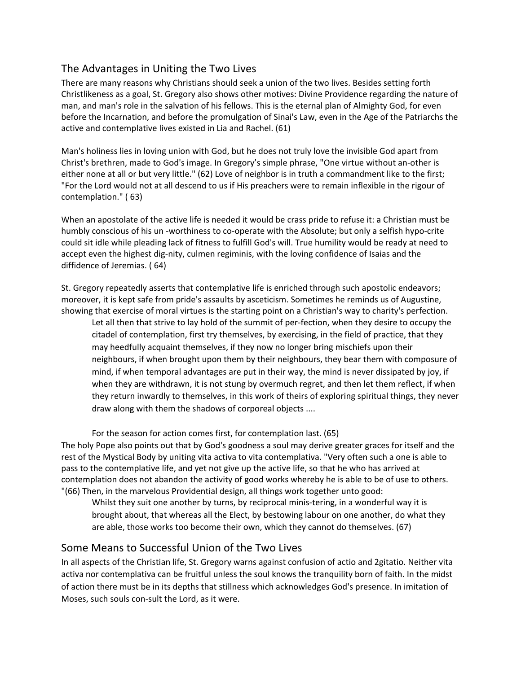#### The Advantages in Uniting the Two Lives

There are many reasons why Christians should seek a union of the two lives. Besides setting forth Christlikeness as a goal, St. Gregory also shows other motives: Divine Providence regarding the nature of man, and man's role in the salvation of his fellows. This is the eternal plan of Almighty God, for even before the Incarnation, and before the promulgation of Sinai's Law, even in the Age of the Patriarchs the active and contemplative lives existed in Lia and Rachel. (61)

Man's holiness lies in loving union with God, but he does not truly love the invisible God apart from Christ's brethren, made to God's image. In Gregory's simple phrase, "One virtue without an-other is either none at all or but very little." (62) Love of neighbor is in truth a commandment like to the first; "For the Lord would not at all descend to us if His preachers were to remain inflexible in the rigour of contemplation." ( 63)

When an apostolate of the active life is needed it would be crass pride to refuse it: a Christian must be humbly conscious of his un -worthiness to co-operate with the Absolute; but only a selfish hypo-crite could sit idle while pleading lack of fitness to fulfill God's will. True humility would be ready at need to accept even the highest dig-nity, culmen regiminis, with the loving confidence of Isaias and the diffidence of Jeremias. ( 64)

St. Gregory repeatedly asserts that contemplative life is enriched through such apostolic endeavors; moreover, it is kept safe from pride's assaults by asceticism. Sometimes he reminds us of Augustine, showing that exercise of moral virtues is the starting point on a Christian's way to charity's perfection.

Let all then that strive to lay hold of the summit of per-fection, when they desire to occupy the citadel of contemplation, first try themselves, by exercising, in the field of practice, that they may heedfully acquaint themselves, if they now no longer bring mischiefs upon their neighbours, if when brought upon them by their neighbours, they bear them with composure of mind, if when temporal advantages are put in their way, the mind is never dissipated by joy, if when they are withdrawn, it is not stung by overmuch regret, and then let them reflect, if when they return inwardly to themselves, in this work of theirs of exploring spiritual things, they never draw along with them the shadows of corporeal objects ....

For the season for action comes first, for contemplation last. (65)

The holy Pope also points out that by God's goodness a soul may derive greater graces for itself and the rest of the Mystical Body by uniting vita activa to vita contemplativa. "Very often such a one is able to pass to the contemplative life, and yet not give up the active life, so that he who has arrived at contemplation does not abandon the activity of good works whereby he is able to be of use to others. "(66) Then, in the marvelous Providential design, all things work together unto good:

Whilst they suit one another by turns, by reciprocal minis-tering, in a wonderful way it is brought about, that whereas all the Elect, by bestowing labour on one another, do what they are able, those works too become their own, which they cannot do themselves. (67)

#### Some Means to Successful Union of the Two Lives

In all aspects of the Christian life, St. Gregory warns against confusion of actio and 2gitatio. Neither vita activa nor contemplativa can be fruitful unless the soul knows the tranquility born of faith. In the midst of action there must be in its depths that stillness which acknowledges God's presence. In imitation of Moses, such souls con-sult the Lord, as it were.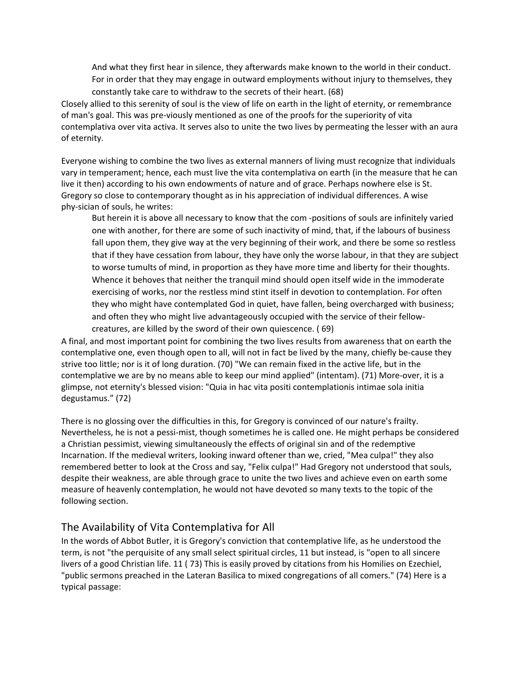And what they first hear in silence, they afterwards make known to the world in their conduct. For in order that they may engage in outward employments without injury to themselves, they constantly take care to withdraw to the secrets of their heart. (68)

Closely allied to this serenity of soul is the view of life on earth in the light of eternity, or remembrance of man's goal. This was pre-viously mentioned as one of the proofs for the superiority of vita contemplativa over vita activa. It serves also to unite the two lives by permeating the lesser with an aura of eternity.

Everyone wishing to combine the two lives as external manners of living must recognize that individuals vary in temperament; hence, each must live the vita contemplativa on earth (in the measure that he can live it then) according to his own endowments of nature and of grace. Perhaps nowhere else is St. Gregory so close to contemporary thought as in his appreciation of individual differences. A wise phy-sician of souls, he writes:

But herein it is above all necessary to know that the com -positions of souls are infinitely varied one with another, for there are some of such inactivity of mind, that, if the labours of business fall upon them, they give way at the very beginning of their work, and there be some so restless that if they have cessation from labour, they have only the worse labour, in that they are subject to worse tumults of mind, in proportion as they have more time and liberty for their thoughts. Whence it behoves that neither the tranquil mind should open itself wide in the immoderate exercising of works, nor the restless mind stint itself in devotion to contemplation. For often they who might have contemplated God in quiet, have fallen, being overcharged with business; and often they who might live advantageously occupied with the service of their fellowcreatures, are killed by the sword of their own quiescence. ( 69)

A final, and most important point for combining the two lives results from awareness that on earth the contemplative one, even though open to all, will not in fact be lived by the many, chiefly be-cause they strive too little; nor is it of long duration. (70) "We can remain fixed in the active life, but in the contemplative we are by no means able to keep our mind applied" (intentam). (71) More-over, it is a glimpse, not eternity's blessed vision: "Quia in hac vita positi contemplationis intimae sola initia degustamus." (72)

There is no glossing over the difficulties in this, for Gregory is convinced of our nature's frailty. Nevertheless, he is not a pessi-mist, though sometimes he is called one. He might perhaps be considered a Christian pessimist, viewing simultaneously the effects of original sin and of the redemptive Incarnation. If the medieval writers, looking inward oftener than we, cried, "Mea culpa!" they also remembered better to look at the Cross and say, "Felix culpa!" Had Gregory not understood that souls, despite their weakness, are able through grace to unite the two lives and achieve even on earth some measure of heavenly contemplation, he would not have devoted so many texts to the topic of the following section.

#### The Availability of Vita Contemplativa for All

In the words of Abbot Butler, it is Gregory's conviction that contemplative life, as he understood the term, is not "the perquisite of any small select spiritual circles, 11 but instead, is "open to all sincere livers of a good Christian life. 11 ( 73) This is easily proved by citations from his Homilies on Ezechiel, "public sermons preached in the Lateran Basilica to mixed congregations of all comers." (74) Here is a typical passage: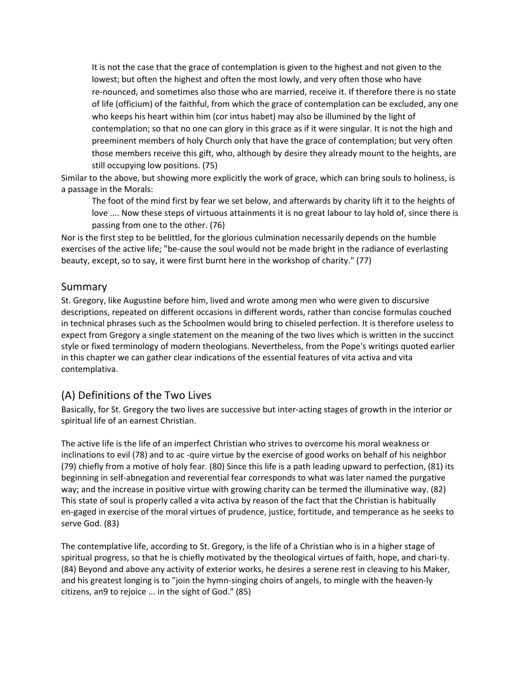It is not the case that the grace of contemplation is given to the highest and not given to the lowest; but often the highest and often the most lowly, and very often those who have re-nounced, and sometimes also those who are married, receive it. If therefore there is no state of life (officium) of the faithful, from which the grace of contemplation can be excluded, any one who keeps his heart within him (cor intus habet) may also be illumined by the light of contemplation; so that no one can glory in this grace as if it were singular. It is not the high and preeminent members of holy Church only that have the grace of contemplation; but very often those members receive this gift, who, although by desire they already mount to the heights, are still occupying low positions. (75)

Similar to the above, but showing more explicitly the work of grace, which can bring souls to holiness, is a passage in the Morals:

The foot of the mind first by fear we set below, and afterwards by charity lift it to the heights of love .... Now these steps of virtuous attainments it is no great labour to lay hold of, since there is passing from one to the other. (76)

Nor is the first step to be belittled, for the glorious culmination necessarily depends on the humble exercises of the active life; "be-cause the soul would not be made bright in the radiance of everlasting beauty, except, so to say, it were first burnt here in the workshop of charity." (77)

## Summary

St. Gregory, like Augustine before him, lived and wrote among men who were given to discursive descriptions, repeated on different occasions in different words, rather than concise formulas couched in technical phrases such as the Schoolmen would bring to chiseled perfection. It is therefore useless to expect from Gregory a single statement on the meaning of the two lives which is written in the succinct style or fixed terminology of modern theologians. Nevertheless, from the Pope's writings quoted earlier in this chapter we can gather clear indications of the essential features of vita activa and vita contemplativa.

## (A) Definitions of the Two Lives

Basically, for St. Gregory the two lives are successive but inter-acting stages of growth in the interior or spiritual life of an earnest Christian.

The active life is the life of an imperfect Christian who strives to overcome his moral weakness or inclinations to evil (78) and to ac -quire virtue by the exercise of good works on behalf of his neighbor (79) chiefly from a motive of holy fear. (80) Since this life is a path leading upward to perfection, (81) its beginning in self-abnegation and reverential fear corresponds to what was later named the purgative way; and the increase in positive virtue with growing charity can be termed the illuminative way. (82) This state of soul is properly called a vita activa by reason of the fact that the Christian is habitually en-gaged in exercise of the moral virtues of prudence, justice, fortitude, and temperance as he seeks to serve God. (83)

The contemplative life, according to St. Gregory, is the life of a Christian who is in a higher stage of spiritual progress, so that he is chiefly motivated by the theological virtues of faith, hope, and chari-ty. (84) Beyond and above any activity of exterior works, he desires a serene rest in cleaving to his Maker, and his greatest longing is to "join the hymn-singing choirs of angels, to mingle with the heaven-ly citizens, an9 to rejoice ... in the sight of God." (85)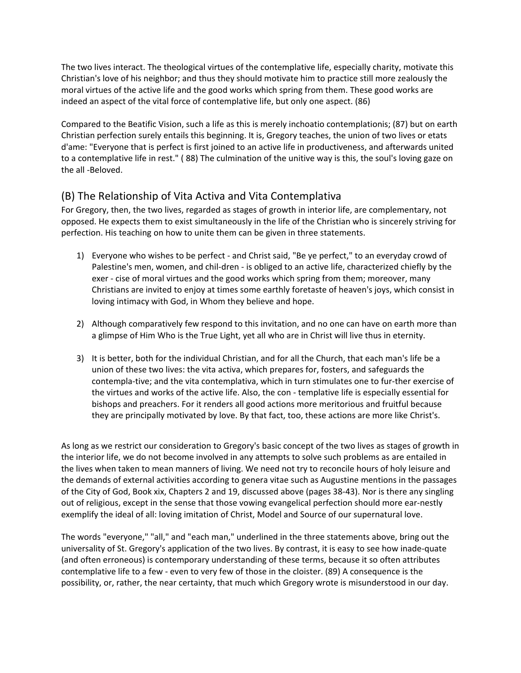The two lives interact. The theological virtues of the contemplative life, especially charity, motivate this Christian's love of his neighbor; and thus they should motivate him to practice still more zealously the moral virtues of the active life and the good works which spring from them. These good works are indeed an aspect of the vital force of contemplative life, but only one aspect. (86)

Compared to the Beatific Vision, such a life as this is merely inchoatio contemplationis; (87) but on earth Christian perfection surely entails this beginning. It is, Gregory teaches, the union of two lives or etats d'ame: "Everyone that is perfect is first joined to an active life in productiveness, and afterwards united to a contemplative life in rest." ( 88) The culmination of the unitive way is this, the soul's loving gaze on the all -Beloved.

## (B) The Relationship of Vita Activa and Vita Contemplativa

For Gregory, then, the two lives, regarded as stages of growth in interior life, are complementary, not opposed. He expects them to exist simultaneously in the life of the Christian who is sincerely striving for perfection. His teaching on how to unite them can be given in three statements.

- 1) Everyone who wishes to be perfect and Christ said, "Be ye perfect," to an everyday crowd of Palestine's men, women, and chil-dren - is obliged to an active life, characterized chiefly by the exer - cise of moral virtues and the good works which spring from them; moreover, many Christians are invited to enjoy at times some earthly foretaste of heaven's joys, which consist in loving intimacy with God, in Whom they believe and hope.
- 2) Although comparatively few respond to this invitation, and no one can have on earth more than a glimpse of Him Who is the True Light, yet all who are in Christ will live thus in eternity.
- 3) It is better, both for the individual Christian, and for all the Church, that each man's life be a union of these two lives: the vita activa, which prepares for, fosters, and safeguards the contempla-tive; and the vita contemplativa, which in turn stimulates one to fur-ther exercise of the virtues and works of the active life. Also, the con - templative life is especially essential for bishops and preachers. For it renders all good actions more meritorious and fruitful because they are principally motivated by love. By that fact, too, these actions are more like Christ's.

As long as we restrict our consideration to Gregory's basic concept of the two lives as stages of growth in the interior life, we do not become involved in any attempts to solve such problems as are entailed in the lives when taken to mean manners of living. We need not try to reconcile hours of holy leisure and the demands of external activities according to genera vitae such as Augustine mentions in the passages of the City of God, Book xix, Chapters 2 and 19, discussed above (pages 38-43). Nor is there any singling out of religious, except in the sense that those vowing evangelical perfection should more ear-nestly exemplify the ideal of all: loving imitation of Christ, Model and Source of our supernatural love.

The words "everyone," "all," and "each man," underlined in the three statements above, bring out the universality of St. Gregory's application of the two lives. By contrast, it is easy to see how inade-quate (and often erroneous) is contemporary understanding of these terms, because it so often attributes contemplative life to a few - even to very few of those in the cloister. (89) A consequence is the possibility, or, rather, the near certainty, that much which Gregory wrote is misunderstood in our day.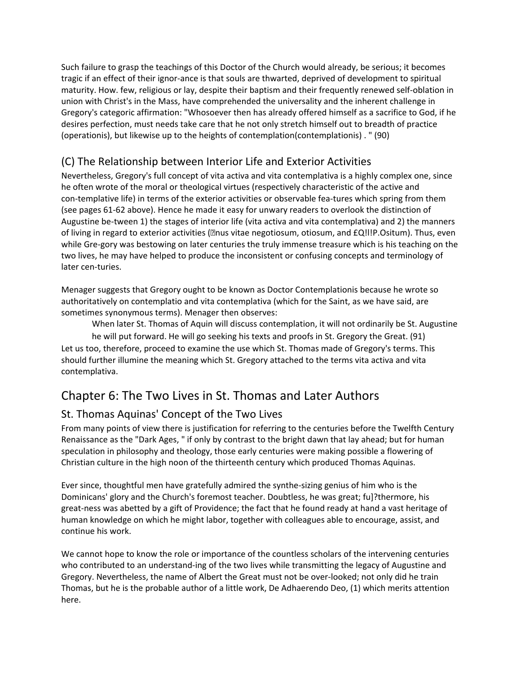Such failure to grasp the teachings of this Doctor of the Church would already, be serious; it becomes tragic if an effect of their ignor-ance is that souls are thwarted, deprived of development to spiritual maturity. How. few, religious or lay, despite their baptism and their frequently renewed self-oblation in union with Christ's in the Mass, have comprehended the universality and the inherent challenge in Gregory's categoric affirmation: "Whosoever then has already offered himself as a sacrifice to God, if he desires perfection, must needs take care that he not only stretch himself out to breadth of practice (operationis), but likewise up to the heights of contemplation(contemplationis) . " (90)

# (C) The Relationship between Interior Life and Exterior Activities

Nevertheless, Gregory's full concept of vita activa and vita contemplativa is a highly complex one, since he often wrote of the moral or theological virtues (respectively characteristic of the active and con-templative life) in terms of the exterior activities or observable fea-tures which spring from them (see pages 61-62 above). Hence he made it easy for unwary readers to overlook the distinction of Augustine be-tween 1) the stages of interior life (vita activa and vita contemplativa) and 2) the manners of living in regard to exterior activities (@nus vitae negotiosum, otiosum, and £Q!!!P.Ositum). Thus, even while Gre-gory was bestowing on later centuries the truly immense treasure which is his teaching on the two lives, he may have helped to produce the inconsistent or confusing concepts and terminology of later cen-turies.

Menager suggests that Gregory ought to be known as Doctor Contemplationis because he wrote so authoritatively on contemplatio and vita contemplativa (which for the Saint, as we have said, are sometimes synonymous terms). Menager then observes:

When later St. Thomas of Aquin will discuss contemplation, it will not ordinarily be St. Augustine

he will put forward. He will go seeking his texts and proofs in St. Gregory the Great. (91) Let us too, therefore, proceed to examine the use which St. Thomas made of Gregory's terms. This should further illumine the meaning which St. Gregory attached to the terms vita activa and vita contemplativa.

# Chapter 6: The Two Lives in St. Thomas and Later Authors

# St. Thomas Aquinas' Concept of the Two Lives

From many points of view there is justification for referring to the centuries before the Twelfth Century Renaissance as the "Dark Ages, " if only by contrast to the bright dawn that lay ahead; but for human speculation in philosophy and theology, those early centuries were making possible a flowering of Christian culture in the high noon of the thirteenth century which produced Thomas Aquinas.

Ever since, thoughtful men have gratefully admired the synthe-sizing genius of him who is the Dominicans' glory and the Church's foremost teacher. Doubtless, he was great; fu]?thermore, his great-ness was abetted by a gift of Providence; the fact that he found ready at hand a vast heritage of human knowledge on which he might labor, together with colleagues able to encourage, assist, and continue his work.

We cannot hope to know the role or importance of the countless scholars of the intervening centuries who contributed to an understand-ing of the two lives while transmitting the legacy of Augustine and Gregory. Nevertheless, the name of Albert the Great must not be over-looked; not only did he train Thomas, but he is the probable author of a little work, De Adhaerendo Deo, (1) which merits attention here.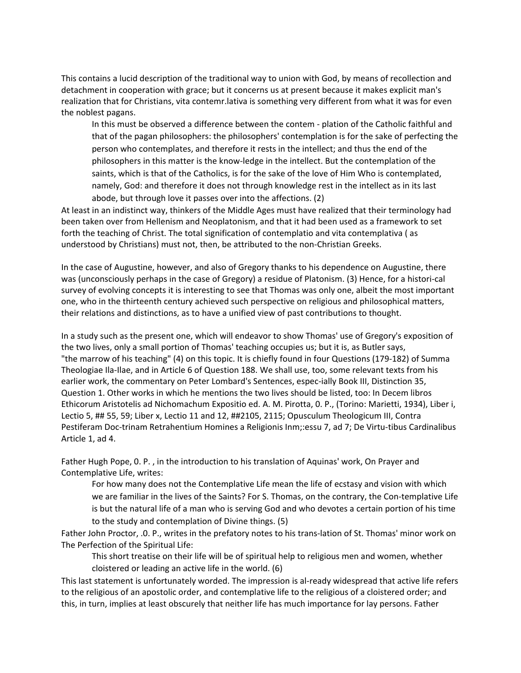This contains a lucid description of the traditional way to union with God, by means of recollection and detachment in cooperation with grace; but it concerns us at present because it makes explicit man's realization that for Christians, vita contemr.lativa is something very different from what it was for even the noblest pagans.

In this must be observed a difference between the contem - plation of the Catholic faithful and that of the pagan philosophers: the philosophers' contemplation is for the sake of perfecting the person who contemplates, and therefore it rests in the intellect; and thus the end of the philosophers in this matter is the know-ledge in the intellect. But the contemplation of the saints, which is that of the Catholics, is for the sake of the love of Him Who is contemplated, namely, God: and therefore it does not through knowledge rest in the intellect as in its last abode, but through love it passes over into the affections. (2)

At least in an indistinct way, thinkers of the Middle Ages must have realized that their terminology had been taken over from Hellenism and Neoplatonism, and that it had been used as a framework to set forth the teaching of Christ. The total signification of contemplatio and vita contemplativa ( as understood by Christians) must not, then, be attributed to the non-Christian Greeks.

In the case of Augustine, however, and also of Gregory thanks to his dependence on Augustine, there was (unconsciously perhaps in the case of Gregory) a residue of Platonism. (3) Hence, for a histori-cal survey of evolving concepts it is interesting to see that Thomas was only one, albeit the most important one, who in the thirteenth century achieved such perspective on religious and philosophical matters, their relations and distinctions, as to have a unified view of past contributions to thought.

In a study such as the present one, which will endeavor to show Thomas' use of Gregory's exposition of the two lives, only a small portion of Thomas' teaching occupies us; but it is, as Butler says, "the marrow of his teaching" (4) on this topic. It is chiefly found in four Questions (179-182) of Summa Theologiae Ila-Ilae, and in Article 6 of Question 188. We shall use, too, some relevant texts from his earlier work, the commentary on Peter Lombard's Sentences, espec-ially Book III, Distinction 35, Question 1. Other works in which he mentions the two lives should be listed, too: In Decem libros Ethicorum Aristotelis ad Nichomachum Expositio ed. A. M. Pirotta, 0. P., (Torino: Marietti, 1934), Liber i, Lectio 5, ## 55, 59; Liber x, Lectio 11 and 12, ##2105, 2115; Opusculum Theologicum III, Contra Pestiferam Doc-trinam Retrahentium Homines a Religionis Inm;:essu 7, ad 7; De Virtu-tibus Cardinalibus Article 1, ad 4.

Father Hugh Pope, 0. P. , in the introduction to his translation of Aquinas' work, On Prayer and Contemplative Life, writes:

For how many does not the Contemplative Life mean the life of ecstasy and vision with which we are familiar in the lives of the Saints? For S. Thomas, on the contrary, the Con-templative Life is but the natural life of a man who is serving God and who devotes a certain portion of his time to the study and contemplation of Divine things. (5)

Father John Proctor, .0. P., writes in the prefatory notes to his trans-lation of St. Thomas' minor work on The Perfection of the Spiritual Life:

This short treatise on their life will be of spiritual help to religious men and women, whether cloistered or leading an active life in the world. (6)

This last statement is unfortunately worded. The impression is al-ready widespread that active life refers to the religious of an apostolic order, and contemplative life to the religious of a cloistered order; and this, in turn, implies at least obscurely that neither life has much importance for lay persons. Father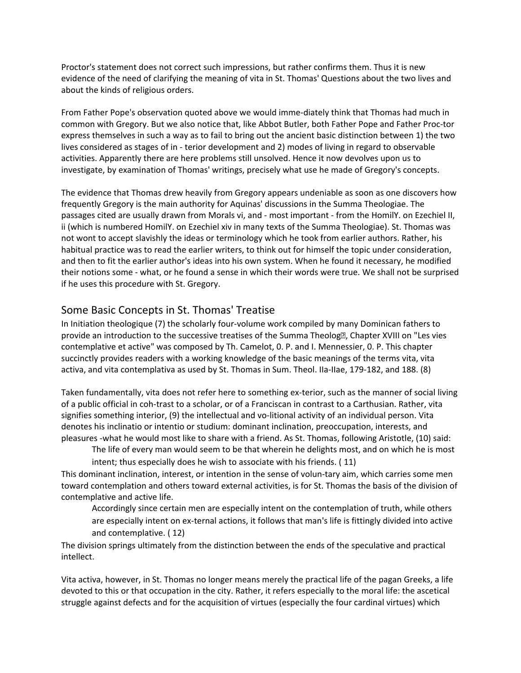Proctor's statement does not correct such impressions, but rather confirms them. Thus it is new evidence of the need of clarifying the meaning of vita in St. Thomas' Questions about the two lives and about the kinds of religious orders.

From Father Pope's observation quoted above we would imme-diately think that Thomas had much in common with Gregory. But we also notice that, like Abbot Butler, both Father Pope and Father Proc-tor express themselves in such a way as to fail to bring out the ancient basic distinction between 1) the two lives considered as stages of in - terior development and 2) modes of living in regard to observable activities. Apparently there are here problems still unsolved. Hence it now devolves upon us to investigate, by examination of Thomas' writings, precisely what use he made of Gregory's concepts.

The evidence that Thomas drew heavily from Gregory appears undeniable as soon as one discovers how frequently Gregory is the main authority for Aquinas' discussions in the Summa Theologiae. The passages cited are usually drawn from Morals vi, and - most important - from the HomilY. on Ezechiel II, ii (which is numbered HomilY. on Ezechiel xiv in many texts of the Summa Theologiae). St. Thomas was not wont to accept slavishly the ideas or terminology which he took from earlier authors. Rather, his habitual practice was to read the earlier writers, to think out for himself the topic under consideration, and then to fit the earlier author's ideas into his own system. When he found it necessary, he modified their notions some - what, or he found a sense in which their words were true. We shall not be surprised if he uses this procedure with St. Gregory.

## Some Basic Concepts in St. Thomas' Treatise

In Initiation theologique (7) the scholarly four-volume work compiled by many Dominican fathers to provide an introduction to the successive treatises of the Summa Theolog�, Chapter XVIII on "Les vies contemplative et active" was composed by Th. Camelot, 0. P. and I. Mennessier, 0. P. This chapter succinctly provides readers with a working knowledge of the basic meanings of the terms vita, vita activa, and vita contemplativa as used by St. Thomas in Sum. Theol. IIa-IIae, 179-182, and 188. (8)

Taken fundamentally, vita does not refer here to something ex-terior, such as the manner of social living of a public official in coh-trast to a scholar, or of a Franciscan in contrast to a Carthusian. Rather, vita signifies something interior, (9) the intellectual and vo-litional activity of an individual person. Vita denotes his inclinatio or intentio or studium: dominant inclination, preoccupation, interests, and pleasures -what he would most like to share with a friend. As St. Thomas, following Aristotle, (10) said:

The life of every man would seem to be that wherein he delights most, and on which he is most

intent; thus especially does he wish to associate with his friends. ( 11)

This dominant inclination, interest, or intention in the sense of volun-tary aim, which carries some men toward contemplation and others toward external activities, is for St. Thomas the basis of the division of contemplative and active life.

Accordingly since certain men are especially intent on the contemplation of truth, while others are especially intent on ex-ternal actions, it follows that man's life is fittingly divided into active and contemplative. ( 12)

The division springs ultimately from the distinction between the ends of the speculative and practical intellect.

Vita activa, however, in St. Thomas no longer means merely the practical life of the pagan Greeks, a life devoted to this or that occupation in the city. Rather, it refers especially to the moral life: the ascetical struggle against defects and for the acquisition of virtues (especially the four cardinal virtues) which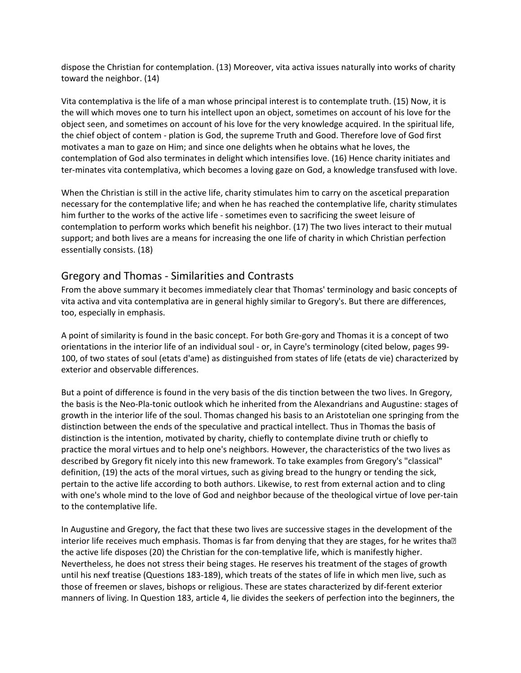dispose the Christian for contemplation. (13) Moreover, vita activa issues naturally into works of charity toward the neighbor. (14)

Vita contemplativa is the life of a man whose principal interest is to contemplate truth. (15) Now, it is the will which moves one to turn his intellect upon an object, sometimes on account of his love for the object seen, and sometimes on account of his love for the very knowledge acquired. In the spiritual life, the chief object of contem - plation is God, the supreme Truth and Good. Therefore love of God first motivates a man to gaze on Him; and since one delights when he obtains what he loves, the contemplation of God also terminates in delight which intensifies love. (16) Hence charity initiates and ter-minates vita contemplativa, which becomes a loving gaze on God, a knowledge transfused with love.

When the Christian is still in the active life, charity stimulates him to carry on the ascetical preparation necessary for the contemplative life; and when he has reached the contemplative life, charity stimulates him further to the works of the active life - sometimes even to sacrificing the sweet leisure of contemplation to perform works which benefit his neighbor. (17) The two lives interact to their mutual support; and both lives are a means for increasing the one life of charity in which Christian perfection essentially consists. (18)

## Gregory and Thomas - Similarities and Contrasts

From the above summary it becomes immediately clear that Thomas' terminology and basic concepts of vita activa and vita contemplativa are in general highly similar to Gregory's. But there are differences, too, especially in emphasis.

A point of similarity is found in the basic concept. For both Gre-gory and Thomas it is a concept of two orientations in the interior life of an individual soul - or, in Cayre's terminology (cited below, pages 99- 100, of two states of soul (etats d'ame) as distinguished from states of life (etats de vie) characterized by exterior and observable differences.

But a point of difference is found in the very basis of the dis tinction between the two lives. In Gregory, the basis is the Neo-Pla-tonic outlook which he inherited from the Alexandrians and Augustine: stages of growth in the interior life of the soul. Thomas changed his basis to an Aristotelian one springing from the distinction between the ends of the speculative and practical intellect. Thus in Thomas the basis of distinction is the intention, motivated by charity, chiefly to contemplate divine truth or chiefly to practice the moral virtues and to help one's neighbors. However, the characteristics of the two lives as described by Gregory fit nicely into this new framework. To take examples from Gregory's "classical" definition, (19) the acts of the moral virtues, such as giving bread to the hungry or tending the sick, pertain to the active life according to both authors. Likewise, to rest from external action and to cling with one's whole mind to the love of God and neighbor because of the theological virtue of love per-tain to the contemplative life.

In Augustine and Gregory, the fact that these two lives are successive stages in the development of the interior life receives much emphasis. Thomas is far from denying that they are stages, for he writes tha<sup>[2]</sup> the active life disposes (20) the Christian for the con-templative life, which is manifestly higher. Nevertheless, he does not stress their being stages. He reserves his treatment of the stages of growth until his nexf treatise (Questions 183-189), which treats of the states of life in which men live, such as those of freemen or slaves, bishops or religious. These are states characterized by dif-ferent exterior manners of living. In Question 183, article 4, lie divides the seekers of perfection into the beginners, the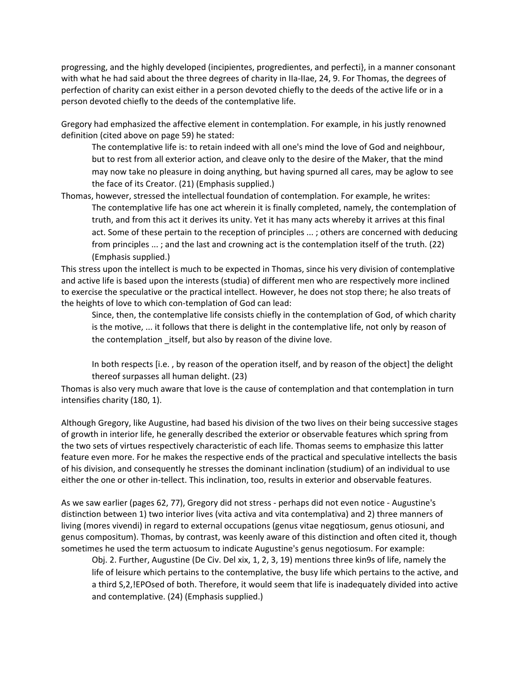progressing, and the highly developed (incipientes, progredientes, and perfecti}, in a manner consonant with what he had said about the three degrees of charity in IIa-IIae, 24, 9. For Thomas, the degrees of perfection of charity can exist either in a person devoted chiefly to the deeds of the active life or in a person devoted chiefly to the deeds of the contemplative life.

Gregory had emphasized the affective element in contemplation. For example, in his justly renowned definition (cited above on page 59) he stated:

The contemplative life is: to retain indeed with all one's mind the love of God and neighbour, but to rest from all exterior action, and cleave only to the desire of the Maker, that the mind may now take no pleasure in doing anything, but having spurned all cares, may be aglow to see the face of its Creator. (21) (Emphasis supplied.)

Thomas, however, stressed the intellectual foundation of contemplation. For example, he writes: The contemplative life has one act wherein it is finally completed, namely, the contemplation of truth, and from this act it derives its unity. Yet it has many acts whereby it arrives at this final act. Some of these pertain to the reception of principles ... ; others are concerned with deducing from principles ... ; and the last and crowning act is the contemplation itself of the truth. (22) (Emphasis supplied.)

This stress upon the intellect is much to be expected in Thomas, since his very division of contemplative and active life is based upon the interests (studia) of different men who are respectively more inclined to exercise the speculative or the practical intellect. However, he does not stop there; he also treats of the heights of love to which con-templation of God can lead:

Since, then, the contemplative life consists chiefly in the contemplation of God, of which charity is the motive, ... it follows that there is delight in the contemplative life, not only by reason of the contemplation itself, but also by reason of the divine love.

In both respects [i.e. , by reason of the operation itself, and by reason of the object] the delight thereof surpasses all human delight. (23)

Thomas is also very much aware that love is the cause of contemplation and that contemplation in turn intensifies charity (180, 1).

Although Gregory, like Augustine, had based his division of the two lives on their being successive stages of growth in interior life, he generally described the exterior or observable features which spring from the two sets of virtues respectively characteristic of each life. Thomas seems to emphasize this latter feature even more. For he makes the respective ends of the practical and speculative intellects the basis of his division, and consequently he stresses the dominant inclination (studium) of an individual to use either the one or other in-tellect. This inclination, too, results in exterior and observable features.

As we saw earlier (pages 62, 77), Gregory did not stress - perhaps did not even notice - Augustine's distinction between 1) two interior lives (vita activa and vita contemplativa) and 2) three manners of living (mores vivendi) in regard to external occupations (genus vitae negqtiosum, genus otiosuni, and genus compositum). Thomas, by contrast, was keenly aware of this distinction and often cited it, though sometimes he used the term actuosum to indicate Augustine's genus negotiosum. For example:

Obj. 2. Further, Augustine (De Civ. Del xix, 1, 2, 3, 19) mentions three kin9s of life, namely the life of leisure which pertains to the contemplative, the busy life which pertains to the active, and a third S,2,!EPOsed of both. Therefore, it would seem that life is inadequately divided into active and contemplative. (24) (Emphasis supplied.)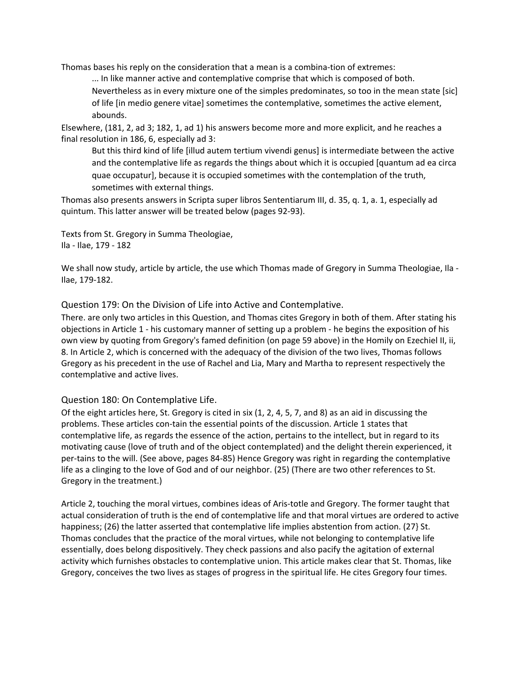Thomas bases his reply on the consideration that a mean is a combina-tion of extremes:

... In like manner active and contemplative comprise that which is composed of both. Nevertheless as in every mixture one of the simples predominates, so too in the mean state [sic] of life [in medio genere vitae] sometimes the contemplative, sometimes the active element, abounds.

Elsewhere, (181, 2, ad 3; 182, 1, ad 1) his answers become more and more explicit, and he reaches a final resolution in 186, 6, especially ad 3:

But this third kind of life [illud autem tertium vivendi genus] is intermediate between the active and the contemplative life as regards the things about which it is occupied [quantum ad ea circa quae occupatur], because it is occupied sometimes with the contemplation of the truth, sometimes with external things.

Thomas also presents answers in Scripta super libros Sententiarum III, d. 35, q. 1, a. 1, especially ad quintum. This latter answer will be treated below (pages 92-93).

Texts from St. Gregory in Summa Theologiae, Ila - Ilae, 179 - 182

We shall now study, article by article, the use which Thomas made of Gregory in Summa Theologiae, Ila - Ilae, 179-182.

Question 179: On the Division of Life into Active and Contemplative.

There. are only two articles in this Question, and Thomas cites Gregory in both of them. After stating his objections in Article 1 - his customary manner of setting up a problem - he begins the exposition of his own view by quoting from Gregory's famed definition (on page 59 above) in the Homily on Ezechiel II, ii, 8. In Article 2, which is concerned with the adequacy of the division of the two lives, Thomas follows Gregory as his precedent in the use of Rachel and Lia, Mary and Martha to represent respectively the contemplative and active lives.

## Question 180: On Contemplative Life.

Of the eight articles here, St. Gregory is cited in six (1, 2, 4, 5, 7, and 8) as an aid in discussing the problems. These articles con-tain the essential points of the discussion. Article 1 states that contemplative life, as regards the essence of the action, pertains to the intellect, but in regard to its motivating cause (love of truth and of the object contemplated) and the delight therein experienced, it per-tains to the will. (See above, pages 84-85) Hence Gregory was right in regarding the contemplative life as a clinging to the love of God and of our neighbor. (25) (There are two other references to St. Gregory in the treatment.)

Article 2, touching the moral virtues, combines ideas of Aris-totle and Gregory. The former taught that actual consideration of truth is the end of contemplative life and that moral virtues are ordered to active happiness; (26) the latter asserted that contemplative life implies abstention from action. (27} St. Thomas concludes that the practice of the moral virtues, while not belonging to contemplative life essentially, does belong dispositively. They check passions and also pacify the agitation of external activity which furnishes obstacles to contemplative union. This article makes clear that St. Thomas, like Gregory, conceives the two lives as stages of progress in the spiritual life. He cites Gregory four times.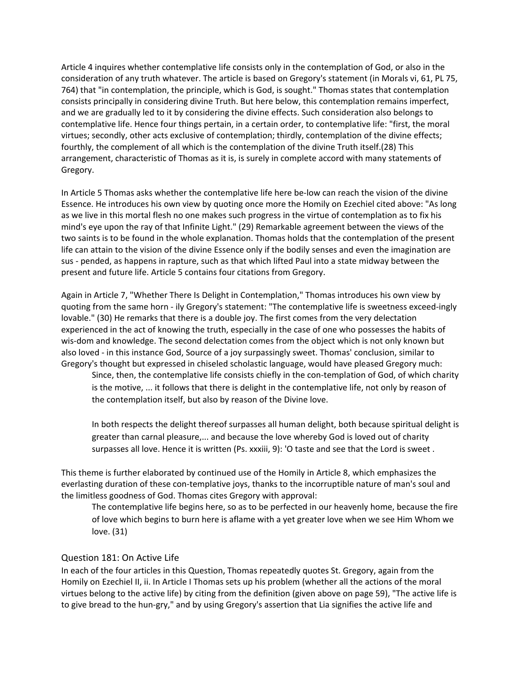Article 4 inquires whether contemplative life consists only in the contemplation of God, or also in the consideration of any truth whatever. The article is based on Gregory's statement (in Morals vi, 61, PL 75, 764) that "in contemplation, the principle, which is God, is sought." Thomas states that contemplation consists principally in considering divine Truth. But here below, this contemplation remains imperfect, and we are gradually led to it by considering the divine effects. Such consideration also belongs to contemplative life. Hence four things pertain, in a certain order, to contemplative life: "first, the moral virtues; secondly, other acts exclusive of contemplation; thirdly, contemplation of the divine effects; fourthly, the complement of all which is the contemplation of the divine Truth itself.(28) This arrangement, characteristic of Thomas as it is, is surely in complete accord with many statements of Gregory.

In Article 5 Thomas asks whether the contemplative life here be-low can reach the vision of the divine Essence. He introduces his own view by quoting once more the Homily on Ezechiel cited above: "As long as we live in this mortal flesh no one makes such progress in the virtue of contemplation as to fix his mind's eye upon the ray of that Infinite Light." (29) Remarkable agreement between the views of the two saints is to be found in the whole explanation. Thomas holds that the contemplation of the present life can attain to the vision of the divine Essence only if the bodily senses and even the imagination are sus - pended, as happens in rapture, such as that which lifted Paul into a state midway between the present and future life. Article 5 contains four citations from Gregory.

Again in Article 7, "Whether There Is Delight in Contemplation," Thomas introduces his own view by quoting from the same horn - ily Gregory's statement: "The contemplative life is sweetness exceed-ingly lovable." (30) He remarks that there is a double joy. The first comes from the very delectation experienced in the act of knowing the truth, especially in the case of one who possesses the habits of wis-dom and knowledge. The second delectation comes from the object which is not only known but also loved - in this instance God, Source of a joy surpassingly sweet. Thomas' conclusion, similar to Gregory's thought but expressed in chiseled scholastic language, would have pleased Gregory much:

Since, then, the contemplative life consists chiefly in the con-templation of God, of which charity is the motive, ... it follows that there is delight in the contemplative life, not only by reason of the contemplation itself, but also by reason of the Divine love.

In both respects the delight thereof surpasses all human delight, both because spiritual delight is greater than carnal pleasure,... and because the love whereby God is loved out of charity surpasses all love. Hence it is written (Ps. xxxiii, 9): 'O taste and see that the Lord is sweet .

This theme is further elaborated by continued use of the Homily in Article 8, which emphasizes the everlasting duration of these con-templative joys, thanks to the incorruptible nature of man's soul and the limitless goodness of God. Thomas cites Gregory with approval:

The contemplative life begins here, so as to be perfected in our heavenly home, because the fire of love which begins to burn here is aflame with a yet greater love when we see Him Whom we love. (31)

#### Question 181: On Active Life

In each of the four articles in this Question, Thomas repeatedly quotes St. Gregory, again from the Homily on Ezechiel II, ii. In Article I Thomas sets up his problem (whether all the actions of the moral virtues belong to the active life) by citing from the definition (given above on page 59), "The active life is to give bread to the hun-gry," and by using Gregory's assertion that Lia signifies the active life and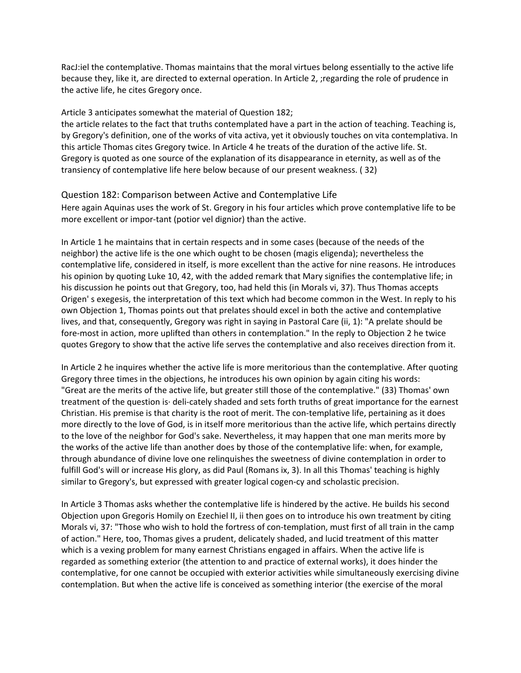RacJ:iel the contemplative. Thomas maintains that the moral virtues belong essentially to the active life because they, like it, are directed to external operation. In Article 2, ;regarding the role of prudence in the active life, he cites Gregory once.

#### Article 3 anticipates somewhat the material of Question 182;

the article relates to the fact that truths contemplated have a part in the action of teaching. Teaching is, by Gregory's definition, one of the works of vita activa, yet it obviously touches on vita contemplativa. In this article Thomas cites Gregory twice. In Article 4 he treats of the duration of the active life. St. Gregory is quoted as one source of the explanation of its disappearance in eternity, as well as of the transiency of contemplative life here below because of our present weakness. ( 32)

#### Question 182: Comparison between Active and Contemplative Life

Here again Aquinas uses the work of St. Gregory in his four articles which prove contemplative life to be more excellent or impor-tant (potior vel dignior) than the active.

In Article 1 he maintains that in certain respects and in some cases (because of the needs of the neighbor) the active life is the one which ought to be chosen (magis eligenda); nevertheless the contemplative life, considered in itself, is more excellent than the active for nine reasons. He introduces his opinion by quoting Luke 10, 42, with the added remark that Mary signifies the contemplative life; in his discussion he points out that Gregory, too, had held this (in Morals vi, 37). Thus Thomas accepts Origen' s exegesis, the interpretation of this text which had become common in the West. In reply to his own Objection 1, Thomas points out that prelates should excel in both the active and contemplative lives, and that, consequently, Gregory was right in saying in Pastoral Care (ii, 1): "A prelate should be fore-most in action, more uplifted than others in contemplation." In the reply to Objection 2 he twice quotes Gregory to show that the active life serves the contemplative and also receives direction from it.

In Article 2 he inquires whether the active life is more meritorious than the contemplative. After quoting Gregory three times in the objections, he introduces his own opinion by again citing his words: "Great are the merits of the active life, but greater still those of the contemplative." (33) Thomas' own treatment of the question is· deli-cately shaded and sets forth truths of great importance for the earnest Christian. His premise is that charity is the root of merit. The con-templative life, pertaining as it does more directly to the love of God, is in itself more meritorious than the active life, which pertains directly to the love of the neighbor for God's sake. Nevertheless, it may happen that one man merits more by the works of the active life than another does by those of the contemplative life: when, for example, through abundance of divine love one relinquishes the sweetness of divine contemplation in order to fulfill God's will or increase His glory, as did Paul (Romans ix, 3). In all this Thomas' teaching is highly similar to Gregory's, but expressed with greater logical cogen-cy and scholastic precision.

In Article 3 Thomas asks whether the contemplative life is hindered by the active. He builds his second Objection upon Gregoris Homily on Ezechiel II, ii then goes on to introduce his own treatment by citing Morals vi, 37: "Those who wish to hold the fortress of con-templation, must first of all train in the camp of action." Here, too, Thomas gives a prudent, delicately shaded, and lucid treatment of this matter which is a vexing problem for many earnest Christians engaged in affairs. When the active life is regarded as something exterior (the attention to and practice of external works), it does hinder the contemplative, for one cannot be occupied with exterior activities while simultaneously exercising divine contemplation. But when the active life is conceived as something interior (the exercise of the moral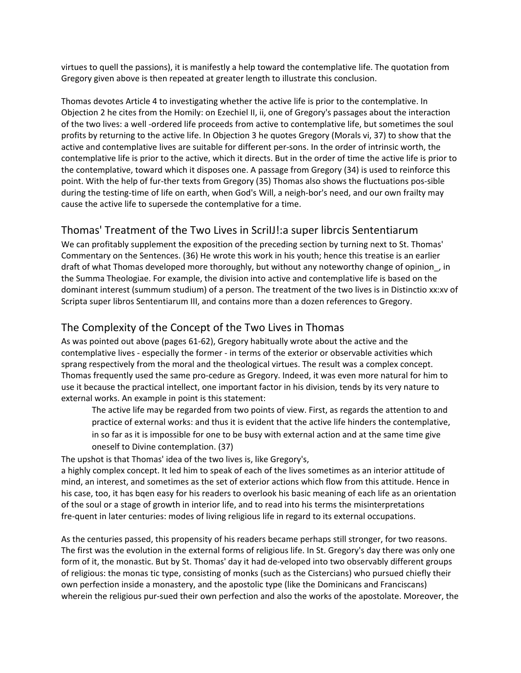virtues to quell the passions), it is manifestly a help toward the contemplative life. The quotation from Gregory given above is then repeated at greater length to illustrate this conclusion.

Thomas devotes Article 4 to investigating whether the active life is prior to the contemplative. In Objection 2 he cites from the Homily: on Ezechiel II, ii, one of Gregory's passages about the interaction of the two lives: a well -ordered life proceeds from active to contemplative life, but sometimes the soul profits by returning to the active life. In Objection 3 he quotes Gregory (Morals vi, 37) to show that the active and contemplative lives are suitable for different per-sons. In the order of intrinsic worth, the contemplative life is prior to the active, which it directs. But in the order of time the active life is prior to the contemplative, toward which it disposes one. A passage from Gregory (34) is used to reinforce this point. With the help of fur-ther texts from Gregory (35) Thomas also shows the fluctuations pos-sible during the testing-time of life on earth, when God's Will, a neigh-bor's need, and our own frailty may cause the active life to supersede the contemplative for a time.

# Thomas' Treatment of the Two Lives in ScriIJ!:a super librcis Sententiarum

We can profitably supplement the exposition of the preceding section by turning next to St. Thomas' Commentary on the Sentences. (36) He wrote this work in his youth; hence this treatise is an earlier draft of what Thomas developed more thoroughly, but without any noteworthy change of opinion\_, in the Summa Theologiae. For example, the division into active and contemplative life is based on the dominant interest (summum studium) of a person. The treatment of the two lives is in Distinctio xx:xv of Scripta super libros Sententiarum III, and contains more than a dozen references to Gregory.

# The Complexity of the Concept of the Two Lives in Thomas

As was pointed out above (pages 61-62), Gregory habitually wrote about the active and the contemplative lives - especially the former - in terms of the exterior or observable activities which sprang respectively from the moral and the theological virtues. The result was a complex concept. Thomas frequently used the same pro-cedure as Gregory. Indeed, it was even more natural for him to use it because the practical intellect, one important factor in his division, tends by its very nature to external works. An example in point is this statement:

The active life may be regarded from two points of view. First, as regards the attention to and practice of external works: and thus it is evident that the active life hinders the contemplative, in so far as it is impossible for one to be busy with external action and at the same time give oneself to Divine contemplation. (37)

The upshot is that Thomas' idea of the two lives is, like Gregory's,

a highly complex concept. It led him to speak of each of the lives sometimes as an interior attitude of mind, an interest, and sometimes as the set of exterior actions which flow from this attitude. Hence in his case, too, it has bqen easy for his readers to overlook his basic meaning of each life as an orientation of the soul or a stage of growth in interior life, and to read into his terms the misinterpretations fre-quent in later centuries: modes of living religious life in regard to its external occupations.

As the centuries passed, this propensity of his readers became perhaps still stronger, for two reasons. The first was the evolution in the external forms of religious life. In St. Gregory's day there was only one form of it, the monastic. But by St. Thomas' day it had de-veloped into two observably different groups of religious: the monas tic type, consisting of monks (such as the Cistercians) who pursued chiefly their own perfection inside a monastery, and the apostolic type (like the Dominicans and Franciscans) wherein the religious pur-sued their own perfection and also the works of the apostolate. Moreover, the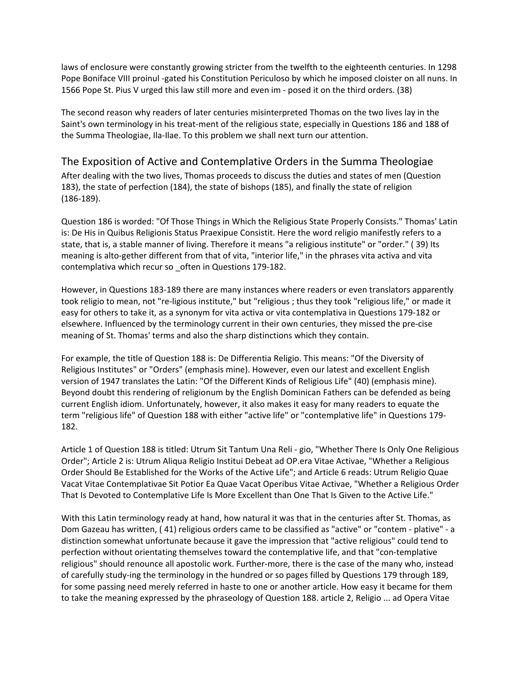laws of enclosure were constantly growing stricter from the twelfth to the eighteenth centuries. In 1298 Pope Boniface VIII proinul -gated his Constitution Periculoso by which he imposed cloister on all nuns. In 1566 Pope St. Pius V urged this law still more and even im - posed it on the third orders. (38)

The second reason why readers of later centuries misinterpreted Thomas on the two lives lay in the Saint's own terminology in his treat-ment of the religious state, especially in Questions 186 and 188 of the Summa Theologiae, Ila-Ilae. To this problem we shall next turn our attention.

## The Exposition of Active and Contemplative Orders in the Summa Theologiae

After dealing with the two lives, Thomas proceeds to discuss the duties and states of men (Question 183), the state of perfection (184), the state of bishops (185), and finally the state of religion (186-189).

Question 186 is worded: "Of Those Things in Which the Religious State Properly Consists." Thomas' Latin is: De His in Quibus Religionis Status Praexipue Consistit. Here the word religio manifestly refers to a state, that is, a stable manner of living. Therefore it means "a religious institute" or "order." ( 39) Its meaning is alto-gether different from that of vita, "interior life," in the phrases vita activa and vita contemplativa which recur so \_often in Questions 179-182.

However, in Questions 183-189 there are many instances where readers or even translators apparently took religio to mean, not "re-ligious institute," but "religious ; thus they took "religious life," or made it easy for others to take it, as a synonym for vita activa or vita contemplativa in Questions 179-182 or elsewhere. Influenced by the terminology current in their own centuries, they missed the pre-cise meaning of St. Thomas' terms and also the sharp distinctions which they contain.

For example, the title of Question 188 is: De Differentia Religio. This means: "Of the Diversity of Religious Institutes" or "Orders" (emphasis mine). However, even our latest and excellent English version of 1947 translates the Latin: "Of the Different Kinds of Religious Life" (40) (emphasis mine). Beyond doubt this rendering of religionum by the English Dominican Fathers can be defended as being current English idiom. Unfortunately, however, it also makes it easy for many readers to equate the term "religious life" of Question 188 with either "active life" or "contemplative life" in Questions 179- 182.

Article 1 of Question 188 is titled: Utrum Sit Tantum Una Reli - gio, "Whether There Is Only One Religious Order"; Article 2 is: Utrum Aliqua Religio Institui Debeat ad OP.era Vitae Activae, "Whether a Religious Order Should Be Established for the Works of the Active Life"; and Article 6 reads: Utrum Religio Quae Vacat Vitae Contemplativae Sit Potior Ea Quae Vacat Operibus Vitae Activae, "Whether a Religious Order That Is Devoted to Contemplative Life Is More Excellent than One That Is Given to the Active Life."

With this Latin terminology ready at hand, how natural it was that in the centuries after St. Thomas, as Dom Gazeau has written, ( 41) religious orders came to be classified as "active" or "contem - plative" - a distinction somewhat unfortunate because it gave the impression that "active religious" could tend to perfection without orientating themselves toward the contemplative life, and that "con-templative religious" should renounce all apostolic work. Further-more, there is the case of the many who, instead of carefully study-ing the terminology in the hundred or so pages filled by Questions 179 through 189, for some passing need merely referred in haste to one or another article. How easy it became for them to take the meaning expressed by the phraseology of Question 188. article 2, Religio ... ad Opera Vitae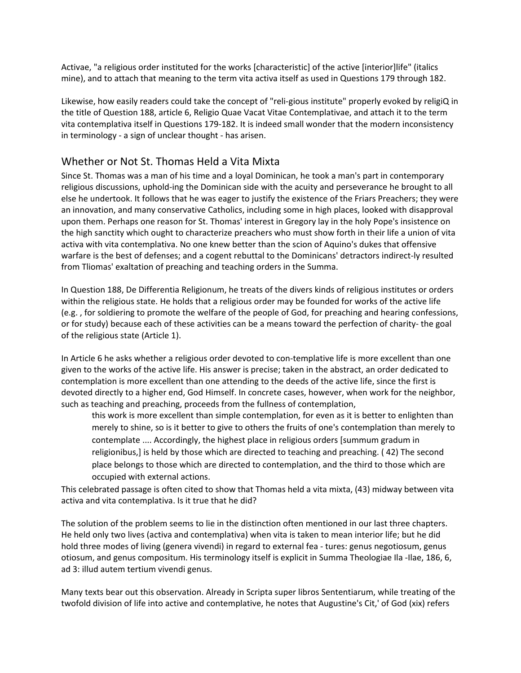Activae, "a religious order instituted for the works [characteristic] of the active [interior]life" (italics mine), and to attach that meaning to the term vita activa itself as used in Questions 179 through 182.

Likewise, how easily readers could take the concept of "reli-gious institute" properly evoked by religiQ in the title of Question 188, article 6, Religio Quae Vacat Vitae Contemplativae, and attach it to the term vita contemplativa itself in Questions 179-182. It is indeed small wonder that the modern inconsistency in terminology - a sign of unclear thought - has arisen.

## Whether or Not St. Thomas Held a Vita Mixta

Since St. Thomas was a man of his time and a loyal Dominican, he took a man's part in contemporary religious discussions, uphold-ing the Dominican side with the acuity and perseverance he brought to all else he undertook. It follows that he was eager to justify the existence of the Friars Preachers; they were an innovation, and many conservative Catholics, including some in high places, looked with disapproval upon them. Perhaps one reason for St. Thomas' interest in Gregory lay in the holy Pope's insistence on the high sanctity which ought to characterize preachers who must show forth in their life a union of vita activa with vita contemplativa. No one knew better than the scion of Aquino's dukes that offensive warfare is the best of defenses; and a cogent rebuttal to the Dominicans' detractors indirect-ly resulted from Tliomas' exaltation of preaching and teaching orders in the Summa.

In Question 188, De Differentia Religionum, he treats of the divers kinds of religious institutes or orders within the religious state. He holds that a religious order may be founded for works of the active life (e.g. , for soldiering to promote the welfare of the people of God, for preaching and hearing confessions, or for study) because each of these activities can be a means toward the perfection of charity- the goal of the religious state (Article 1).

In Article 6 he asks whether a religious order devoted to con-templative life is more excellent than one given to the works of the active life. His answer is precise; taken in the abstract, an order dedicated to contemplation is more excellent than one attending to the deeds of the active life, since the first is devoted directly to a higher end, God Himself. In concrete cases, however, when work for the neighbor, such as teaching and preaching, proceeds from the fullness of contemplation,

this work is more excellent than simple contemplation, for even as it is better to enlighten than merely to shine, so is it better to give to others the fruits of one's contemplation than merely to contemplate .... Accordingly, the highest place in religious orders [summum gradum in religionibus,] is held by those which are directed to teaching and preaching. ( 42) The second place belongs to those which are directed to contemplation, and the third to those which are occupied with external actions.

This celebrated passage is often cited to show that Thomas held a vita mixta, (43) midway between vita activa and vita contemplativa. Is it true that he did?

The solution of the problem seems to lie in the distinction often mentioned in our last three chapters. He held only two lives (activa and contemplativa) when vita is taken to mean interior life; but he did hold three modes of living (genera vivendi) in regard to external fea - tures: genus negotiosum, genus otiosum, and genus compositum. His terminology itself is explicit in Summa Theologiae Ila -Ilae, 186, 6, ad 3: illud autem tertium vivendi genus.

Many texts bear out this observation. Already in Scripta super libros Sententiarum, while treating of the twofold division of life into active and contemplative, he notes that Augustine's Cit,' of God (xix) refers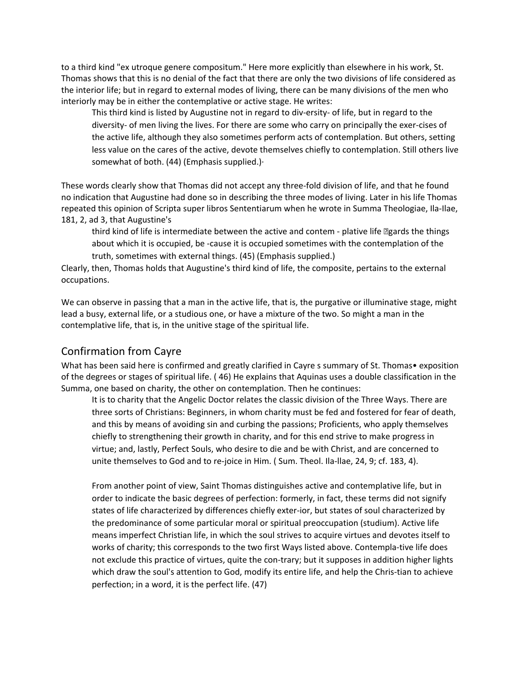to a third kind "ex utroque genere compositum." Here more explicitly than elsewhere in his work, St. Thomas shows that this is no denial of the fact that there are only the two divisions of life considered as the interior life; but in regard to external modes of living, there can be many divisions of the men who interiorly may be in either the contemplative or active stage. He writes:

This third kind is listed by Augustine not in regard to div-ersity- of life, but in regard to the diversity- of men living the lives. For there are some who carry on principally the exer-cises of the active life, although they also sometimes perform acts of contemplation. But others, setting less value on the cares of the active, devote themselves chiefly to contemplation. Still others live somewhat of both. (44) (Emphasis supplied.)·

These words clearly show that Thomas did not accept any three-fold division of life, and that he found no indication that Augustine had done so in describing the three modes of living. Later in his life Thomas repeated this opinion of Scripta super libros Sententiarum when he wrote in Summa Theologiae, Ila-Ilae, 181, 2, ad 3, that Augustine's

third kind of life is intermediate between the active and contem - plative life *D***gards** the things about which it is occupied, be -cause it is occupied sometimes with the contemplation of the truth, sometimes with external things. (45) (Emphasis supplied.)

Clearly, then, Thomas holds that Augustine's third kind of life, the composite, pertains to the external occupations.

We can observe in passing that a man in the active life, that is, the purgative or illuminative stage, might lead a busy, external life, or a studious one, or have a mixture of the two. So might a man in the contemplative life, that is, in the unitive stage of the spiritual life.

## Confirmation from Cayre

What has been said here is confirmed and greatly clarified in Cayre s summary of St. Thomas • exposition of the degrees or stages of spiritual life. ( 46) He explains that Aquinas uses a double classification in the Summa, one based on charity, the other on contemplation. Then he continues:

It is to charity that the Angelic Doctor relates the classic division of the Three Ways. There are three sorts of Christians: Beginners, in whom charity must be fed and fostered for fear of death, and this by means of avoiding sin and curbing the passions; Proficients, who apply themselves chiefly to strengthening their growth in charity, and for this end strive to make progress in virtue; and, lastly, Perfect Souls, who desire to die and be with Christ, and are concerned to unite themselves to God and to re-joice in Him. ( Sum. Theol. Ila-llae, 24, 9; cf. 183, 4).

From another point of view, Saint Thomas distinguishes active and contemplative life, but in order to indicate the basic degrees of perfection: formerly, in fact, these terms did not signify states of life characterized by differences chiefly exter-ior, but states of soul characterized by the predominance of some particular moral or spiritual preoccupation (studium). Active life means imperfect Christian life, in which the soul strives to acquire virtues and devotes itself to works of charity; this corresponds to the two first Ways listed above. Contempla-tive life does not exclude this practice of virtues, quite the con-trary; but it supposes in addition higher lights which draw the soul's attention to God, modify its entire life, and help the Chris-tian to achieve perfection; in a word, it is the perfect life. (47)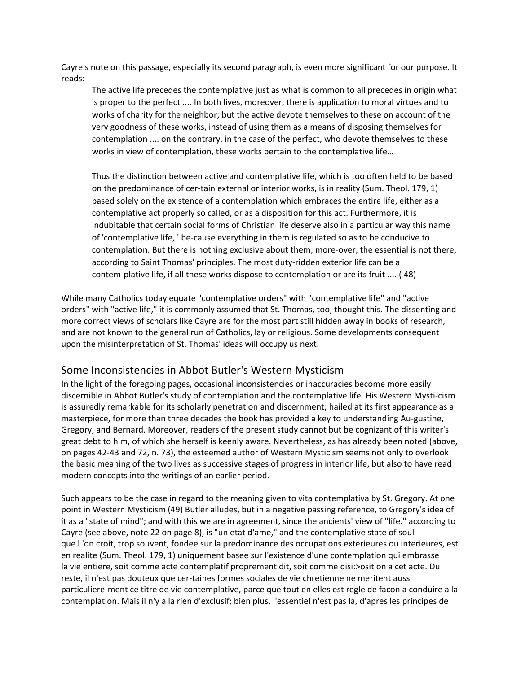Cayre's note on this passage, especially its second paragraph, is even more significant for our purpose. It reads:

The active life precedes the contemplative just as what is common to all precedes in origin what is proper to the perfect .... In both lives, moreover, there is application to moral virtues and to works of charity for the neighbor; but the active devote themselves to these on account of the very goodness of these works, instead of using them as a means of disposing themselves for contemplation .... on the contrary. in the case of the perfect, who devote themselves to these works in view of contemplation, these works pertain to the contemplative life…

Thus the distinction between active and contemplative life, which is too often held to be based on the predominance of cer-tain external or interior works, is in reality (Sum. Theol. 179, 1) based solely on the existence of a contemplation which embraces the entire life, either as a contemplative act properly so called, or as a disposition for this act. Furthermore, it is indubitable that certain social forms of Christian life deserve also in a particular way this name of 'contemplative life, ' be-cause everything in them is regulated so as to be conducive to contemplation. But there is nothing exclusive about them; more-over, the essential is not there, according to Saint Thomas' principles. The most duty-ridden exterior life can be a contem-plative life, if all these works dispose to contemplation or are its fruit .... ( 48)

While many Catholics today equate "contemplative orders" with "contemplative life" and "active orders" with "active life," it is commonly assumed that St. Thomas, too, thought this. The dissenting and more correct views of scholars like Cayre are for the most part still hidden away in books of research, and are not known to the general run of Catholics, lay or religious. Some developments consequent upon the misinterpretation of St. Thomas' ideas will occupy us next.

## Some Inconsistencies in Abbot Butler's Western Mysticism

In the light of the foregoing pages, occasional inconsistencies or inaccuracies become more easily discernible in Abbot Butler's study of contemplation and the contemplative life. His Western Mysti-cism is assuredly remarkable for its scholarly penetration and discernment; hailed at its first appearance as a masterpiece, for more than three decades the book has provided a key to understanding Au-gustine, Gregory, and Bernard. Moreover, readers of the present study cannot but be cognizant of this writer's great debt to him, of which she herself is keenly aware. Nevertheless, as has already been noted (above, on pages 42-43 and 72, n. 73), the esteemed author of Western Mysticism seems not only to overlook the basic meaning of the two lives as successive stages of progress in interior life, but also to have read modern concepts into the writings of an earlier period.

Such appears to be the case in regard to the meaning given to vita contemplativa by St. Gregory. At one point in Western Mysticism (49) Butler alludes, but in a negative passing reference, to Gregory's idea of it as a "state of mind"; and with this we are in agreement, since the ancients' view of "life." according to Cayre (see above, note 22 on page 8), is "un etat d'ame," and the contemplative state of soul que l 'on croit, trop souvent, fondee sur la predominance des occupations exterieures ou interieures, est en realite (Sum. Theol. 179, 1) uniquement basee sur l'existence d'une contemplation qui embrasse la vie entiere, soit comme acte contemplatif proprement dit, soit comme disi:>osition a cet acte. Du reste, il n'est pas douteux que cer-taines formes sociales de vie chretienne ne meritent aussi particuliere-ment ce titre de vie contemplative, parce que tout en elles est regle de facon a conduire a la contemplation. Mais il n'y a la rien d'exclusif; bien plus, l'essentiel n'est pas la, d'apres les principes de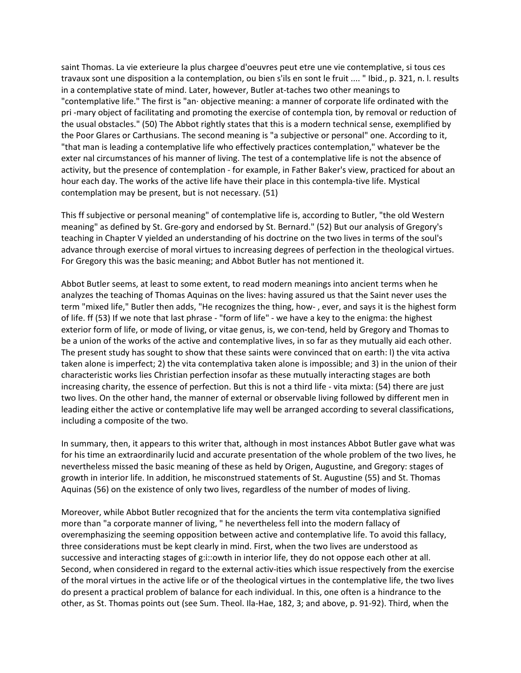saint Thomas. La vie exterieure la plus chargee d'oeuvres peut etre une vie contemplative, si tous ces travaux sont une disposition a la contemplation, ou bien s'ils en sont le fruit .... " Ibid., p. 321, n. l. results in a contemplative state of mind. Later, however, Butler at-taches two other meanings to "contemplative life." The first is "an· objective meaning: a manner of corporate life ordinated with the pri -mary object of facilitating and promoting the exercise of contempla tion, by removal or reduction of the usual obstacles." (50) The Abbot rightly states that this is a modern technical sense, exemplified by the Poor Glares or Carthusians. The second meaning is "a subjective or personal" one. According to it, "that man is leading a contemplative life who effectively practices contemplation," whatever be the exter nal circumstances of his manner of living. The test of a contemplative life is not the absence of activity, but the presence of contemplation - for example, in Father Baker's view, practiced for about an hour each day. The works of the active life have their place in this contempla-tive life. Mystical contemplation may be present, but is not necessary. (51)

This ff subjective or personal meaning" of contemplative life is, according to Butler, "the old Western meaning" as defined by St. Gre-gory and endorsed by St. Bernard." (52) But our analysis of Gregory's teaching in Chapter V yielded an understanding of his doctrine on the two lives in terms of the soul's advance through exercise of moral virtues to increasing degrees of perfection in the theological virtues. For Gregory this was the basic meaning; and Abbot Butler has not mentioned it.

Abbot Butler seems, at least to some extent, to read modern meanings into ancient terms when he analyzes the teaching of Thomas Aquinas on the lives: having assured us that the Saint never uses the term "mixed life," Butler then adds, "He recognizes the thing, how- , ever, and says it is the highest form of life. ff (53) If we note that last phrase - "form of life" - we have a key to the enigma: the highest exterior form of life, or mode of living, or vitae genus, is, we con-tend, held by Gregory and Thomas to be a union of the works of the active and contemplative lives, in so far as they mutually aid each other. The present study has sought to show that these saints were convinced that on earth: l) the vita activa taken alone is imperfect; 2) the vita contemplativa taken alone is impossible; and 3) in the union of their characteristic works lies Christian perfection insofar as these mutually interacting stages are both increasing charity, the essence of perfection. But this is not a third life - vita mixta: (54) there are just two lives. On the other hand, the manner of external or observable living followed by different men in leading either the active or contemplative life may well be arranged according to several classifications, including a composite of the two.

In summary, then, it appears to this writer that, although in most instances Abbot Butler gave what was for his time an extraordinarily lucid and accurate presentation of the whole problem of the two lives, he nevertheless missed the basic meaning of these as held by Origen, Augustine, and Gregory: stages of growth in interior life. In addition, he misconstrued statements of St. Augustine (55) and St. Thomas Aquinas (56) on the existence of only two lives, regardless of the number of modes of living.

Moreover, while Abbot Butler recognized that for the ancients the term vita contemplativa signified more than "a corporate manner of living, " he nevertheless fell into the modern fallacy of overemphasizing the seeming opposition between active and contemplative life. To avoid this fallacy, three considerations must be kept clearly in mind. First, when the two lives are understood as successive and interacting stages of g:i::owth in interior life, they do not oppose each other at all. Second, when considered in regard to the external activ-ities which issue respectively from the exercise of the moral virtues in the active life or of the theological virtues in the contemplative life, the two lives do present a practical problem of balance for each individual. In this, one often is a hindrance to the other, as St. Thomas points out (see Sum. Theol. Ila-Hae, 182, 3; and above, p. 91-92). Third, when the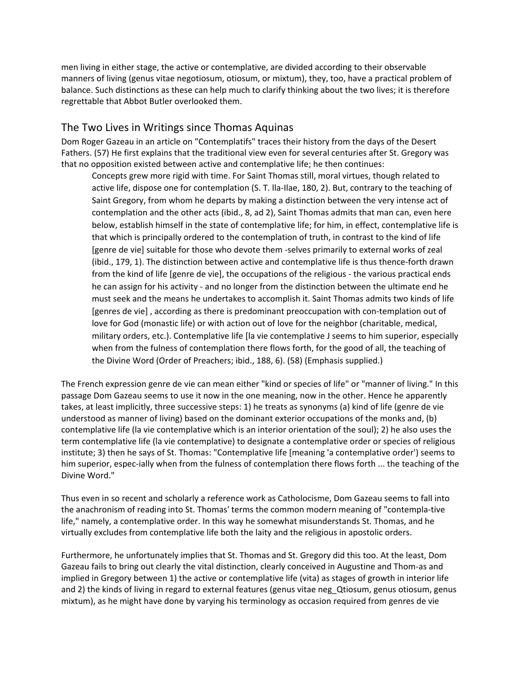men living in either stage, the active or contemplative, are divided according to their observable manners of living (genus vitae negotiosum, otiosum, or mixtum), they, too, have a practical problem of balance. Such distinctions as these can help much to clarify thinking about the two lives; it is therefore regrettable that Abbot Butler overlooked them.

## The Two Lives in Writings since Thomas Aquinas

Dom Roger Gazeau in an article on "Contemplatifs" traces their history from the days of the Desert Fathers. (57) He first explains that the traditional view even for several centuries after St. Gregory was that no opposition existed between active and contemplative life; he then continues:

Concepts grew more rigid with time. For Saint Thomas still, moral virtues, though related to active life, dispose one for contemplation (S. T. lla-Ilae, 180, 2). But, contrary to the teaching of Saint Gregory, from whom he departs by making a distinction between the very intense act of contemplation and the other acts (ibid., 8, ad 2), Saint Thomas admits that man can, even here below, establish himself in the state of contemplative life; for him, in effect, contemplative life is that which is principally ordered to the contemplation of truth, in contrast to the kind of life [genre de vie] suitable for those who devote them -selves primarily to external works of zeal (ibid., 179, 1). The distinction between active and contemplative life is thus thence-forth drawn from the kind of life [genre de vie], the occupations of the religious - the various practical ends he can assign for his activity - and no longer from the distinction between the ultimate end he must seek and the means he undertakes to accomplish it. Saint Thomas admits two kinds of life [genres de vie] , according as there is predominant preoccupation with con-templation out of love for God (monastic life) or with action out of love for the neighbor (charitable, medical, military orders, etc.). Contemplative life [la vie contemplative J seems to him superior, especially when from the fulness of contemplation there flows forth, for the good of all, the teaching of the Divine Word (Order of Preachers; ibid., 188, 6). (58) (Emphasis supplied.)

The French expression genre de vie can mean either "kind or species of life" or "manner of living." In this passage Dom Gazeau seems to use it now in the one meaning, now in the other. Hence he apparently takes, at least implicitly, three successive steps: 1) he treats as synonyms (a) kind of life (genre de vie understood as manner of living) based on the dominant exterior occupations of the monks and, (b) contemplative life (la vie contemplative which is an interior orientation of the soul); 2) he also uses the term contemplative life (la vie contemplative) to designate a contemplative order or species of religious institute; 3) then he says of St. Thomas: "Contemplative life [meaning 'a contemplative order') seems to him superior, espec-ially when from the fulness of contemplation there flows forth ... the teaching of the Divine Word."

Thus even in so recent and scholarly a reference work as Catholocisme, Dom Gazeau seems to fall into the anachronism of reading into St. Thomas' terms the common modern meaning of "contempla-tive life," namely, a contemplative order. In this way he somewhat misunderstands St. Thomas, and he virtually excludes from contemplative life both the laity and the religious in apostolic orders.

Furthermore, he unfortunately implies that St. Thomas and St. Gregory did this too. At the least, Dom Gazeau fails to bring out clearly the vital distinction, clearly conceived in Augustine and Thom-as and implied in Gregory between 1) the active or contemplative life (vita) as stages of growth in interior life and 2) the kinds of living in regard to external features (genus vitae neg\_Qtiosum, genus otiosum, genus mixtum), as he might have done by varying his terminology as occasion required from genres de vie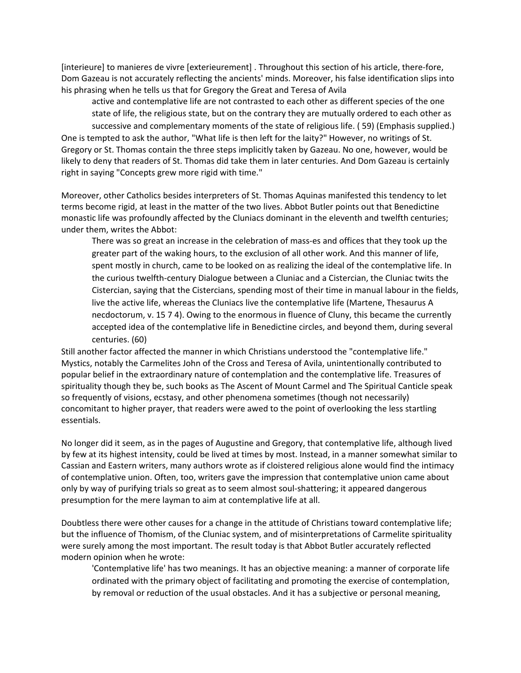[interieure] to manieres de vivre [exterieurement] . Throughout this section of his article, there-fore, Dom Gazeau is not accurately reflecting the ancients' minds. Moreover, his false identification slips into his phrasing when he tells us that for Gregory the Great and Teresa of Avila

active and contemplative life are not contrasted to each other as different species of the one state of life, the religious state, but on the contrary they are mutually ordered to each other as successive and complementary moments of the state of religious life. ( 59) (Emphasis supplied.) One is tempted to ask the author, "What life is then left for the laity?" However, no writings of St. Gregory or St. Thomas contain the three steps implicitly taken by Gazeau. No one, however, would be likely to deny that readers of St. Thomas did take them in later centuries. And Dom Gazeau is certainly right in saying "Concepts grew more rigid with time."

Moreover, other Catholics besides interpreters of St. Thomas Aquinas manifested this tendency to let terms become rigid, at least in the matter of the two lives. Abbot Butler points out that Benedictine monastic life was profoundly affected by the Cluniacs dominant in the eleventh and twelfth centuries; under them, writes the Abbot:

There was so great an increase in the celebration of mass-es and offices that they took up the greater part of the waking hours, to the exclusion of all other work. And this manner of life, spent mostly in church, came to be looked on as realizing the ideal of the contemplative life. In the curious twelfth-century Dialogue between a Cluniac and a Cistercian, the Cluniac twits the Cistercian, saying that the Cistercians, spending most of their time in manual labour in the fields, live the active life, whereas the Cluniacs live the contemplative life (Martene, Thesaurus A necdoctorum, v. 15 7 4). Owing to the enormous in fluence of Cluny, this became the currently accepted idea of the contemplative life in Benedictine circles, and beyond them, during several centuries. (60)

Still another factor affected the manner in which Christians understood the "contemplative life." Mystics, notably the Carmelites John of the Cross and Teresa of Avila, unintentionally contributed to popular belief in the extraordinary nature of contemplation and the contemplative life. Treasures of spirituality though they be, such books as The Ascent of Mount Carmel and The Spiritual Canticle speak so frequently of visions, ecstasy, and other phenomena sometimes (though not necessarily) concomitant to higher prayer, that readers were awed to the point of overlooking the less startling essentials.

No longer did it seem, as in the pages of Augustine and Gregory, that contemplative life, although lived by few at its highest intensity, could be lived at times by most. Instead, in a manner somewhat similar to Cassian and Eastern writers, many authors wrote as if cloistered religious alone would find the intimacy of contemplative union. Often, too, writers gave the impression that contemplative union came about only by way of purifying trials so great as to seem almost soul-shattering; it appeared dangerous presumption for the mere layman to aim at contemplative life at all.

Doubtless there were other causes for a change in the attitude of Christians toward contemplative life; but the influence of Thomism, of the Cluniac system, and of misinterpretations of Carmelite spirituality were surely among the most important. The result today is that Abbot Butler accurately reflected modern opinion when he wrote:

'Contemplative life' has two meanings. It has an objective meaning: a manner of corporate life ordinated with the primary object of facilitating and promoting the exercise of contemplation, by removal or reduction of the usual obstacles. And it has a subjective or personal meaning,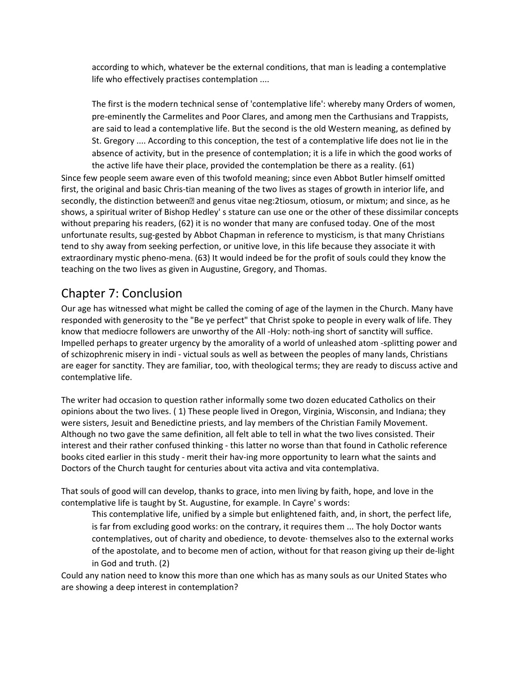according to which, whatever be the external conditions, that man is leading a contemplative life who effectively practises contemplation ....

The first is the modern technical sense of 'contemplative life': whereby many Orders of women, pre-eminently the Carmelites and Poor Clares, and among men the Carthusians and Trappists, are said to lead a contemplative life. But the second is the old Western meaning, as defined by St. Gregory .... According to this conception, the test of a contemplative life does not lie in the absence of activity, but in the presence of contemplation; it is a life in which the good works of the active life have their place, provided the contemplation be there as a reality. (61)

Since few people seem aware even of this twofold meaning; since even Abbot Butler himself omitted first, the original and basic Chris-tian meaning of the two lives as stages of growth in interior life, and secondly, the distinction between<sup>®</sup> and genus vitae neg:2tiosum, otiosum, or mixtum; and since, as he shows, a spiritual writer of Bishop Hedley' s stature can use one or the other of these dissimilar concepts without preparing his readers, (62) it is no wonder that many are confused today. One of the most unfortunate results, sug-gested by Abbot Chapman in reference to mysticism, is that many Christians tend to shy away from seeking perfection, or unitive love, in this life because they associate it with extraordinary mystic pheno-mena. (63) It would indeed be for the profit of souls could they know the teaching on the two lives as given in Augustine, Gregory, and Thomas.

# Chapter 7: Conclusion

Our age has witnessed what might be called the coming of age of the laymen in the Church. Many have responded with generosity to the "Be ye perfect" that Christ spoke to people in every walk of life. They know that mediocre followers are unworthy of the All -Holy: noth-ing short of sanctity will suffice. Impelled perhaps to greater urgency by the amorality of a world of unleashed atom -splitting power and of schizophrenic misery in indi - victual souls as well as between the peoples of many lands, Christians are eager for sanctity. They are familiar, too, with theological terms; they are ready to discuss active and contemplative life.

The writer had occasion to question rather informally some two dozen educated Catholics on their opinions about the two lives. ( 1) These people lived in Oregon, Virginia, Wisconsin, and Indiana; they were sisters, Jesuit and Benedictine priests, and lay members of the Christian Family Movement. Although no two gave the same definition, all felt able to tell in what the two lives consisted. Their interest and their rather confused thinking - this latter no worse than that found in Catholic reference books cited earlier in this study - merit their hav-ing more opportunity to learn what the saints and Doctors of the Church taught for centuries about vita activa and vita contemplativa.

That souls of good will can develop, thanks to grace, into men living by faith, hope, and love in the contemplative life is taught by St. Augustine, for example. In Cayre' s words:

This contemplative life, unified by a simple but enlightened faith, and, in short, the perfect life, is far from excluding good works: on the contrary, it requires them ... The holy Doctor wants contemplatives, out of charity and obedience, to devote· themselves also to the external works of the apostolate, and to become men of action, without for that reason giving up their de-light in God and truth. (2)

Could any nation need to know this more than one which has as many souls as our United States who are showing a deep interest in contemplation?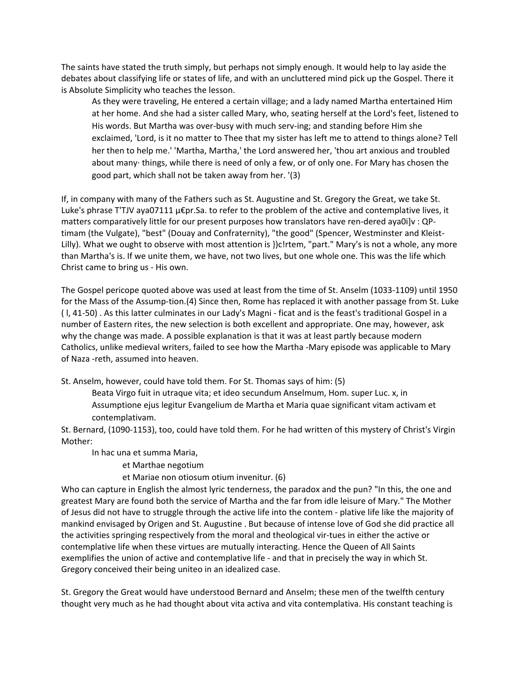The saints have stated the truth simply, but perhaps not simply enough. It would help to lay aside the debates about classifying life or states of life, and with an uncluttered mind pick up the Gospel. There it is Absolute Simplicity who teaches the lesson.

As they were traveling, He entered a certain village; and a lady named Martha entertained Him at her home. And she had a sister called Mary, who, seating herself at the Lord's feet, listened to His words. But Martha was over-busy with much serv-ing; and standing before Him she exclaimed, 'Lord, is it no matter to Thee that my sister has left me to attend to things alone? Tell her then to help me.' 'Martha, Martha,' the Lord answered her, 'thou art anxious and troubled about many· things, while there is need of only a few, or of only one. For Mary has chosen the good part, which shall not be taken away from her. '(3)

If, in company with many of the Fathers such as St. Augustine and St. Gregory the Great, we take St. Luke's phrase T'TJV aya07111 µ€pr.Sa. to refer to the problem of the active and contemplative lives, it matters comparatively little for our present purposes how translators have ren-dered aya0i]v : QPtimam (the Vulgate), "best" (Douay and Confraternity), "the good" (Spencer, Westminster and Kleist-Lilly). What we ought to observe with most attention is })c!rtem, "part." Mary's is not a whole, any more than Martha's is. If we unite them, we have, not two lives, but one whole one. This was the life which Christ came to bring us - His own.

The Gospel pericope quoted above was used at least from the time of St. Anselm (1033-1109) until 1950 for the Mass of the Assump-tion.(4) Since then, Rome has replaced it with another passage from St. Luke ( l, 41-50) . As this latter culminates in our Lady's Magni - ficat and is the feast's traditional Gospel in a number of Eastern rites, the new selection is both excellent and appropriate. One may, however, ask why the change was made. A possible explanation is that it was at least partly because modern Catholics, unlike medieval writers, failed to see how the Martha -Mary episode was applicable to Mary of Naza -reth, assumed into heaven.

St. Anselm, however, could have told them. For St. Thomas says of him: (5)

Beata Virgo fuit in utraque vita; et ideo secundum Anselmum, Hom. super Luc. x, in Assumptione ejus legitur Evangelium de Martha et Maria quae significant vitam activam et contemplativam.

St. Bernard, (1090-1153), too, could have told them. For he had written of this mystery of Christ's Virgin Mother:

In hac una et summa Maria,

et Marthae negotium

et Mariae non otiosum otium invenitur. (6)

Who can capture in English the almost lyric tenderness, the paradox and the pun? "In this, the one and greatest Mary are found both the service of Martha and the far from idle leisure of Mary." The Mother of Jesus did not have to struggle through the active life into the contem - plative life like the majority of mankind envisaged by Origen and St. Augustine . But because of intense love of God she did practice all the activities springing respectively from the moral and theological vir-tues in either the active or contemplative life when these virtues are mutually interacting. Hence the Queen of All Saints exemplifies the union of active and contemplative life - and that in precisely the way in which St. Gregory conceived their being uniteo in an idealized case.

St. Gregory the Great would have understood Bernard and Anselm; these men of the twelfth century thought very much as he had thought about vita activa and vita contemplativa. His constant teaching is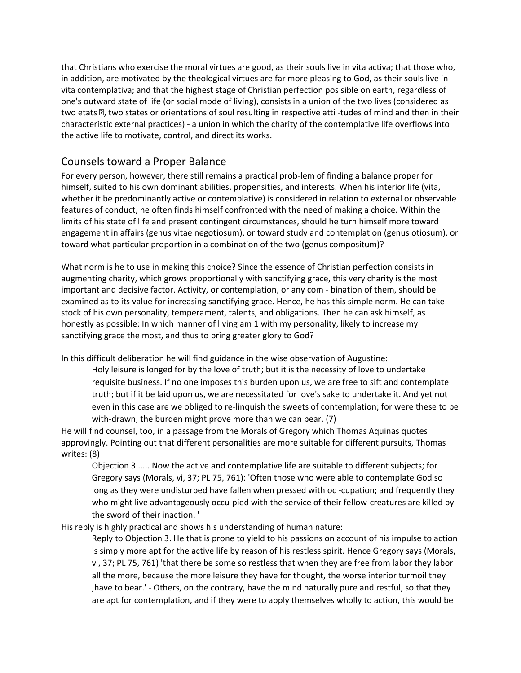that Christians who exercise the moral virtues are good, as their souls live in vita activa; that those who, in addition, are motivated by the theological virtues are far more pleasing to God, as their souls live in vita contemplativa; and that the highest stage of Christian perfection pos sible on earth, regardless of one's outward state of life (or social mode of living), consists in a union of the two lives (considered as two etats  $\mathbb B$ , two states or orientations of soul resulting in respective atti-tudes of mind and then in their characteristic external practices) - a union in which the charity of the contemplative life overflows into the active life to motivate, control, and direct its works.

## Counsels toward a Proper Balance

For every person, however, there still remains a practical prob-lem of finding a balance proper for himself, suited to his own dominant abilities, propensities, and interests. When his interior life (vita, whether it be predominantly active or contemplative) is considered in relation to external or observable features of conduct, he often finds himself confronted with the need of making a choice. Within the limits of his state of life and present contingent circumstances, should he turn himself more toward engagement in affairs (genus vitae negotiosum), or toward study and contemplation (genus otiosum), or toward what particular proportion in a combination of the two (genus compositum)?

What norm is he to use in making this choice? Since the essence of Christian perfection consists in augmenting charity, which grows proportionally with sanctifying grace, this very charity is the most important and decisive factor. Activity, or contemplation, or any com - bination of them, should be examined as to its value for increasing sanctifying grace. Hence, he has this simple norm. He can take stock of his own personality, temperament, talents, and obligations. Then he can ask himself, as honestly as possible: In which manner of living am 1 with my personality, likely to increase my sanctifying grace the most, and thus to bring greater glory to God?

In this difficult deliberation he will find guidance in the wise observation of Augustine:

Holy leisure is longed for by the love of truth; but it is the necessity of love to undertake requisite business. If no one imposes this burden upon us, we are free to sift and contemplate truth; but if it be laid upon us, we are necessitated for love's sake to undertake it. And yet not even in this case are we obliged to re-linquish the sweets of contemplation; for were these to be with-drawn, the burden might prove more than we can bear. (7)

He will find counsel, too, in a passage from the Morals of Gregory which Thomas Aquinas quotes approvingly. Pointing out that different personalities are more suitable for different pursuits, Thomas writes: (8)

Objection 3 ..... Now the active and contemplative life are suitable to different subjects; for Gregory says (Morals, vi, 37; PL 75, 761): 'Often those who were able to contemplate God so long as they were undisturbed have fallen when pressed with oc -cupation; and frequently they who might live advantageously occu-pied with the service of their fellow-creatures are killed by the sword of their inaction. '

His reply is highly practical and shows his understanding of human nature:

Reply to Objection 3. He that is prone to yield to his passions on account of his impulse to action is simply more apt for the active life by reason of his restless spirit. Hence Gregory says (Morals, vi, 37; PL 75, 761) 'that there be some so restless that when they are free from labor they labor all the more, because the more leisure they have for thought, the worse interior turmoil they ,have to bear.' - Others, on the contrary, have the mind naturally pure and restful, so that they are apt for contemplation, and if they were to apply themselves wholly to action, this would be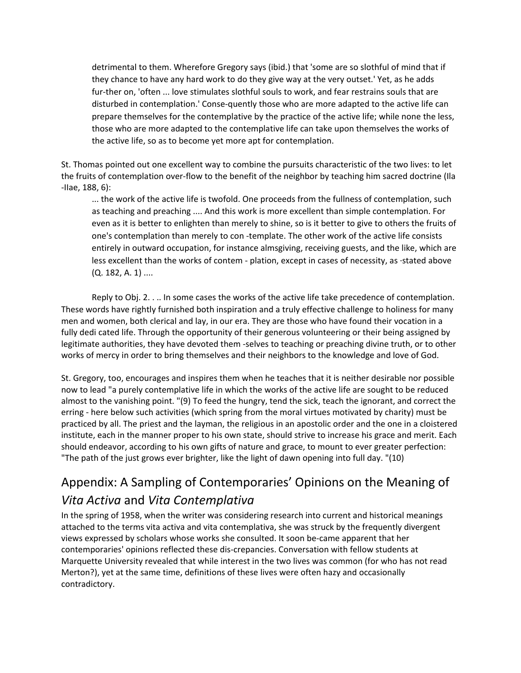detrimental to them. Wherefore Gregory says (ibid.) that 'some are so slothful of mind that if they chance to have any hard work to do they give way at the very outset.' Yet, as he adds fur-ther on, 'often ... love stimulates slothful souls to work, and fear restrains souls that are disturbed in contemplation.' Conse-quently those who are more adapted to the active life can prepare themselves for the contemplative by the practice of the active life; while none the less, those who are more adapted to the contemplative life can take upon themselves the works of the active life, so as to become yet more apt for contemplation.

St. Thomas pointed out one excellent way to combine the pursuits characteristic of the two lives: to let the fruits of contemplation over-flow to the benefit of the neighbor by teaching him sacred doctrine (Ila -IIae, 188, 6):

... the work of the active life is twofold. One proceeds from the fullness of contemplation, such as teaching and preaching .... And this work is more excellent than simple contemplation. For even as it is better to enlighten than merely to shine, so is it better to give to others the fruits of one's contemplation than merely to con -template. The other work of the active life consists entirely in outward occupation, for instance almsgiving, receiving guests, and the like, which are less excellent than the works of contem - plation, except in cases of necessity, as ·stated above  $(Q. 182, A. 1)$  ....

Reply to Obj. 2. . .. In some cases the works of the active life take precedence of contemplation. These words have rightly furnished both inspiration and a truly effective challenge to holiness for many men and women, both clerical and lay, in our era. They are those who have found their vocation in a fully dedi cated life. Through the opportunity of their generous volunteering or their being assigned by legitimate authorities, they have devoted them -selves to teaching or preaching divine truth, or to other works of mercy in order to bring themselves and their neighbors to the knowledge and love of God.

St. Gregory, too, encourages and inspires them when he teaches that it is neither desirable nor possible now to lead "a purely contemplative life in which the works of the active life are sought to be reduced almost to the vanishing point. "(9) To feed the hungry, tend the sick, teach the ignorant, and correct the erring - here below such activities (which spring from the moral virtues motivated by charity) must be practiced by all. The priest and the layman, the religious in an apostolic order and the one in a cloistered institute, each in the manner proper to his own state, should strive to increase his grace and merit. Each should endeavor, according to his own gifts of nature and grace, to mount to ever greater perfection: "The path of the just grows ever brighter, like the light of dawn opening into full day. "(10)

# Appendix: A Sampling of Contemporaries' Opinions on the Meaning of *Vita Activa* and *Vita Contemplativa*

In the spring of 1958, when the writer was considering research into current and historical meanings attached to the terms vita activa and vita contemplativa, she was struck by the frequently divergent views expressed by scholars whose works she consulted. It soon be-came apparent that her contemporaries' opinions reflected these dis-crepancies. Conversation with fellow students at Marquette University revealed that while interest in the two lives was common (for who has not read Merton?), yet at the same time, definitions of these lives were often hazy and occasionally contradictory.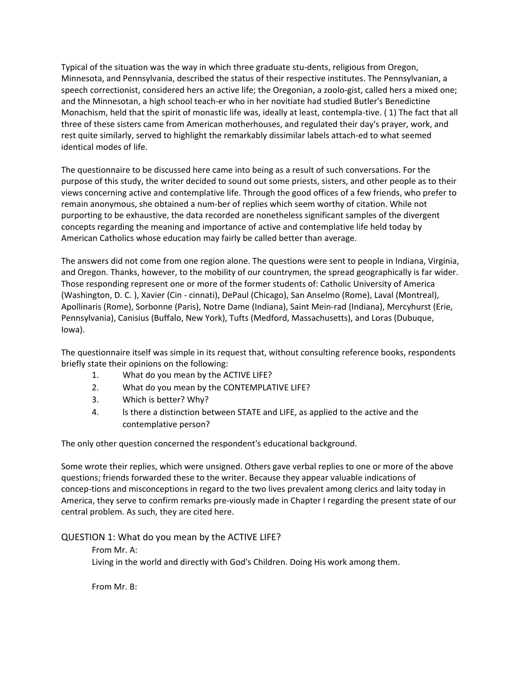Typical of the situation was the way in which three graduate stu-dents, religious from Oregon, Minnesota, and Pennsylvania, described the status of their respective institutes. The Pennsylvanian, a speech correctionist, considered hers an active life; the Oregonian, a zoolo-gist, called hers a mixed one; and the Minnesotan, a high school teach-er who in her novitiate had studied Butler's Benedictine Monachism, held that the spirit of monastic life was, ideally at least, contempla-tive. ( 1) The fact that all three of these sisters came from American motherhouses, and regulated their day's prayer, work, and rest quite similarly, served to highlight the remarkably dissimilar labels attach-ed to what seemed identical modes of life.

The questionnaire to be discussed here came into being as a result of such conversations. For the purpose of this study, the writer decided to sound out some priests, sisters, and other people as to their views concerning active and contemplative life. Through the good offices of a few friends, who prefer to remain anonymous, she obtained a num-ber of replies which seem worthy of citation. While not purporting to be exhaustive, the data recorded are nonetheless significant samples of the divergent concepts regarding the meaning and importance of active and contemplative life held today by American Catholics whose education may fairly be called better than average.

The answers did not come from one region alone. The questions were sent to people in Indiana, Virginia, and Oregon. Thanks, however, to the mobility of our countrymen, the spread geographically is far wider. Those responding represent one or more of the former students of: Catholic University of America (Washington, D. C. ), Xavier (Cin - cinnati), DePaul (Chicago), San Anselmo (Rome), Laval (Montreal), Apollinaris (Rome), Sorbonne (Paris), Notre Dame (Indiana), Saint Mein-rad (Indiana), Mercyhurst (Erie, Pennsylvania), Canisius (Buffalo, New York), Tufts (Medford, Massachusetts), and Loras (Dubuque, Iowa).

The questionnaire itself was simple in its request that, without consulting reference books, respondents briefly state their opinions on the following:

- 1. What do you mean by the ACTIVE LIFE?
- 2. What do you mean by the CONTEMPLATIVE LIFE?
- 3. Which is better? Why?
- 4. ls there a distinction between STATE and LIFE, as applied to the active and the contemplative person?

The only other question concerned the respondent's educational background.

Some wrote their replies, which were unsigned. Others gave verbal replies to one or more of the above questions; friends forwarded these to the writer. Because they appear valuable indications of concep-tions and misconceptions in regard to the two lives prevalent among clerics and laity today in America, they serve to confirm remarks pre-viously made in Chapter I regarding the present state of our central problem. As such, they are cited here.

## QUESTION 1: What do you mean by the ACTIVE LIFE?

From Mr. A: Living in the world and directly with God's Children. Doing His work among them.

From Mr. B: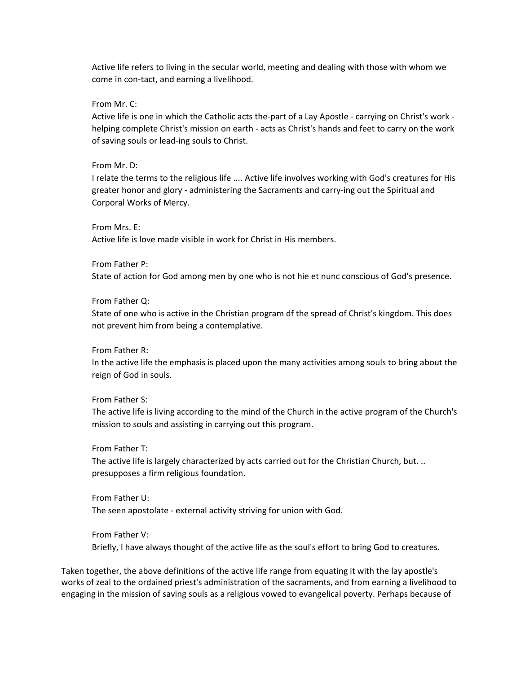Active life refers to living in the secular world, meeting and dealing with those with whom we come in con-tact, and earning a livelihood.

From Mr. C:

Active life is one in which the Catholic acts the-part of a Lay Apostle - carrying on Christ's work helping complete Christ's mission on earth - acts as Christ's hands and feet to carry on the work of saving souls or lead-ing souls to Christ.

#### From Mr. D:

I relate the terms to the religious life .... Active life involves working with God's creatures for His greater honor and glory - administering the Sacraments and carry-ing out the Spiritual and Corporal Works of Mercy.

From Mrs. E:

Active life is love made visible in work for Christ in His members.

#### From Father P:

State of action for God among men by one who is not hie et nunc conscious of God's presence.

#### From Father Q:

State of one who is active in the Christian program df the spread of Christ's kingdom. This does not prevent him from being a contemplative.

#### From Father R:

In the active life the emphasis is placed upon the many activities among souls to bring about the reign of God in souls.

#### From Father S:

The active life is living according to the mind of the Church in the active program of the Church's mission to souls and assisting in carrying out this program.

#### From Father T:

The active life is largely characterized by acts carried out for the Christian Church, but. .. presupposes a firm religious foundation.

#### From Father U:

The seen apostolate - external activity striving for union with God.

#### From Father V:

Briefly, I have always thought of the active life as the soul's effort to bring God to creatures.

Taken together, the above definitions of the active life range from equating it with the lay apostle's works of zeal to the ordained priest's administration of the sacraments, and from earning a livelihood to engaging in the mission of saving souls as a religious vowed to evangelical poverty. Perhaps because of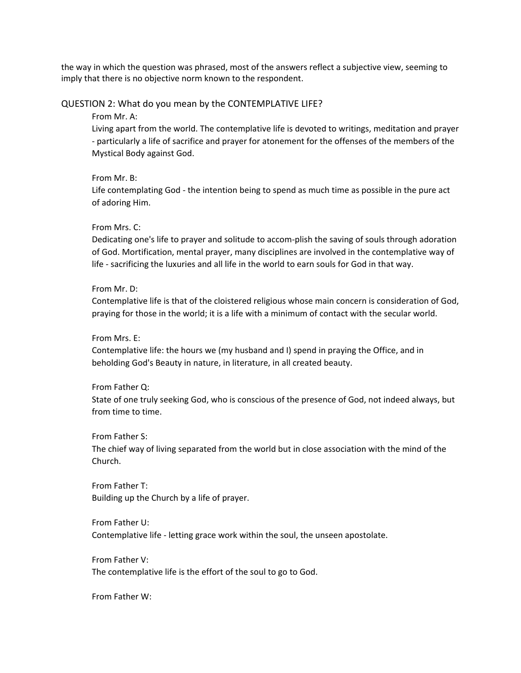the way in which the question was phrased, most of the answers reflect a subjective view, seeming to imply that there is no objective norm known to the respondent.

#### QUESTION 2: What do you mean by the CONTEMPLATIVE LIFE?

From Mr. A:

Living apart from the world. The contemplative life is devoted to writings, meditation and prayer - particularly a life of sacrifice and prayer for atonement for the offenses of the members of the Mystical Body against God.

#### From Mr. B:

Life contemplating God - the intention being to spend as much time as possible in the pure act of adoring Him.

#### From Mrs. C:

Dedicating one's life to prayer and solitude to accom-plish the saving of souls through adoration of God. Mortification, mental prayer, many disciplines are involved in the contemplative way of life - sacrificing the luxuries and all life in the world to earn souls for God in that way.

#### From Mr. D:

Contemplative life is that of the cloistered religious whose main concern is consideration of God, praying for those in the world; it is a life with a minimum of contact with the secular world.

#### From Mrs. E:

Contemplative life: the hours we (my husband and I) spend in praying the Office, and in beholding God's Beauty in nature, in literature, in all created beauty.

#### From Father Q:

State of one truly seeking God, who is conscious of the presence of God, not indeed always, but from time to time.

#### From Father S:

The chief way of living separated from the world but in close association with the mind of the Church.

From Father T: Building up the Church by a life of prayer.

## From Father U: Contemplative life - letting grace work within the soul, the unseen apostolate.

From Father V: The contemplative life is the effort of the soul to go to God.

From Father W: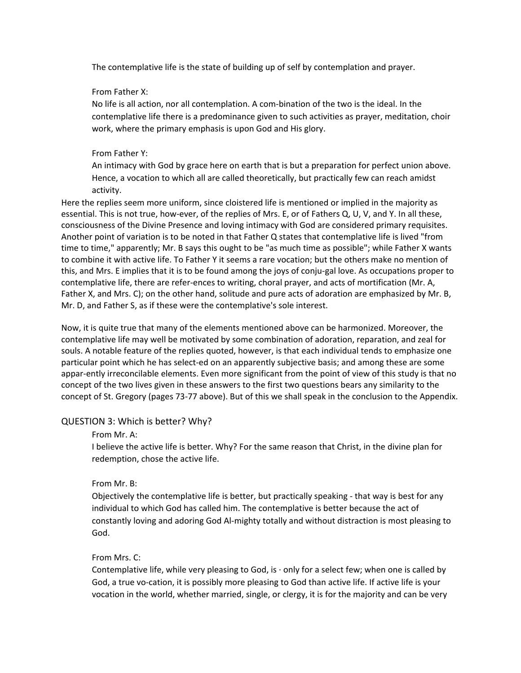The contemplative life is the state of building up of self by contemplation and prayer.

### From Father X:

No life is all action, nor all contemplation. A com-bination of the two is the ideal. In the contemplative life there is a predominance given to such activities as prayer, meditation, choir work, where the primary emphasis is upon God and His glory.

### From Father Y:

An intimacy with God by grace here on earth that is but a preparation for perfect union above. Hence, a vocation to which all are called theoretically, but practically few can reach amidst activity.

Here the replies seem more uniform, since cloistered life is mentioned or implied in the majority as essential. This is not true, how-ever, of the replies of Mrs. E, or of Fathers Q, U, V, and Y. In all these, consciousness of the Divine Presence and loving intimacy with God are considered primary requisites. Another point of variation is to be noted in that Father Q states that contemplative life is lived "from time to time," apparently; Mr. B says this ought to be "as much time as possible"; while Father X wants to combine it with active life. To Father Y it seems a rare vocation; but the others make no mention of this, and Mrs. E implies that it is to be found among the joys of conju-gal love. As occupations proper to contemplative life, there are refer-ences to writing, choral prayer, and acts of mortification (Mr. A, Father X, and Mrs. C); on the other hand, solitude and pure acts of adoration are emphasized by Mr. B, Mr. D, and Father S, as if these were the contemplative's sole interest.

Now, it is quite true that many of the elements mentioned above can be harmonized. Moreover, the contemplative life may well be motivated by some combination of adoration, reparation, and zeal for souls. A notable feature of the replies quoted, however, is that each individual tends to emphasize one particular point which he has select-ed on an apparently subjective basis; and among these are some appar-ently irreconcilable elements. Even more significant from the point of view of this study is that no concept of the two lives given in these answers to the first two questions bears any similarity to the concept of St. Gregory (pages 73-77 above). But of this we shall speak in the conclusion to the Appendix.

#### QUESTION 3: Which is better? Why?

#### From Mr. A:

I believe the active life is better. Why? For the same reason that Christ, in the divine plan for redemption, chose the active life.

## From Mr. B:

Objectively the contemplative life is better, but practically speaking - that way is best for any individual to which God has called him. The contemplative is better because the act of constantly loving and adoring God Al-mighty totally and without distraction is most pleasing to God.

#### From Mrs. C:

Contemplative life, while very pleasing to God, is  $\cdot$  only for a select few; when one is called by God, a true vo-cation, it is possibly more pleasing to God than active life. If active life is your vocation in the world, whether married, single, or clergy, it is for the majority and can be very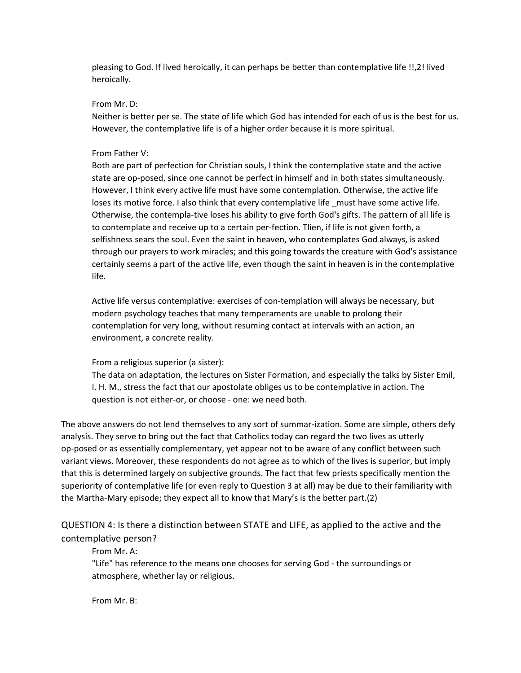pleasing to God. If lived heroically, it can perhaps be better than contemplative life !!,2! lived heroically.

#### From Mr. D:

Neither is better per se. The state of life which God has intended for each of us is the best for us. However, the contemplative life is of a higher order because it is more spiritual.

#### From Father V:

Both are part of perfection for Christian souls, I think the contemplative state and the active state are op-posed, since one cannot be perfect in himself and in both states simultaneously. However, I think every active life must have some contemplation. Otherwise, the active life loses its motive force. I also think that every contemplative life must have some active life. Otherwise, the contempla-tive loses his ability to give forth God's gifts. The pattern of all life is to contemplate and receive up to a certain per-fection. Tlien, if life is not given forth, a selfishness sears the soul. Even the saint in heaven, who contemplates God always, is asked through our prayers to work miracles; and this going towards the creature with God's assistance certainly seems a part of the active life, even though the saint in heaven is in the contemplative life.

Active life versus contemplative: exercises of con-templation will always be necessary, but modern psychology teaches that many temperaments are unable to prolong their contemplation for very long, without resuming contact at intervals with an action, an environment, a concrete reality.

#### From a religious superior (a sister):

The data on adaptation, the lectures on Sister Formation, and especially the talks by Sister Emil, I. H. M., stress the fact that our apostolate obliges us to be contemplative in action. The question is not either-or, or choose - one: we need both.

The above answers do not lend themselves to any sort of summar-ization. Some are simple, others defy analysis. They serve to bring out the fact that Catholics today can regard the two lives as utterly op-posed or as essentially complementary, yet appear not to be aware of any conflict between such variant views. Moreover, these respondents do not agree as to which of the lives is superior, but imply that this is determined largely on subjective grounds. The fact that few priests specifically mention the superiority of contemplative life (or even reply to Question 3 at all) may be due to their familiarity with the Martha-Mary episode; they expect all to know that Mary's is the better part.(2)

## QUESTION 4: Is there a distinction between STATE and LIFE, as applied to the active and the contemplative person?

#### From Mr. A:

"Life" has reference to the means one chooses for serving God - the surroundings or atmosphere, whether lay or religious.

From Mr. B: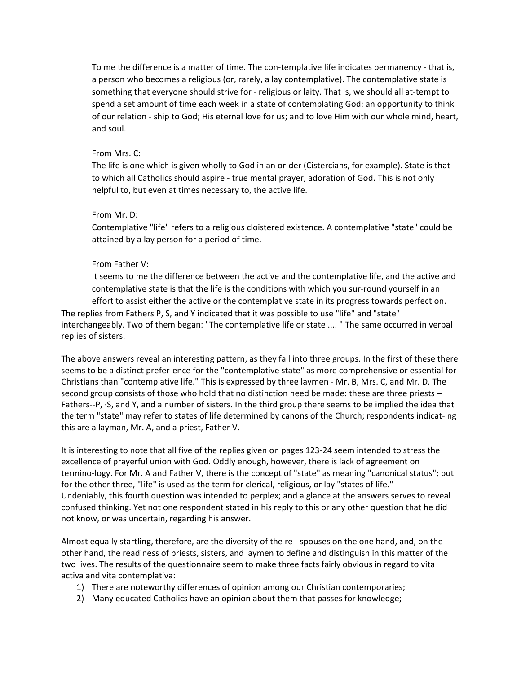To me the difference is a matter of time. The con-templative life indicates permanency - that is, a person who becomes a religious (or, rarely, a lay contemplative). The contemplative state is something that everyone should strive for - religious or laity. That is, we should all at-tempt to spend a set amount of time each week in a state of contemplating God: an opportunity to think of our relation - ship to God; His eternal love for us; and to love Him with our whole mind, heart, and soul.

#### From Mrs. C:

The life is one which is given wholly to God in an or-der (Cistercians, for example). State is that to which all Catholics should aspire - true mental prayer, adoration of God. This is not only helpful to, but even at times necessary to, the active life.

### From Mr. D:

Contemplative "life" refers to a religious cloistered existence. A contemplative "state" could be attained by a lay person for a period of time.

## From Father V:

It seems to me the difference between the active and the contemplative life, and the active and contemplative state is that the life is the conditions with which you sur-round yourself in an effort to assist either the active or the contemplative state in its progress towards perfection.

The replies from Fathers P, S, and Y indicated that it was possible to use "life" and "state" interchangeably. Two of them began: "The contemplative life or state .... " The same occurred in verbal replies of sisters.

The above answers reveal an interesting pattern, as they fall into three groups. In the first of these there seems to be a distinct prefer-ence for the "contemplative state" as more comprehensive or essential for Christians than "contemplative life." This is expressed by three laymen - Mr. B, Mrs. C, and Mr. D. The second group consists of those who hold that no distinction need be made: these are three priests – Fathers--P, ·S, and Y, and a number of sisters. In the third group there seems to be implied the idea that the term "state" may refer to states of life determined by canons of the Church; respondents indicat-ing this are a layman, Mr. A, and a priest, Father V.

It is interesting to note that all five of the replies given on pages 123-24 seem intended to stress the excellence of prayerful union with God. Oddly enough, however, there is lack of agreement on termino-logy. For Mr. A and Father V, there is the concept of "state" as meaning "canonical status"; but for the other three, "life" is used as the term for clerical, religious, or lay "states of life." Undeniably, this fourth question was intended to perplex; and a glance at the answers serves to reveal confused thinking. Yet not one respondent stated in his reply to this or any other question that he did not know, or was uncertain, regarding his answer.

Almost equally startling, therefore, are the diversity of the re - spouses on the one hand, and, on the other hand, the readiness of priests, sisters, and laymen to define and distinguish in this matter of the two lives. The results of the questionnaire seem to make three facts fairly obvious in regard to vita activa and vita contemplativa:

- 1) There are noteworthy differences of opinion among our Christian contemporaries;
- 2) Many educated Catholics have an opinion about them that passes for knowledge;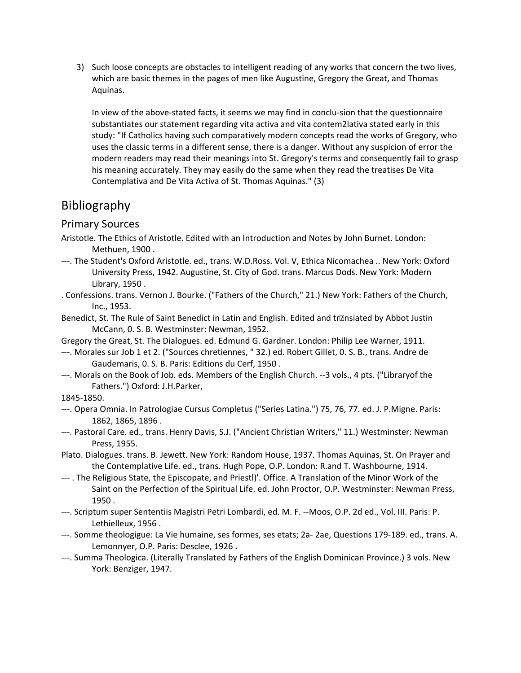3) Such loose concepts are obstacles to intelligent reading of any works that concern the two lives, which are basic themes in the pages of men like Augustine, Gregory the Great, and Thomas Aquinas.

In view of the above-stated facts, it seems we may find in conclu-sion that the questionnaire substantiates our statement regarding vita activa and vita contem2lativa stated early in this study: "If Catholics having such comparatively modern concepts read the works of Gregory, who uses the classic terms in a different sense, there is a danger. Without any suspicion of error the modern readers may read their meanings into St. Gregory's terms and consequently fail to grasp his meaning accurately. They may easily do the same when they read the treatises De Vita Contemplativa and De Vita Activa of St. Thomas Aquinas." (3)

# Bibliography

## Primary Sources

- Aristotle. The Ethics of Aristotle. Edited with an Introduction and Notes by John Burnet. London: Methuen, 1900 .
- ---. The Student's Oxford Aristotle. ed., trans. W.D.Ross. Vol. V, Ethica Nicomachea .. New York: Oxford University Press, 1942. Augustine, St. City of God. trans. Marcus Dods. New York: Modern Library, 1950 .
- . Confessions. trans. Vernon J. Bourke. ("Fathers of the Church," 21.) New York: Fathers of the Church, Inc., 1953.
- Benedict, St. The Rule of Saint Benedict in Latin and English. Edited and transiated by Abbot Justin McCann, 0. S. B. Westminster: Newman, 1952.
- Gregory the Great, St. The Dialogues. ed. Edmund G. Gardner. London: Philip Lee Warner, 1911.
- ---. Morales sur Job 1 et 2. ("Sources chretiennes, " 32.) ed. Robert Gillet, 0. S. B., trans. Andre de Gaudemaris, 0. S. B. Paris: Editions du Cerf, 1950 .
- ---. Morals on the Book of Job. eds. Members of the English Church. --3 vols., 4 pts. ("Libraryof the Fathers.") Oxford: J.H.Parker,

#### 1845-1850.

- ---. Opera Omnia. In Patrologiae Cursus Completus ("Series Latina.") 75, 76, 77. ed. J. P.Migne. Paris: 1862, 1865, 1896 .
- ---. Pastoral Care. ed., trans. Henry Davis, S.J. ("Ancient Christian Writers," 11.) Westminster: Newman Press, 1955.
- Plato. Dialogues. trans. B. Jewett. New York: Random House, 1937. Thomas Aquinas, St. On Prayer and the Contemplative Life. ed., trans. Hugh Pope, O.P. London: R.and T. Washbourne, 1914.
- --- . The Religious State, the Episcopate, and Priestl)'. Office. A Translation of the Minor Work of the Saint on the Perfection of the Spiritual Life. ed. John Proctor, O.P. Westminster: Newman Press, 1950 .
- ---. Scriptum super Sententiis Magistri Petri Lombardi, ed. M. F. --Moos, O.P. 2d ed., Vol. III. Paris: P. Lethielleux, 1956 .
- ---. Somme theologigue: La Vie humaine, ses formes, ses etats; 2a- 2ae, Questions 179-189. ed., trans. A. Lemonnyer, O.P. Paris: Desclee, 1926 .
- ---. Summa Theologica. (Literally Translated by Fathers of the English Dominican Province.) 3 vols. New York: Benziger, 1947.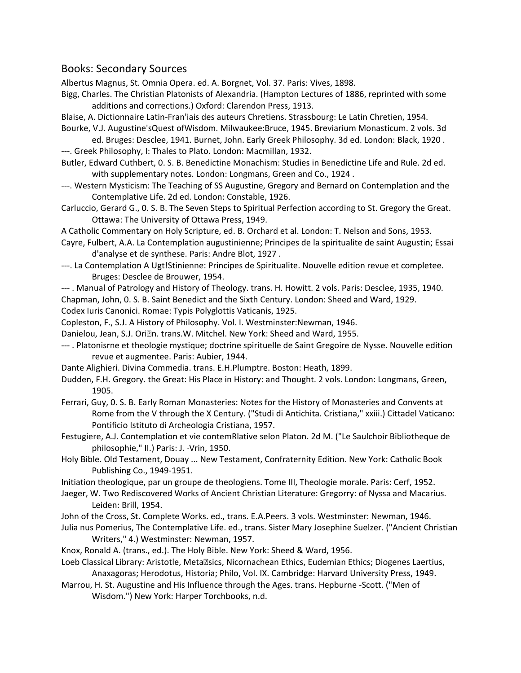## Books: Secondary Sources

Albertus Magnus, St. Omnia Opera. ed. A. Borgnet, Vol. 37. Paris: Vives, 1898.

- Bigg, Charles. The Christian Platonists of Alexandria. (Hampton Lectures of 1886, reprinted with some additions and corrections.) Oxford: Clarendon Press, 1913.
- Blaise, A. Dictionnaire Latin-Fran'iais des auteurs Chretiens. Strassbourg: Le Latin Chretien, 1954.
- Bourke, V.J. Augustine'sQuest ofWisdom. Milwaukee:Bruce, 1945. Breviarium Monasticum. 2 vols. 3d ed. Bruges: Desclee, 1941. Burnet, John. Early Greek Philosophy. 3d ed. London: Black, 1920 .
- ---. Greek Philosophy, I: Thales to Plato. London: Macmillan, 1932.
- Butler, Edward Cuthbert, 0. S. B. Benedictine Monachism: Studies in Benedictine Life and Rule. 2d ed. with supplementary notes. London: Longmans, Green and Co., 1924 .
- ---. Western Mysticism: The Teaching of SS Augustine, Gregory and Bernard on Contemplation and the Contemplative Life. 2d ed. London: Constable, 1926.
- Carluccio, Gerard G., 0. S. B. The Seven Steps to Spiritual Perfection according to St. Gregory the Great. Ottawa: The University of Ottawa Press, 1949.
- A Catholic Commentary on Holy Scripture, ed. B. Orchard et al. London: T. Nelson and Sons, 1953.
- Cayre, Fulbert, A.A. La Contemplation augustinienne; Principes de la spiritualite de saint Augustin; Essai d'analyse et de synthese. Paris: Andre Blot, 1927 .
- ---. La Contemplation A Ugt!Stinienne: Principes de Spiritualite. Nouvelle edition revue et completee. Bruges: Desclee de Brouwer, 1954.
- --- . Manual of Patrology and History of Theology. trans. H. Howitt. 2 vols. Paris: Desclee, 1935, 1940.
- Chapman, John, 0. S. B. Saint Benedict and the Sixth Century. London: Sheed and Ward, 1929.

Codex Iuris Canonici. Romae: Typis Polyglottis Vaticanis, 1925.

- Copleston, F., S.J. A History of Philosophy. Vol. I. Westminster:Newman, 1946.
- Danielou, Jean, S.J. Orian. trans.W. Mitchel. New York: Sheed and Ward, 1955.
- --- . Platonisrne et theologie mystique; doctrine spirituelle de Saint Gregoire de Nysse. Nouvelle edition revue et augmentee. Paris: Aubier, 1944.
- Dante Alighieri. Divina Commedia. trans. E.H.Plumptre. Boston: Heath, 1899.
- Dudden, F.H. Gregory. the Great: His Place in History: and Thought. 2 vols. London: Longmans, Green, 1905.
- Ferrari, Guy, 0. S. B. Early Roman Monasteries: Notes for the History of Monasteries and Convents at Rome from the V through the X Century. ("Studi di Antichita. Cristiana," xxiii.) Cittadel Vaticano: Pontificio Istituto di Archeologia Cristiana, 1957.
- Festugiere, A.J. Contemplation et vie contemRlative selon Platon. 2d M. ("Le Saulchoir Bibliotheque de philosophie," II.) Paris: J. ·Vrin, 1950.
- Holy Bible. Old Testament, Douay ... New Testament, Confraternity Edition. New York: Catholic Book Publishing Co., 1949-1951.
- Initiation theologique, par un groupe de theologiens. Tome III, Theologie morale. Paris: Cerf, 1952.
- Jaeger, W. Two Rediscovered Works of Ancient Christian Literature: Gregorry: of Nyssa and Macarius. Leiden: Brill, 1954.
- John of the Cross, St. Complete Works. ed., trans. E.A.Peers. 3 vols. Westminster: Newman, 1946. Julia nus Pomerius, The Contemplative Life. ed., trans. Sister Mary Josephine Suelzer. ("Ancient Christian
- Writers," 4.) Westminster: Newman, 1957.
- Knox, Ronald A. (trans., ed.). The Holy Bible. New York: Sheed & Ward, 1956.
- Loeb Classical Library: Aristotle, Metallsics, Nicornachean Ethics, Eudemian Ethics; Diogenes Laertius, Anaxagoras; Herodotus, Historia; Philo, Vol. IX. Cambridge: Harvard University Press, 1949.
- Marrou, H. St. Augustine and His Influence through the Ages. trans. Hepburne -Scott. ("Men of Wisdom.") New York: Harper Torchbooks, n.d.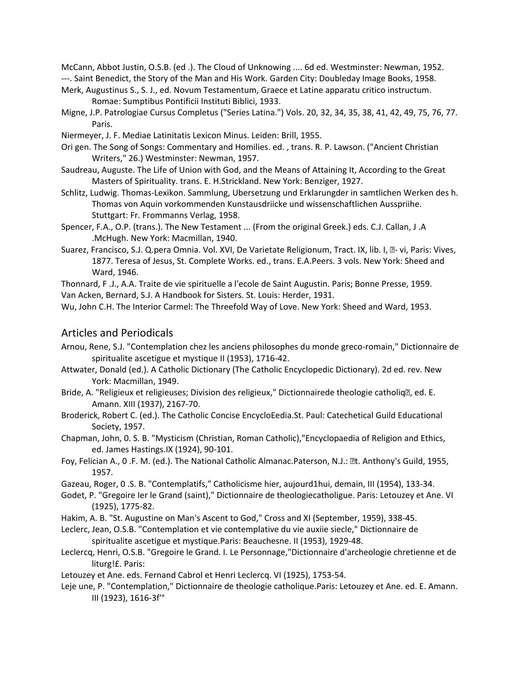McCann, Abbot Justin, O.S.B. (ed .). The Cloud of Unknowing .... 6d ed. Westminster: Newman, 1952.

---. Saint Benedict, the Story of the Man and His Work. Garden City: Doubleday Image Books, 1958.

- Merk, Augustinus S., S. J., ed. Novum Testamentum, Graece et Latine apparatu critico instructum. Romae: Sumptibus Pontificii Instituti Biblici, 1933.
- Migne, J.P. Patrologiae Cursus Completus ("Series Latina.") Vols. 20, 32, 34, 35, 38, 41, 42, 49, 75, 76, 77. Paris.
- Niermeyer, J. F. Mediae Latinitatis Lexicon Minus. Leiden: Brill, 1955.
- Ori gen. The Song of Songs: Commentary and Homilies. ed. , trans. R. P. Lawson. ("Ancient Christian Writers," 26.) Westminster: Newman, 1957.
- Saudreau, Auguste. The Life of Union with God, and the Means of Attaining It, According to the Great Masters of Spirituality. trans. E. H.Strickland. New York: Benziger, 1927.
- Schlitz, Ludwig. Thomas-Lexikon. Sammlung, Ubersetzung und Erklarungder in samtlichen Werken des h. Thomas von Aquin vorkommenden Kunstausdriicke und wissenschaftlichen Ausspriihe. Stuttgart: Fr. Frommanns Verlag, 1958.
- Spencer, F.A., O.P. (trans.). The New Testament ... (From the original Greek.) eds. C.J. Callan, J .A .McHugh. New York: Macmillan, 1940.
- Suarez, Francisco, S.J. Q.pera Omnia. Vol. XVI, De Varietate Religionum, Tract. IX, lib. I, **D- vi, Paris: Vives**, 1877. Teresa of Jesus, St. Complete Works. ed., trans. E.A.Peers. 3 vols. New York: Sheed and Ward, 1946.

Thonnard, F .J., A.A. Traite de vie spirituelle a l'ecole de Saint Augustin. Paris; Bonne Presse, 1959. Van Acken, Bernard, S.J. A Handbook for Sisters. St. Louis: Herder, 1931.

Wu, John C.H. The Interior Carmel: The Threefold Way of Love. New York: Sheed and Ward, 1953.

## Articles and Periodicals

- Arnou, Rene, S.J. "Contemplation chez les anciens philosophes du monde greco-romain," Dictionnaire de spiritualite ascetigue et mystique II (1953), 1716-42.
- Attwater, Donald (ed.). A Catholic Dictionary (The Catholic Encyclopedic Dictionary). 2d ed. rev. New York: Macmillan, 1949.
- Bride, A. "Religieux et religieuses; Division des religieux," Dictionnairede theologie catholiq�, ed. E. Amann. XIII (1937), 2167-70.
- Broderick, Robert C. (ed.). The Catholic Concise EncycloEedia.St. Paul: Catechetical Guild Educational Society, 1957.
- Chapman, John, 0. S. B. "Mysticism (Christian, Roman Catholic),"Encyclopaedia of Religion and Ethics, ed. James Hastings.IX (1924), 90-101.
- Foy, Felician A., O.F. M. (ed.). The National Catholic Almanac.Paterson, N.J.: at. Anthony's Guild, 1955, 1957.
- Gazeau, Roger, 0 .S. B. "Contemplatifs," Catholicisme hier, aujourd1hui, demain, III (1954), 133-34.
- Godet, P. "Gregoire Ier le Grand (saint)," Dictionnaire de theologiecatholigue. Paris: Letouzey et Ane. VI (1925), 1775-82.
- Hakim, A. B. "St. Augustine on Man's Ascent to God," Cross and XI (September, 1959), 338-45.
- Leclerc, Jean, O.S.B. "Contemplation et vie contemplative du vie auxiie siecle," Dictionnaire de spiritualite ascetigue et mystique.Paris: Beauchesne. II (1953), 1929-48.
- Leclercq, Henri, O.S.B. "Gregoire le Grand. I. Le Personnage,"Dictionnaire d'archeologie chretienne et de liturg!£. Paris:
- Letouzey et Ane. eds. Fernand Cabrol et Henri Leclercq. VI (1925), 1753-54.
- Leje une, P. "Contemplation," Dictionnaire de theologie catholique.Paris: Letouzey et Ane. ed. E. Amann. III (1923), 1616-3f'°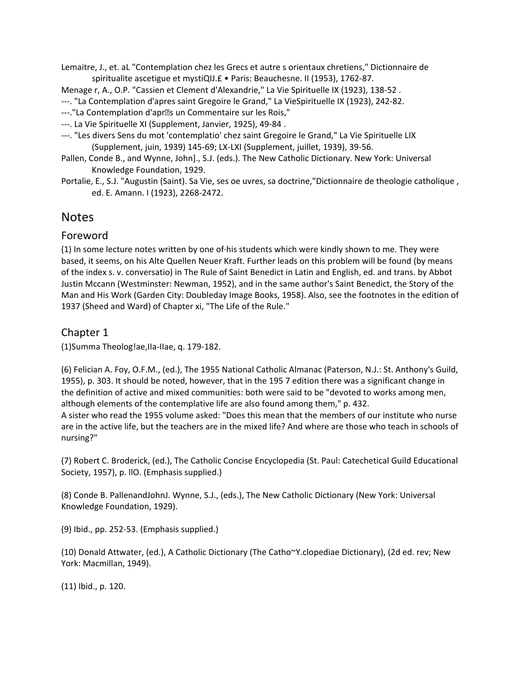Lemaitre, J., et. aL "Contemplation chez les Grecs et autre s orientaux chretiens," Dictionnaire de spiritualite ascetigue et mystiQIJ.£ • Paris: Beauchesne. II (1953), 1762-87.

Menage r, A., O.P. "Cassien et Clement d'Alexandrie," La Vie Spirituelle IX (1923), 138-52 .

---. "La Contemplation d'apres saint Gregoire le Grand," La VieSpirituelle IX (1923), 242-82.

---."La Contemplation d'apr�s un Commentaire sur les Rois,"

- ---. La Vie Spirituelle XI (Supplement, Janvier, 1925), 49-84 .
- ---. "Les divers Sens du mot 'contemplatio' chez saint Gregoire le Grand," La Vie Spirituelle LIX (Supplement, juin, 1939) 145-69; LX-LXI (Supplement, juillet, 1939), 39-56.
- Pallen, Conde B., and Wynne, John]., S.J. (eds.). The New Catholic Dictionary. New York: Universal Knowledge Foundation, 1929.
- Portalie, E., S.J. "Augustin (Saint). Sa Vie, ses oe uvres, sa doctrine,"Dictionnaire de theologie catholique , ed. E. Amann. I (1923), 2268-2472.

## **Notes**

## Foreword

(1) In some lecture notes written by one of·his students which were kindly shown to me. They were based, it seems, on his Alte Quellen Neuer Kraft. Further leads on this problem will be found (by means of the index s. v. conversatio) in The Rule of Saint Benedict in Latin and English, ed. and trans. by Abbot Justin Mccann (Westminster: Newman, 1952), and in the same author's Saint Benedict, the Story of the Man and His Work (Garden City: Doubleday Image Books, 1958). Also, see the footnotes in the edition of 1937 (Sheed and Ward) of Chapter xi, "The Life of the Rule."

## Chapter 1

(1)Summa Theolog!ae,IIa-IIae, q. 179-182.

(6) Felician A. Foy, O.F.M., (ed.), The 1955 National Catholic Almanac (Paterson, N.J.: St. Anthony's Guild, 1955), p. 303. It should be noted, however, that in the 195 7 edition there was a significant change in the definition of active and mixed communities: both were said to be "devoted to works among men, although elements of the contemplative life are also found among them," p. 432.

A sister who read the 1955 volume asked: "Does this mean that the members of our institute who nurse are in the active life, but the teachers are in the mixed life? And where are those who teach in schools of nursing?"

(7) Robert C. Broderick, (ed.), The Catholic Concise Encyclopedia (St. Paul: Catechetical Guild Educational Society, 1957), p. llO. (Emphasis supplied.)

(8) Conde B. PallenandJohnJ. Wynne, S.J., (eds.), The New Catholic Dictionary (New York: Universal Knowledge Foundation, 1929).

(9) Ibid., pp. 252-53. (Emphasis supplied.)

(10) Donald Attwater, (ed.), A Catholic Dictionary (The Catho~Y.clopediae Dictionary), (2d ed. rev; New York: Macmillan, 1949).

(11) Ibid., p. 120.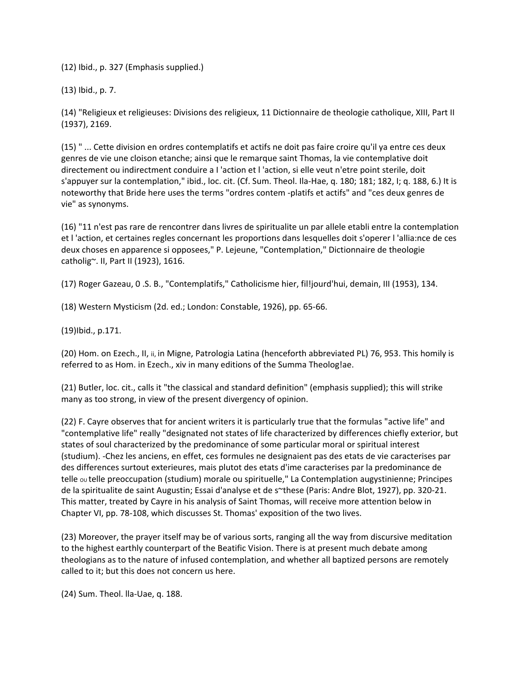(12) Ibid., p. 327 (Emphasis supplied.)

(13) Ibid., p. 7.

(14) "Religieux et religieuses: Divisions des religieux, 11 Dictionnaire de theologie catholique, XIII, Part II (1937), 2169.

(15) " ... Cette division en ordres contemplatifs et actifs ne doit pas faire croire qu'il ya entre ces deux genres de vie une cloison etanche; ainsi que le remarque saint Thomas, la vie contemplative doit directement ou indirectment conduire a I 'action et l 'action, si elle veut n'etre point sterile, doit s'appuyer sur la contemplation," ibid., loc. cit. (Cf. Sum. Theol. Ila-Hae, q. 180; 181; 182, I; q. 188, 6.) It is noteworthy that Bride here uses the terms "ordres contem -platifs et actifs" and "ces deux genres de vie" as synonyms.

(16) "11 n'est pas rare de rencontrer dans livres de spiritualite un par allele etabli entre la contemplation et l 'action, et certaines regles concernant les proportions dans lesquelles doit s'operer l 'allia:nce de ces deux choses en apparence si opposees," P. Lejeune, "Contemplation," Dictionnaire de theologie catholig~. II, Part II (1923), 1616.

(17) Roger Gazeau, 0 .S. B., "Contemplatifs," Catholicisme hier, fil!jourd'hui, demain, III (1953), 134.

(18) Western Mysticism (2d. ed.; London: Constable, 1926), pp. 65-66.

(19)Ibid., p.171.

(20) Hom. on Ezech., II, ii, in Migne, Patrologia Latina (henceforth abbreviated PL) 76, 953. This homily is referred to as Hom. in Ezech., xiv in many editions of the Summa Theolog!ae.

(21) Butler, loc. cit., calls it "the classical and standard definition" (emphasis supplied); this will strike many as too strong, in view of the present divergency of opinion.

(22) F. Cayre observes that for ancient writers it is particularly true that the formulas "active life" and "contemplative life" really "designated not states of life characterized by differences chiefly exterior, but states of soul characterized by the predominance of some particular moral or spiritual interest (studium). -Chez les anciens, en effet, ces formules ne designaient pas des etats de vie caracterises par des differences surtout exterieures, mais plutot des etats d'ime caracterises par la predominance de telle ou telle preoccupation (studium) morale ou spirituelle," La Contemplation augystinienne; Principes de la spiritualite de saint Augustin; Essai d'analyse et de s~these (Paris: Andre Blot, 1927), pp. 320-21. This matter, treated by Cayre in his analysis of Saint Thomas, will receive more attention below in Chapter VI, pp. 78-108, which discusses St. Thomas' exposition of the two lives.

(23) Moreover, the prayer itself may be of various sorts, ranging all the way from discursive meditation to the highest earthly counterpart of the Beatific Vision. There is at present much debate among theologians as to the nature of infused contemplation, and whether all baptized persons are remotely called to it; but this does not concern us here.

(24) Sum. Theol. lla-Uae, q. 188.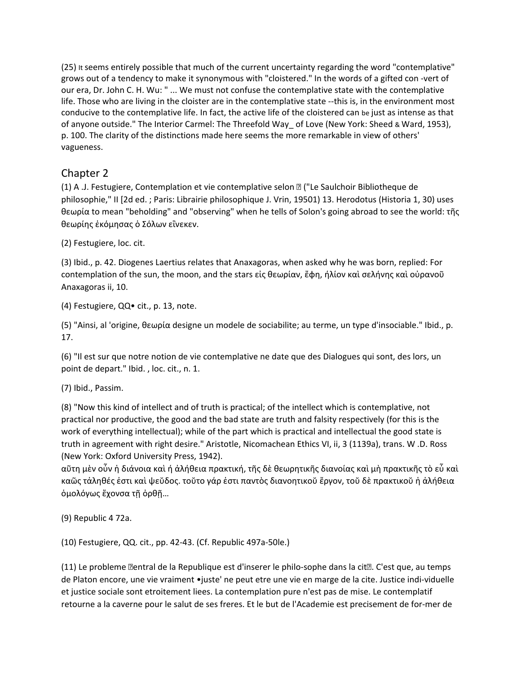(25) It seems entirely possible that much of the current uncertainty regarding the word "contemplative" grows out of a tendency to make it synonymous with "cloistered." In the words of a gifted con -vert of our era, Dr. John C. H. Wu: " ... We must not confuse the contemplative state with the contemplative life. Those who are living in the cloister are in the contemplative state --this is, in the environment most conducive to the contemplative life. In fact, the active life of the cloistered can be just as intense as that of anyone outside." The Interior Carmel: The Threefold Way\_ of Love (New York: Sheed & Ward, 1953), p. 100. The clarity of the distinctions made here seems the more remarkable in view of others' vagueness.

## Chapter 2

(1) A .J. Festugiere, Contemplation et vie contemplative selon � ("Le Saulchoir Bibliotheque de philosophie," II [2d ed. ; Paris: Librairie philosophique J. Vrin, 19501) 13. Herodotus (Historia 1, 30) uses θεωρία to mean "beholding" and "observing" when he tells of Solon's going abroad to see the world: τῆς θεωρίης ἐκόμησας ὁ Σόλων εἳνεκεν.

(2) Festugiere, loc. cit.

(3) Ibid., p. 42. Diogenes Laertius relates that Anaxagoras, when asked why he was born, replied: For contemplation of the sun, the moon, and the stars εἰς θεωρίαν, ἔφη, ήλίον καὶ σελήνης καὶ οὐρανοῦ Anaxagoras ii, 10.

(4) Festugiere, QQ• cit., p. 13, note.

(5) "Ainsi, al 'origine, θεωρία designe un modele de sociabilite; au terme, un type d'insociable." Ibid., p. 17.

(6) "Il est sur que notre notion de vie contemplative ne date que des Dialogues qui sont, des lors, un point de depart." Ibid. , loc. cit., n. 1.

(7) Ibid., Passim.

(8) "Now this kind of intellect and of truth is practical; of the intellect which is contemplative, not practical nor productive, the good and the bad state are truth and falsity respectively (for this is the work of everything intellectual); while of the part which is practical and intellectual the good state is truth in agreement with right desire." Aristotle, Nicomachean Ethics VI, ii, 3 (1139a), trans. W .D. Ross (New York: Oxford University Press, 1942).

αῦτη μὲν οὖν ἡ διάνοια καὶ ή ἀλήθεια πρακτική, τῆς δὲ θεωρητικῆς διανοίας καὶ μὴ πρακτικῆς τὸ εὖ καὶ καῶς τἀληθές ἐστι καὶ ψεὔδος. τοὔτο γάρ ἐστι παντὸς διανοητικοὕ ἔργον, τοὔ δὲ πρακτικοὔ ἡ ἀλήθεια ὁμολόγως ἔχονσα τῇ ὀρθῇ…

(9) Republic 4 72a.

(10) Festugiere, QQ. cit., pp. 42-43. (Cf. Republic 497a-50le.)

(11) Le probleme �entral de la Republique est d'inserer le philo-sophe dans la cit�. C'est que, au temps de Platon encore, une vie vraiment •juste' ne peut etre une vie en marge de la cite. Justice indi-viduelle et justice sociale sont etroitement liees. La contemplation pure n'est pas de mise. Le contemplatif retourne a la caverne pour le salut de ses freres. Et le but de l'Academie est precisement de for-mer de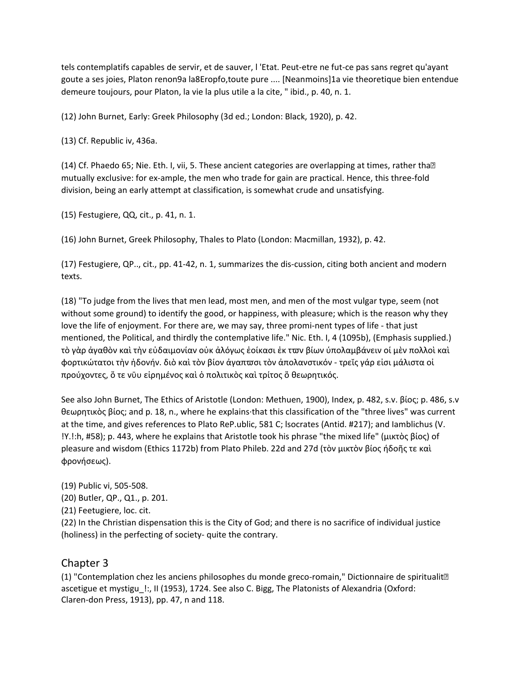tels contemplatifs capables de servir, et de sauver, l 'Etat. Peut-etre ne fut-ce pas sans regret qu'ayant goute a ses joies, Platon renon9a la8Eropfo,toute pure .... [Neanmoins]1a vie theoretique bien entendue demeure toujours, pour Platon, la vie la plus utile a la cite, " ibid., p. 40, n. 1.

(12) John Burnet, Early: Greek Philosophy (3d ed.; London: Black, 1920), p. 42.

(13) Cf. Republic iv, 436a.

(14) Cf. Phaedo 65; Nie. Eth. I, vii, 5. These ancient categories are overlapping at times, rather tha<sup>?</sup> mutually exclusive: for ex-ample, the men who trade for gain are practical. Hence, this three-fold division, being an early attempt at classification, is somewhat crude and unsatisfying.

(15) Festugiere, QQ, cit., p. 41, n. 1.

(16) John Burnet, Greek Philosophy, Thales to Plato (London: Macmillan, 1932), p. 42.

(17) Festugiere, QP.., cit., pp. 41-42, n. 1, summarizes the dis-cussion, citing both ancient and modern texts.

(18) "To judge from the lives that men lead, most men, and men of the most vulgar type, seem (not without some ground) to identify the good, or happiness, with pleasure; which is the reason why they love the life of enjoyment. For there are, we may say, three promi-nent types of life - that just mentioned, the Political, and thirdly the contemplative life." Nic. Eth. I, 4 (1095b), (Emphasis supplied.) τὸ γὰρ ἀγαθὸν καὶ τὴν εὐδαιμονίαν οὐκ ἀλόγως ἐοίκασι ἐκ τϖν βίων ύπολαμβάνειν οί μὲν πολλοὶ καὶ φορτικώτατοι τὴν ἡδονήν. διὸ καὶ τὸν βίον ἀγαπϖσι τὸν ἀπολανστικόν - τρεῐς γάρ εἰσι μάλιστα οἰ προύχοντες, ὅ τε νῡυ εἰρημένος καὶ ὁ πολιτικὸς καὶ τρίτος ὅ θεωρητικός.

See also John Burnet, The Ethics of Aristotle (London: Methuen, 1900), Index, p. 482, s.v. βίος; p. 486, s.v θεωρητικὸς βίος; and p. 18, n., where he explains·that this classification of the "three lives" was current at the time, and gives references to Plato ReP.ublic, 581 C; lsocrates (Antid. #217); and Iamblichus (V. !Y.!:h, #58); p. 443, where he explains that Aristotle took his phrase "the mixed life" (μικτὸς βίος) of pleasure and wisdom (Ethics 1172b) from Plato Phileb. 22d and 27d (τὸν μικτὸν βίος ήδοῆς τε καὶ φρονήσεως).

(19) Public vi, 505-508.

(20) Butler, QP., Q1., p. 201.

(21) Feetugiere, loc. cit.

(22) In the Christian dispensation this is the City of God; and there is no sacrifice of individual justice (holiness) in the perfecting of society- quite the contrary.

## Chapter 3

(1) "Contemplation chez les anciens philosophes du monde greco-romain," Dictionnaire de spiritualit<sup>®</sup> ascetigue et mystigu\_!:, II (1953), 1724. See also C. Bigg, The Platonists of Alexandria (Oxford: Claren-don Press, 1913), pp. 47, n and 118.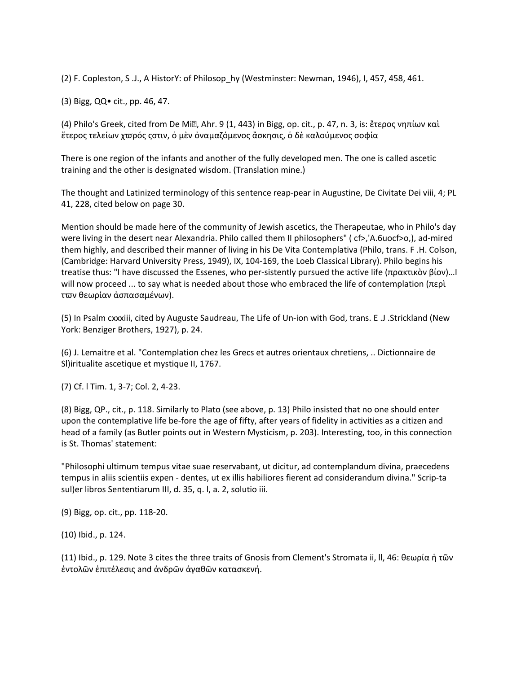(2) F. Copleston, S .J., A HistorY: of Philosop\_hy (Westminster: Newman, 1946), I, 457, 458, 461.

(3) Bigg, QQ• cit., pp. 46, 47.

(4) Philo's Greek, cited from De Mi�, Ahr. 9 (1, 443) in Bigg, op. cit., p. 47, n. 3, is: ἔτερος νηπίων καὶ ἔτερος τελείων χϖρός ςστιν, ὁ μὲν ὀναμαζόμενος ἄσκησις, ὁ δὲ καλούμενος σοφία

There is one region of the infants and another of the fully developed men. The one is called ascetic training and the other is designated wisdom. (Translation mine.)

The thought and Latinized terminology of this sentence reap-pear in Augustine, De Civitate Dei viii, 4; PL 41, 228, cited below on page 30.

Mention should be made here of the community of Jewish ascetics, the Therapeutae, who in Philo's day were living in the desert near Alexandria. Philo called them II philosophers" (cf>,'A.6uocf>o,), ad-mired them highly, and described their manner of living in his De Vita Contemplativa (Philo, trans. F .H. Colson, (Cambridge: Harvard University Press, 1949), IX, 104-169, the Loeb Classical Library). Philo begins his treatise thus: "I have discussed the Essenes, who per-sistently pursued the active life (πρακτικὸν βίον)…I will now proceed ... to say what is needed about those who embraced the life of contemplation (περὶ τϖν θεωρίαν ἀσπασαμένων).

(5) In Psalm cxxxiii, cited by Auguste Saudreau, The Life of Un-ion with God, trans. E .J .Strickland (New York: Benziger Brothers, 1927), p. 24.

(6) J. Lemaitre et al. "Contemplation chez les Grecs et autres orientaux chretiens, .. Dictionnaire de Sl)iritualite ascetique et mystique II, 1767.

(7) Cf. l Tim. 1, 3-7; Col. 2, 4-23.

(8) Bigg, QP., cit., p. 118. Similarly to Plato (see above, p. 13) Philo insisted that no one should enter upon the contemplative life be-fore the age of fifty, after years of fidelity in activities as a citizen and head of a family (as Butler points out in Western Mysticism, p. 203). Interesting, too, in this connection is St. Thomas' statement:

"Philosophi ultimum tempus vitae suae reservabant, ut dicitur, ad contemplandum divina, praecedens tempus in aliis scientiis expen - dentes, ut ex illis habiliores fierent ad considerandum divina." Scrip-ta sul)er libros Sententiarum III, d. 35, q. l, a. 2, solutio iii.

(9) Bigg, op. cit., pp. 118-20.

(10) Ibid., p. 124.

(11) Ibid., p. 129. Note 3 cites the three traits of Gnosis from Clement's Stromata ii, ll, 46: θεωρία ἡ τῶν ἐντολῶν ἐπιτέλεσις and ἀνδρῶν ἀγαθῶν κατασκενή.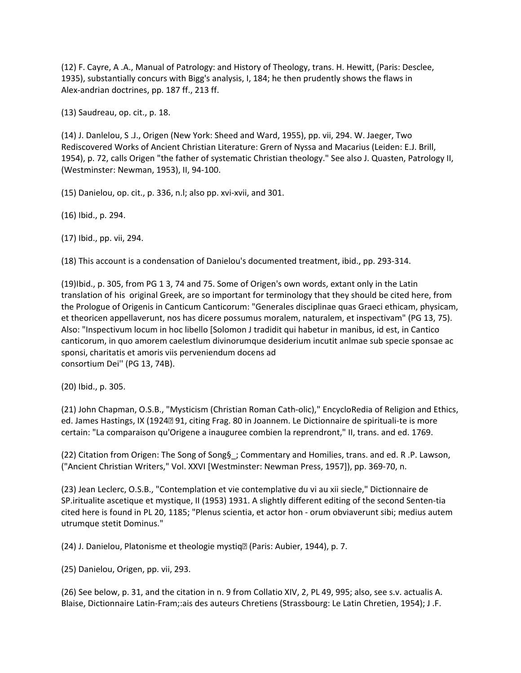(12) F. Cayre, A .A., Manual of Patrology: and History of Theology, trans. H. Hewitt, (Paris: Desclee, 1935), substantially concurs with Bigg's analysis, I, 184; he then prudently shows the flaws in Alex-andrian doctrines, pp. 187 ff., 213 ff.

(13) Saudreau, op. cit., p. 18.

(14) J. Danlelou, S .J., Origen (New York: Sheed and Ward, 1955), pp. vii, 294. W. Jaeger, Two Rediscovered Works of Ancient Christian Literature: Grern of Nyssa and Macarius (Leiden: E.J. Brill, 1954), p. 72, calls Origen "the father of systematic Christian theology." See also J. Quasten, Patrology II, (Westminster: Newman, 1953), II, 94-100.

(15) Danielou, op. cit., p. 336, n.l; also pp. xvi-xvii, and 301.

(16) Ibid., p. 294.

(17) Ibid., pp. vii, 294.

(18) This account is a condensation of Danielou's documented treatment, ibid., pp. 293-314.

(19)Ibid., p. 305, from PG 1 3, 74 and 75. Some of Origen's own words, extant only in the Latin translation of his original Greek, are so important for terminology that they should be cited here, from the Prologue of Origenis in Canticum Canticorum: "Generales disciplinae quas Graeci ethicam, physicam, et theoricen appellaverunt, nos has dicere possumus moralem, naturalem, et inspectivam" (PG 13, 75). Also: "Inspectivum locum in hoc libello [Solomon J tradidit qui habetur in manibus, id est, in Cantico canticorum, in quo amorem caelestlum divinorumque desiderium incutit anlmae sub specie sponsae ac sponsi, charitatis et amoris viis perveniendum docens ad consortium Dei'' (PG 13, 74B).

(20) Ibid., p. 305.

(21) John Chapman, O.S.B., "Mysticism (Christian Roman Cath-olic)," EncycloRedia of Religion and Ethics, ed. James Hastings, IX (1924291, citing Frag. 80 in Joannem. Le Dictionnaire de spirituali-te is more certain: "La comparaison qu'Origene a inauguree combien la reprendront," II, trans. and ed. 1769.

(22) Citation from Origen: The Song of Song§\_; Commentary and Homilies, trans. and ed. R .P. Lawson, ("Ancient Christian Writers," Vol. XXVI [Westminster: Newman Press, 1957]), pp. 369-70, n.

(23) Jean Leclerc, O.S.B., "Contemplation et vie contemplative du vi au xii siecle," Dictionnaire de SP.iritualite ascetique et mystique, II (1953) 1931. A slightly different editing of the second Senten-tia cited here is found in PL 20, 1185; "Plenus scientia, et actor hon - orum obviaverunt sibi; medius autem utrumque stetit Dominus."

(24) J. Danielou, Platonisme et theologie mystiq� (Paris: Aubier, 1944), p. 7.

(25) Danielou, Origen, pp. vii, 293.

(26) See below, p. 31, and the citation in n. 9 from Collatio XIV, 2, PL 49, 995; also, see s.v. actualis A. Blaise, Dictionnaire Latin-Fram;:ais des auteurs Chretiens (Strassbourg: Le Latin Chretien, 1954); J .F.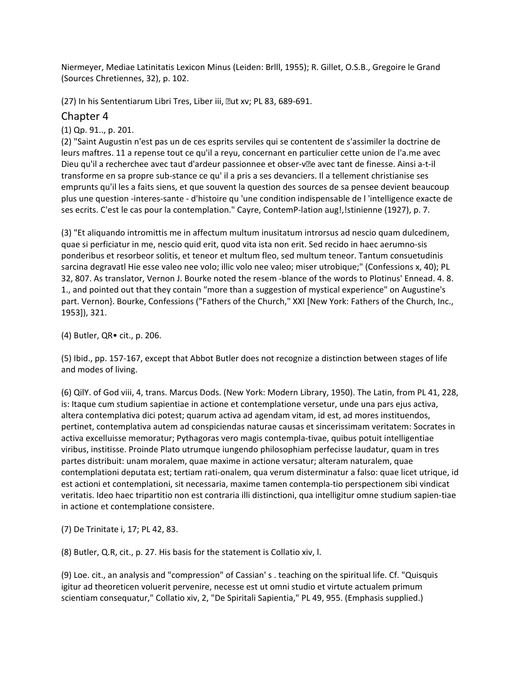Niermeyer, Mediae Latinitatis Lexicon Minus (Leiden: Brlll, 1955); R. Gillet, O.S.B., Gregoire le Grand (Sources Chretiennes, 32), p. 102.

(27) In his Sententiarum Libri Tres, Liber iii, aut xv; PL 83, 689-691.

## Chapter 4

(1) Qp. 91.., p. 201.

(2) "Saint Augustin n'est pas un de ces esprits serviles qui se contentent de s'assimiler la doctrine de leurs maftres. 11 a repense tout ce qu'il a reyu, concernant en particulier cette union de l'a.me avec Dieu qu'il a recherchee avec taut d'ardeur passionnee et obser-v�e avec tant de finesse. Ainsi a-t-il transforme en sa propre sub-stance ce qu' il a pris a ses devanciers. Il a tellement christianise ses emprunts qu'il les a faits siens, et que souvent la question des sources de sa pensee devient beaucoup plus une question -interes-sante - d'histoire qu 'une condition indispensable de l 'intelligence exacte de ses ecrits. C'est le cas pour la contemplation." Cayre, ContemP-lation aug!,!stinienne (1927), p. 7.

(3) "Et aliquando intromittis me in affectum multum inusitatum introrsus ad nescio quam dulcedinem, quae si perficiatur in me, nescio quid erit, quod vita ista non erit. Sed recido in haec aerumno-sis ponderibus et resorbeor solitis, et teneor et multum fleo, sed multum teneor. Tantum consuetudinis sarcina degravatl Hie esse valeo nee volo; illic volo nee valeo; miser utrobique;" (Confessions x, 40); PL 32, 807. As translator, Vernon J. Bourke noted the resem -blance of the words to Plotinus' Ennead. 4. 8. 1., and pointed out that they contain "more than a suggestion of mystical experience" on Augustine's part. Vernon}. Bourke, Confessions ("Fathers of the Church," XXI [New York: Fathers of the Church, Inc., 1953]), 321.

(4) Butler, QR• cit., p. 206.

(5) Ibid., pp. 157-167, except that Abbot Butler does not recognize a distinction between stages of life and modes of living.

(6) QilY. of God viii, 4, trans. Marcus Dods. (New York: Modern Library, 1950). The Latin, from PL 41, 228, is: Itaque cum studium sapientiae in actione et contemplatione versetur, unde una pars ejus activa, altera contemplativa dici potest; quarum activa ad agendam vitam, id est, ad mores instituendos, pertinet, contemplativa autem ad conspiciendas naturae causas et sincerissimam veritatem: Socrates in activa excelluisse memoratur; Pythagoras vero magis contempla-tivae, quibus potuit intelligentiae viribus, institisse. Proinde Plato utrumque iungendo philosophiam perfecisse laudatur, quam in tres partes distribuit: unam moralem, quae maxime in actione versatur; alteram naturalem, quae contemplationi deputata est; tertiam rati-onalem, qua verum disterminatur a falso: quae licet utrique, id est actioni et contemplationi, sit necessaria, maxime tamen contempla-tio perspectionem sibi vindicat veritatis. Ideo haec tripartitio non est contraria illi distinctioni, qua intelligitur omne studium sapien-tiae in actione et contemplatione consistere.

(7) De Trinitate i, 17; PL 42, 83.

(8) Butler, Q.R, cit., p. 27. His basis for the statement is Collatio xiv, l.

(9) Loe. cit., an analysis and "compression" of Cassian' s . teaching on the spiritual life. Cf. "Quisquis igitur ad theoreticen voluerit pervenire, necesse est ut omni studio et virtute actualem primum scientiam consequatur," Collatio xiv, 2, "De Spiritali Sapientia," PL 49, 955. (Emphasis supplied.)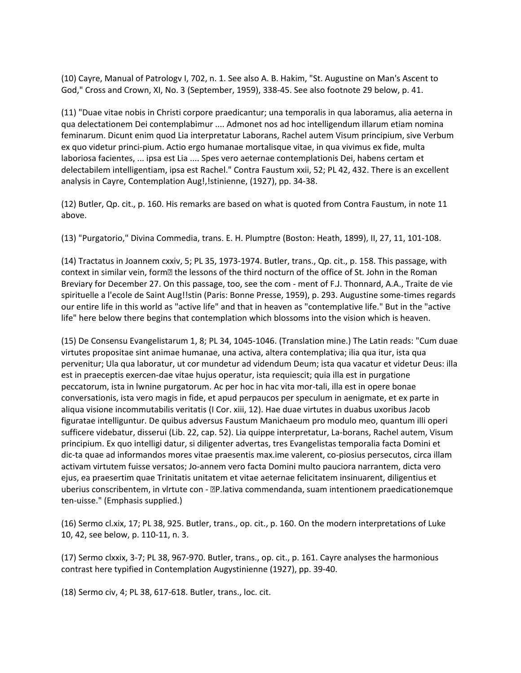(10) Cayre, Manual of Patrologv I, 702, n. 1. See also A. B. Hakim, "St. Augustine on Man's Ascent to God," Cross and Crown, XI, No. 3 (September, 1959), 338-45. See also footnote 29 below, p. 41.

(11) "Duae vitae nobis in Christi corpore praedicantur; una temporalis in qua laboramus, alia aeterna in qua delectationem Dei contemplabimur .... Admonet nos ad hoc intelligendum illarum etiam nomina feminarum. Dicunt enim quod Lia interpretatur Laborans, Rachel autem Visum principium, sive Verbum ex quo videtur princi-pium. Actio ergo humanae mortalisque vitae, in qua vivimus ex fide, multa laboriosa facientes, ... ipsa est Lia .... Spes vero aeternae contemplationis Dei, habens certam et delectabilem intelligentiam, ipsa est Rachel." Contra Faustum xxii, 52; PL 42, 432. There is an excellent analysis in Cayre, Contemplation Aug!, !stinienne, (1927), pp. 34-38.

(12) Butler, Qp. cit., p. 160. His remarks are based on what is quoted from Contra Faustum, in note 11 above.

(13) "Purgatorio," Divina Commedia, trans. E. H. Plumptre (Boston: Heath, 1899), II, 27, 11, 101-108.

(14) Tractatus in Joannem cxxiv, 5; PL 35, 1973-1974. Butler, trans., Qp. cit., p. 158. This passage, with context in similar vein, form<sup>[2]</sup> the lessons of the third nocturn of the office of St. John in the Roman Breviary for December 27. On this passage, too, see the com - ment of F.J. Thonnard, A.A., Traite de vie spirituelle a l'ecole de Saint Aug!!stin (Paris: Bonne Presse, 1959), p. 293. Augustine some-times regards our entire life in this world as "active life" and that in heaven as "contemplative life." But in the "active life" here below there begins that contemplation which blossoms into the vision which is heaven.

(15) De Consensu Evangelistarum 1, 8; PL 34, 1045-1046. (Translation mine.) The Latin reads: "Cum duae virtutes propositae sint animae humanae, una activa, altera contemplativa; ilia qua itur, ista qua pervenitur; Ula qua laboratur, ut cor mundetur ad videndum Deum; ista qua vacatur et videtur Deus: illa est in praeceptis exercen-dae vitae hujus operatur, ista requiescit; quia illa est in purgatione peccatorum, ista in lwnine purgatorum. Ac per hoc in hac vita mor-tali, illa est in opere bonae conversationis, ista vero magis in fide, et apud perpaucos per speculum in aenigmate, et ex parte in aliqua visione incommutabilis veritatis (I Cor. xiii, 12). Hae duae virtutes in duabus uxoribus Jacob figuratae intelliguntur. De quibus adversus Faustum Manichaeum pro modulo meo, quantum illi operi sufficere videbatur, disserui (Lib. 22, cap. 52). Lia quippe interpretatur, La-borans, Rachel autem, Visum principium. Ex quo intelligi datur, si diligenter advertas, tres Evangelistas temporalia facta Domini et dic-ta quae ad informandos mores vitae praesentis max.ime valerent, co-piosius persecutos, circa illam activam virtutem fuisse versatos; Jo-annem vero facta Domini multo pauciora narrantem, dicta vero ejus, ea praesertim quae Trinitatis unitatem et vitae aeternae felicitatem insinuarent, diligentius et uberius conscribentem, in vlrtute con - **DP.lativa commendanda, suam intentionem praedicationemque** ten-uisse." (Emphasis supplied.)

(16) Sermo cl.xix, 17; PL 38, 925. Butler, trans., op. cit., p. 160. On the modern interpretations of Luke 10, 42, see below, p. 110-11, n. 3.

(17) Sermo clxxix, 3-7; PL 38, 967-970. Butler, trans., op. cit., p. 161. Cayre analyses the harmonious contrast here typified in Contemplation Augystinienne (1927), pp. 39-40.

(18) Sermo civ, 4; PL 38, 617-618. Butler, trans., loc. cit.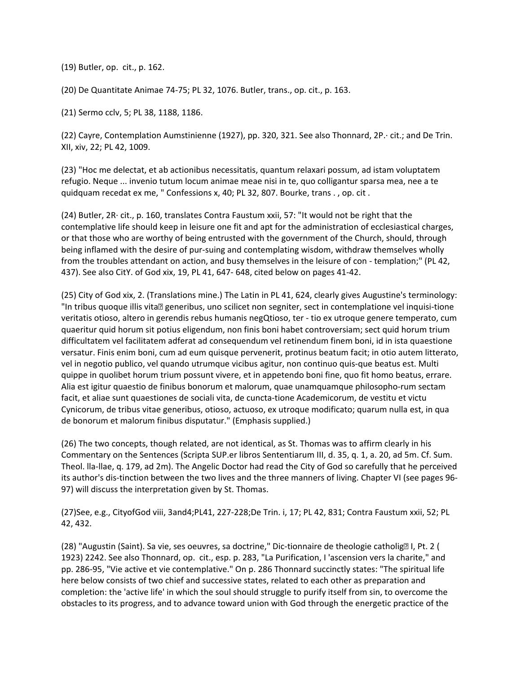(19) Butler, op. cit., p. 162.

(20) De Quantitate Animae 74-75; PL 32, 1076. Butler, trans., op. cit., p. 163.

(21) Sermo cclv, 5; PL 38, 1188, 1186.

(22) Cayre, Contemplation Aumstinienne (1927), pp. 320, 321. See also Thonnard, 2P.· cit.; and De Trin. XII, xiv, 22; PL 42, 1009.

(23) "Hoc me delectat, et ab actionibus necessitatis, quantum relaxari possum, ad istam voluptatem refugio. Neque ... invenio tutum locum animae meae nisi in te, quo colligantur sparsa mea, nee a te quidquam recedat ex me, " Confessions x, 40; PL 32, 807. Bourke, trans . , op. cit .

(24) Butler, 2R· cit., p. 160, translates Contra Faustum xxii, 57: "It would not be right that the contemplative life should keep in leisure one fit and apt for the administration of ecclesiastical charges, or that those who are worthy of being entrusted with the government of the Church, should, through being inflamed with the desire of pur-suing and contemplating wisdom, withdraw themselves wholly from the troubles attendant on action, and busy themselves in the leisure of con - templation;" (PL 42, 437). See also CitY. of God xix, 19, PL 41, 647- 648, cited below on pages 41-42.

(25) City of God xix, 2. (Translations mine.) The Latin in PL 41, 624, clearly gives Augustine's terminology: "In tribus quoque illis vita<sup>®</sup> generibus, uno scilicet non segniter, sect in contemplatione vel inquisi-tione veritatis otioso, altero in gerendis rebus humanis negQtioso, ter - tio ex utroque genere temperato, cum quaeritur quid horum sit potius eligendum, non finis boni habet controversiam; sect quid horum trium difficultatem vel facilitatem adferat ad consequendum vel retinendum finem boni, id in ista quaestione versatur. Finis enim boni, cum ad eum quisque pervenerit, protinus beatum facit; in otio autem litterato, vel in negotio publico, vel quando utrumque vicibus agitur, non continuo quis-que beatus est. Multi quippe in quolibet horum trium possunt vivere, et in appetendo boni fine, quo fit homo beatus, errare. Alia est igitur quaestio de finibus bonorum et malorum, quae unamquamque philosopho-rum sectam facit, et aliae sunt quaestiones de sociali vita, de cuncta-tione Academicorum, de vestitu et victu Cynicorum, de tribus vitae generibus, otioso, actuoso, ex utroque modificato; quarum nulla est, in qua de bonorum et malorum finibus disputatur." (Emphasis supplied.)

(26) The two concepts, though related, are not identical, as St. Thomas was to affirm clearly in his Commentary on the Sentences (Scripta SUP.er libros Sententiarum III, d. 35, q. 1, a. 20, ad 5m. Cf. Sum. Theol. lla-llae, q. 179, ad 2m). The Angelic Doctor had read the City of God so carefully that he perceived its author's dis-tinction between the two lives and the three manners of living. Chapter VI (see pages 96- 97) will discuss the interpretation given by St. Thomas.

(27)See, e.g., CityofGod viii, 3and4;PL41, 227-228;De Trin. i, 17; PL 42, 831; Contra Faustum xxii, 52; PL 42, 432.

(28) "Augustin (Saint). Sa vie, ses oeuvres, sa doctrine," Dic-tionnaire de theologie catholig� I, Pt. 2 ( 1923) 2242. See also Thonnard, op. cit., esp. p. 283, "La Purification, I 'ascension vers la charite," and pp. 286-95, "Vie active et vie contemplative." On p. 286 Thonnard succinctly states: "The spiritual life here below consists of two chief and successive states, related to each other as preparation and completion: the 'active life' in which the soul should struggle to purify itself from sin, to overcome the obstacles to its progress, and to advance toward union with God through the energetic practice of the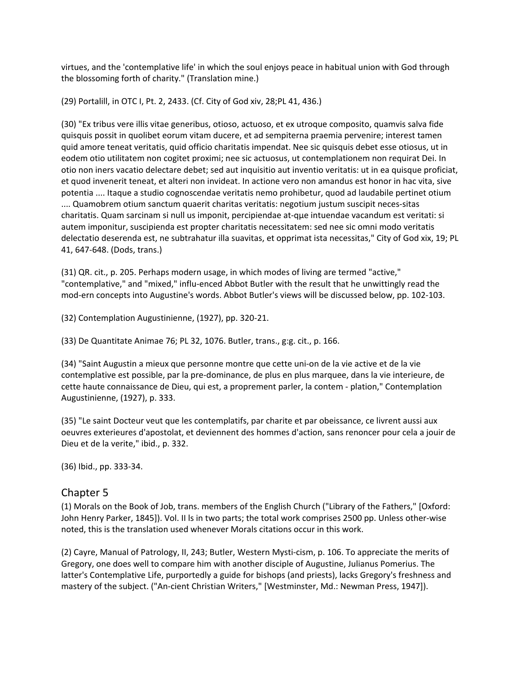virtues, and the 'contemplative life' in which the soul enjoys peace in habitual union with God through the blossoming forth of charity." (Translation mine.)

(29) Portalill, in OTC I, Pt. 2, 2433. (Cf. City of God xiv, 28;PL 41, 436.)

(30) "Ex tribus vere illis vitae generibus, otioso, actuoso, et ex utroque composito, quamvis salva fide quisquis possit in quolibet eorum vitam ducere, et ad sempiterna praemia pervenire; interest tamen quid amore teneat veritatis, quid officio charitatis impendat. Nee sic quisquis debet esse otiosus, ut in eodem otio utilitatem non cogitet proximi; nee sic actuosus, ut contemplationem non requirat Dei. In otio non iners vacatio delectare debet; sed aut inquisitio aut inventio veritatis: ut in ea quisque proficiat, et quod invenerit teneat, et alteri non invideat. In actione vero non amandus est honor in hac vita, sive potentia .... Itaque a studio cognoscendae veritatis nemo prohibetur, quod ad laudabile pertinet otium .... Quamobrem otium sanctum quaerit charitas veritatis: negotium justum suscipit neces-sitas charitatis. Quam sarcinam si null us imponit, percipiendae at-qµe intuendae vacandum est veritati: si autem imponitur, suscipienda est propter charitatis necessitatem: sed nee sic omni modo veritatis delectatio deserenda est, ne subtrahatur illa suavitas, et opprimat ista necessitas," City of God xix, 19; PL 41, 647-648. (Dods, trans.)

(31) QR. cit., p. 205. Perhaps modern usage, in which modes of living are termed "active," "contemplative," and "mixed," influ-enced Abbot Butler with the result that he unwittingly read the mod-ern concepts into Augustine's words. Abbot Butler's views will be discussed below, pp. 102-103.

(32) Contemplation Augustinienne, (1927), pp. 320-21.

(33) De Quantitate Animae 76; PL 32, 1076. Butler, trans., g:g. cit., p. 166.

(34) "Saint Augustin a mieux que personne montre que cette uni-on de la vie active et de la vie contemplative est possible, par la pre-dominance, de plus en plus marquee, dans la vie interieure, de cette haute connaissance de Dieu, qui est, a proprement parler, la contem - plation," Contemplation Augustinienne, (1927), p. 333.

(35) "Le saint Docteur veut que les contemplatifs, par charite et par obeissance, ce livrent aussi aux oeuvres exterieures d'apostolat, et deviennent des hommes d'action, sans renoncer pour cela a jouir de Dieu et de la verite," ibid., p. 332.

(36) Ibid., pp. 333-34.

## Chapter 5

(1) Morals on the Book of Job, trans. members of the English Church ("Library of the Fathers," [Oxford: John Henry Parker, 1845]). Vol. II ls in two parts; the total work comprises 2500 pp. Unless other-wise noted, this is the translation used whenever Morals citations occur in this work.

(2) Cayre, Manual of Patrology, II, 243; Butler, Western Mysti-cism, p. 106. To appreciate the merits of Gregory, one does well to compare him with another disciple of Augustine, Julianus Pomerius. The latter's Contemplative Life, purportedly a guide for bishops (and priests), lacks Gregory's freshness and mastery of the subject. ("An-cient Christian Writers," [Westminster, Md.: Newman Press, 1947]).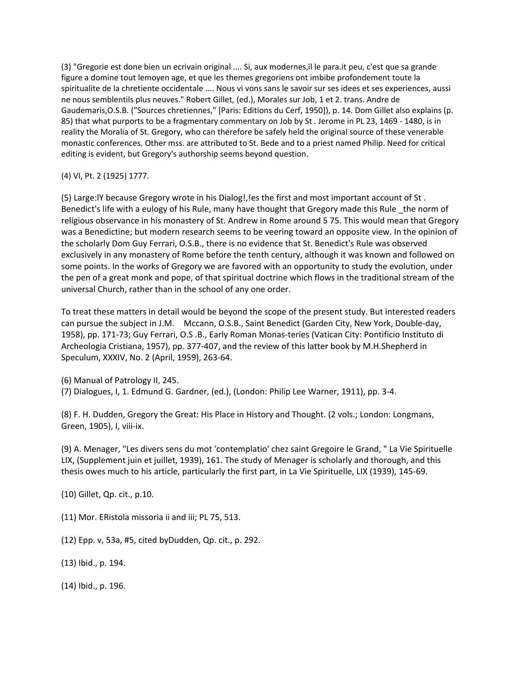(3) "Gregorie est done bien un ecrivain original .... Si, aux modernes,il le para.it peu, c'est que sa grande figure a domine tout lemoyen age, et que les themes gregoriens ont imbibe profondement toute la spiritualite de la chretiente occidentale .... Nous vi vons sans le savoir sur ses idees et ses experiences, aussi ne nous semblentils plus neuves." Robert Gillet, (ed.), Morales sur Job, 1 et 2. trans. Andre de Gaudemaris,O.S.B. ("Sources chretiennes," [Paris: Editions du Cerf, 1950]), p. 14. Dom Gillet also explains (p. 85) that what purports to be a fragmentary commentary on Job by St. Jerome in PL 23, 1469 - 1480, is in reality the Moralia of St. Gregory, who can therefore be safely held the original source of these venerable monastic conferences. Other mss. are attributed to St. Bede and to a priest named Philip. Need for critical editing is evident, but Gregory's authorship seems beyond question.

#### (4) VI, Pt. 2 (1925) 1777.

(5) Large:lY because Gregory wrote in his Dialog!,!es the first and most important account of St . Benedict's life with a eulogy of his Rule, many have thought that Gregory made this Rule \_the norm of religious observance in his monastery of St. Andrew in Rome around 5 75. This would mean that Gregory was a Benedictine; but modern research seems to be veering toward an opposite view. In the opinion of the scholarly Dom Guy Ferrari, O.S.B., there is no evidence that St. Benedict's Rule was observed exclusively in any monastery of Rome before the tenth century, although it was known and followed on some points. In the works of Gregory we are favored with an opportunity to study the evolution, under the pen of a great monk and pope, of that spiritual doctrine which flows in the traditional stream of the universal Church, rather than in the school of any one order.

To treat these matters in detail would be beyond the scope of the present study. But interested readers can pursue the subject in J.M. Mccann, O.S.B., Saint Benedict (Garden City, New York, Double-day, 1958), pp. 171-73; Guy Ferrari, O.S .B., Early Roman Monas-teries (Vatican City: Pontificio Instituto di Archeologia Cristiana, 1957), pp. 377-407, and the review of this latter book by M.H.Shepherd in Speculum, XXXIV, No. 2 (April, 1959), 263-64.

(6) Manual of Patrology II, 245.

(7) Dialogues, I, 1. Edmund G. Gardner, (ed.), (London: Philip Lee Warner, 1911), pp. 3-4.

(8) F. H. Dudden, Gregory the Great: His Place in History and Thought. (2 vols.; London: Longmans, Green, 1905), I, viii-ix.

(9) A. Menager, "Les divers sens du mot 'contemplatio' chez saint Gregoire le Grand, " La Vie Spirituelle LIX, (Supplement juin et juillet, 1939), 161. The study of Menager is scholarly and thorough, and this thesis owes much to his article, particularly the first part, in La Vie Spirituelle, LIX (1939), 145-69.

(10) Gillet, Qp. cit., p.10.

(11) Mor. ERistola missoria ii and iii; PL 75, 513.

(12) Epp. v, 53a, #5, cited byDudden, Qp. cit., p. 292.

(13) Ibid., p. 194.

(14) Ibid., p. 196.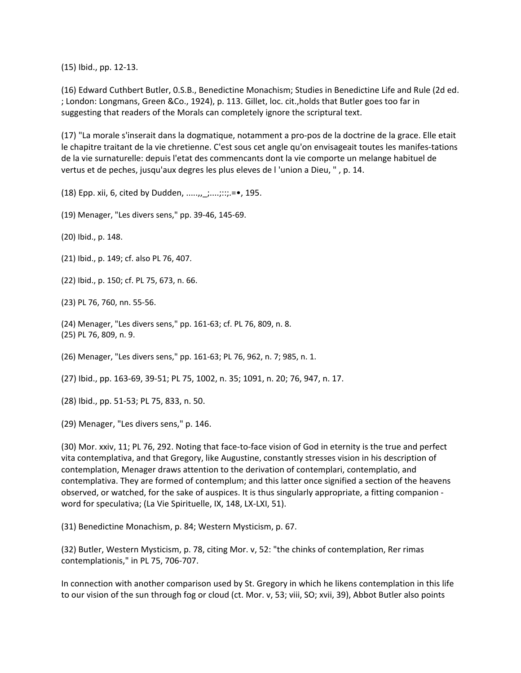(15) Ibid., pp. 12-13.

(16) Edward Cuthbert Butler, 0.S.B., Benedictine Monachism; Studies in Benedictine Life and Rule (2d ed. ; London: Longmans, Green &Co., 1924), p. 113. Gillet, loc. cit.,holds that Butler goes too far in suggesting that readers of the Morals can completely ignore the scriptural text.

(17) "La morale s'inserait dans la dogmatique, notamment a pro-pos de la doctrine de la grace. Elle etait le chapitre traitant de la vie chretienne. C'est sous cet angle qu'on envisageait toutes les manifes-tations de la vie surnaturelle: depuis l'etat des commencants dont la vie comporte un melange habituel de vertus et de peches, jusqu'aux degres les plus eleves de l 'union a Dieu, " , p. 14.

(18) Epp. xii, 6, cited by Dudden, .....,,\_;....;::;.=•, 195.

(19) Menager, "Les divers sens," pp. 39-46, 145-69.

(20) Ibid., p. 148.

(21) Ibid., p. 149; cf. also PL 76, 407.

(22) Ibid., p. 150; cf. PL 75, 673, n. 66.

(23) PL 76, 760, nn. 55-56.

(24) Menager, "Les divers sens," pp. 161-63; cf. PL 76, 809, n. 8. (25) PL 76, 809, n. 9.

(26) Menager, "Les divers sens," pp. 161-63; PL 76, 962, n. 7; 985, n. 1.

(27) Ibid., pp. 163-69, 39-51; PL 75, 1002, n. 35; 1091, n. 20; 76, 947, n. 17.

(28) Ibid., pp. 51-53; PL 75, 833, n. 50.

(29) Menager, "Les divers sens," p. 146.

(30) Mor. xxiv, 11; PL 76, 292. Noting that face-to-face vision of God in eternity is the true and perfect vita contemplativa, and that Gregory, like Augustine, constantly stresses vision in his description of contemplation, Menager draws attention to the derivation of contemplari, contemplatio, and contemplativa. They are formed of contemplum; and this latter once signified a section of the heavens observed, or watched, for the sake of auspices. It is thus singularly appropriate, a fitting companion word for speculativa; (La Vie Spirituelle, IX, 148, LX-LXI, 51).

(31) Benedictine Monachism, p. 84; Western Mysticism, p. 67.

(32) Butler, Western Mysticism, p. 78, citing Mor. v, 52: "the chinks of contemplation, Rer rimas contemplationis," in PL 75, 706-707.

In connection with another comparison used by St. Gregory in which he likens contemplation in this life to our vision of the sun through fog or cloud (ct. Mor. v, 53; viii, SO; xvii, 39), Abbot Butler also points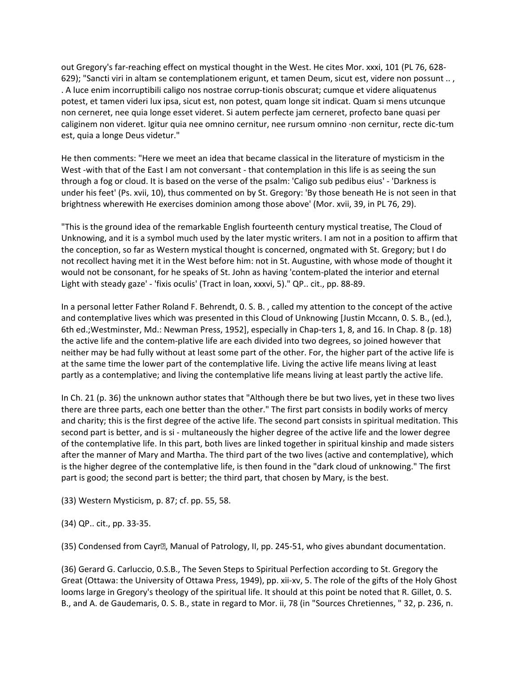out Gregory's far-reaching effect on mystical thought in the West. He cites Mor. xxxi, 101 (PL 76, 628- 629); "Sancti viri in altam se contemplationem erigunt, et tamen Deum, sicut est, videre non possunt .. , . A luce enim incorruptibili caligo nos nostrae corrup-tionis obscurat; cumque et videre aliquatenus potest, et tamen videri lux ipsa, sicut est, non potest, quam longe sit indicat. Quam si mens utcunque non cerneret, nee quia longe esset videret. Si autem perfecte jam cerneret, profecto bane quasi per caliginem non videret. Igitur quia nee omnino cernitur, nee rursum omnino ·non cernitur, recte dic-tum est, quia a longe Deus videtur."

He then comments: "Here we meet an idea that became classical in the literature of mysticism in the West -with that of the East I am not conversant - that contemplation in this life is as seeing the sun through a fog or cloud. It is based on the verse of the psalm: 'Caligo sub pedibus eius' - 'Darkness is under his feet' (Ps. xvii, 10), thus commented on by St. Gregory: 'By those beneath He is not seen in that brightness wherewith He exercises dominion among those above' (Mor. xvii, 39, in PL 76, 29).

"This is the ground idea of the remarkable English fourteenth century mystical treatise, The Cloud of Unknowing, and it is a symbol much used by the later mystic writers. I am not in a position to affirm that the conception, so far as Western mystical thought is concerned, ongmated with St. Gregory; but I do not recollect having met it in the West before him: not in St. Augustine, with whose mode of thought it would not be consonant, for he speaks of St. John as having 'contem-plated the interior and eternal Light with steady gaze' - 'fixis oculis' (Tract in loan, xxxvi, 5)." QP.. cit., pp. 88-89.

In a personal letter Father Roland F. Behrendt, 0. S. B. , called my attention to the concept of the active and contemplative lives which was presented in this Cloud of Unknowing [Justin Mccann, 0. S. B., (ed.), 6th ed.;Westminster, Md.: Newman Press, 1952], especially in Chap-ters 1, 8, and 16. In Chap. 8 (p. 18) the active life and the contem-plative life are each divided into two degrees, so joined however that neither may be had fully without at least some part of the other. For, the higher part of the active life is at the same time the lower part of the contemplative life. Living the active life means living at least partly as a contemplative; and living the contemplative life means living at least partly the active life.

In Ch. 21 (p. 36) the unknown author states that "Although there be but two lives, yet in these two lives there are three parts, each one better than the other." The first part consists in bodily works of mercy and charity; this is the first degree of the active life. The second part consists in spiritual meditation. This second part is better, and is si - multaneously the higher degree of the active life and the lower degree of the contemplative life. In this part, both lives are linked together in spiritual kinship and made sisters after the manner of Mary and Martha. The third part of the two lives (active and contemplative), which is the higher degree of the contemplative life, is then found in the "dark cloud of unknowing." The first part is good; the second part is better; the third part, that chosen by Mary, is the best.

(33) Western Mysticism, p. 87; cf. pp. 55, 58.

(34) QP.. cit., pp. 33-35.

(35) Condensed from Cayr�, Manual of Patrology, II, pp. 245-51, who gives abundant documentation.

(36) Gerard G. Carluccio, 0.S.B., The Seven Steps to Spiritual Perfection according to St. Gregory the Great (Ottawa: the University of Ottawa Press, 1949), pp. xii-xv, 5. The role of the gifts of the Holy Ghost looms large in Gregory's theology of the spiritual life. It should at this point be noted that R. Gillet, 0. S. B., and A. de Gaudemaris, 0. S. B., state in regard to Mor. ii, 78 (in "Sources Chretiennes, " 32, p. 236, n.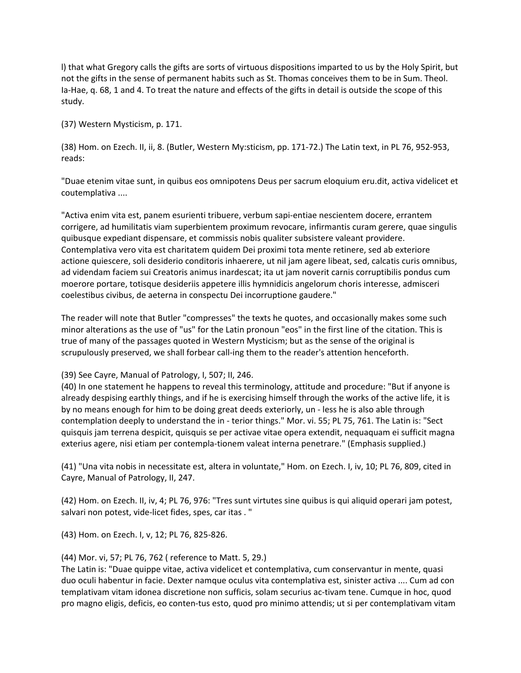l) that what Gregory calls the gifts are sorts of virtuous dispositions imparted to us by the Holy Spirit, but not the gifts in the sense of permanent habits such as St. Thomas conceives them to be in Sum. Theol. Ia-Hae, q. 68, 1 and 4. To treat the nature and effects of the gifts in detail is outside the scope of this study.

(37) Western Mysticism, p. 171.

(38) Hom. on Ezech. II, ii, 8. (Butler, Western My:sticism, pp. 171-72.) The Latin text, in PL 76, 952-953, reads:

"Duae etenim vitae sunt, in quibus eos omnipotens Deus per sacrum eloquium eru.dit, activa videlicet et coutemplativa ....

"Activa enim vita est, panem esurienti tribuere, verbum sapi-entiae nescientem docere, errantem corrigere, ad humilitatis viam superbientem proximum revocare, infirmantis curam gerere, quae singulis quibusque expediant dispensare, et commissis nobis qualiter subsistere valeant providere. Contemplativa vero vita est charitatem quidem Dei proximi tota mente retinere, sed ab exteriore actione quiescere, soli desiderio conditoris inhaerere, ut nil jam agere libeat, sed, calcatis curis omnibus, ad videndam faciem sui Creatoris animus inardescat; ita ut jam noverit carnis corruptibilis pondus cum moerore portare, totisque desideriis appetere illis hymnidicis angelorum choris interesse, admisceri coelestibus civibus, de aeterna in conspectu Dei incorruptione gaudere."

The reader will note that Butler "compresses" the texts he quotes, and occasionally makes some such minor alterations as the use of "us" for the Latin pronoun "eos" in the first line of the citation. This is true of many of the passages quoted in Western Mysticism; but as the sense of the original is scrupulously preserved, we shall forbear call-ing them to the reader's attention henceforth.

(39) See Cayre, Manual of Patrology, I, 507; II, 246.

(40) In one statement he happens to reveal this terminology, attitude and procedure: "But if anyone is already despising earthly things, and if he is exercising himself through the works of the active life, it is by no means enough for him to be doing great deeds exteriorly, un - less he is also able through contemplation deeply to understand the in - terior things." Mor. vi. 55; PL 75, 761. The Latin is: "Sect quisquis jam terrena despicit, quisquis se per activae vitae opera extendit, nequaquam ei sufficit magna exterius agere, nisi etiam per contempla-tionem valeat interna penetrare." (Emphasis supplied.)

(41) "Una vita nobis in necessitate est, altera in voluntate," Hom. on Ezech. I, iv, 10; PL 76, 809, cited in Cayre, Manual of Patrology, II, 247.

(42) Hom. on Ezech. II, iv, 4; PL 76, 976: "Tres sunt virtutes sine quibus is qui aliquid operari jam potest, salvari non potest, vide-licet fides, spes, car itas . "

(43) Hom. on Ezech. I, v, 12; PL 76, 825-826.

(44) Mor. vi, 57; PL 76, 762 ( reference to Matt. 5, 29.)

The Latin is: "Duae quippe vitae, activa videlicet et contemplativa, cum conservantur in mente, quasi duo oculi habentur in facie. Dexter namque oculus vita contemplativa est, sinister activa .... Cum ad con templativam vitam idonea discretione non sufficis, solam securius ac-tivam tene. Cumque in hoc, quod pro magno eligis, deficis, eo conten-tus esto, quod pro minimo attendis; ut si per contemplativam vitam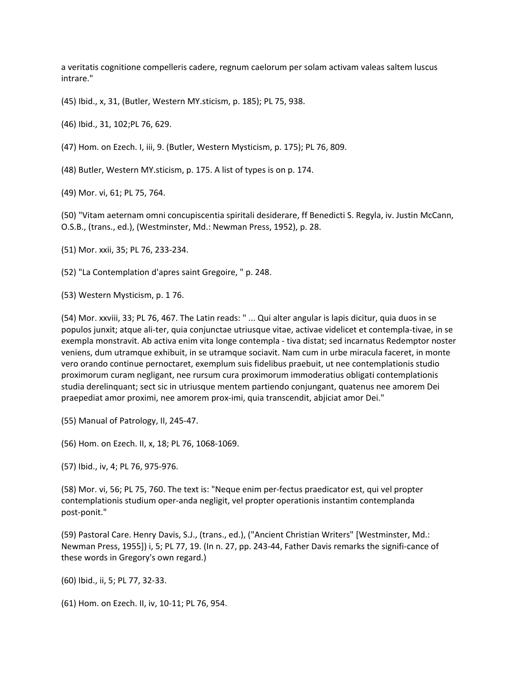a veritatis cognitione compelleris cadere, regnum caelorum per solam activam valeas saltem luscus intrare."

(45) Ibid., x, 31, (Butler, Western MY.sticism, p. 185); PL 75, 938.

(46) Ibid., 31, 102;PL 76, 629.

(47) Hom. on Ezech. I, iii, 9. (Butler, Western Mysticism, p. 175); PL 76, 809.

(48) Butler, Western MY.sticism, p. 175. A list of types is on p. 174.

(49) Mor. vi, 61; PL 75, 764.

(50) "Vitam aeternam omni concupiscentia spiritali desiderare, ff Benedicti S. Regyla, iv. Justin McCann, O.S.B., (trans., ed.), (Westminster, Md.: Newman Press, 1952), p. 28.

(51) Mor. xxii, 35; PL 76, 233-234.

(52) "La Contemplation d'apres saint Gregoire, " p. 248.

(53) Western Mysticism, p. 1 76.

(54) Mor. xxviii, 33; PL 76, 467. The Latin reads: " ... Qui alter angular is lapis dicitur, quia duos in se populos junxit; atque ali-ter, quia conjunctae utriusque vitae, activae videlicet et contempla-tivae, in se exempla monstravit. Ab activa enim vita longe contempla - tiva distat; sed incarnatus Redemptor noster veniens, dum utramque exhibuit, in se utramque sociavit. Nam cum in urbe miracula faceret, in monte vero orando continue pernoctaret, exemplum suis fidelibus praebuit, ut nee contemplationis studio proximorum curam negligant, nee rursum cura proximorum immoderatius obligati contemplationis studia derelinquant; sect sic in utriusque mentem partiendo conjungant, quatenus nee amorem Dei praepediat amor proximi, nee amorem prox-imi, quia transcendit, abjiciat amor Dei."

(55) Manual of Patrology, II, 245-47.

(56) Hom. on Ezech. II, x, 18; PL 76, 1068-1069.

(57) Ibid., iv, 4; PL 76, 975-976.

(58) Mor. vi, 56; PL 75, 760. The text is: "Neque enim per-fectus praedicator est, qui vel propter contemplationis studium oper-anda negligit, vel propter operationis instantim contemplanda post-ponit."

(59) Pastoral Care. Henry Davis, S.J., (trans., ed.), ("Ancient Christian Writers" [Westminster, Md.: Newman Press, 1955]) i, 5; PL 77, 19. (In n. 27, pp. 243-44, Father Davis remarks the signifi-cance of these words in Gregory's own regard.)

(60) Ibid., ii, 5; PL 77, 32-33.

(61) Hom. on Ezech. II, iv, 10-11; PL 76, 954.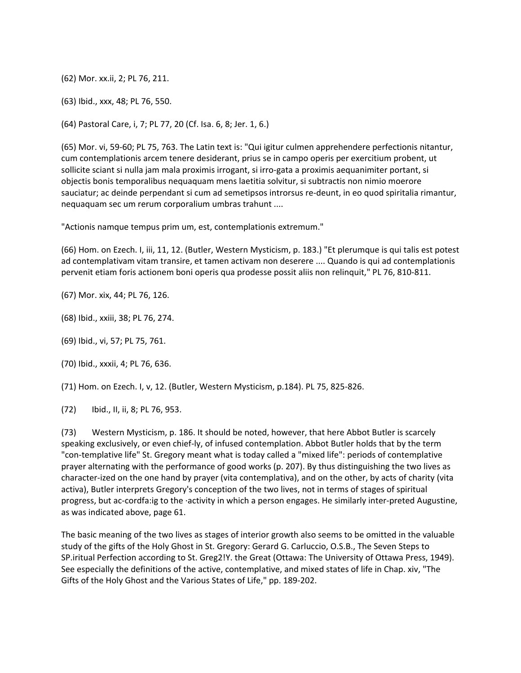(62) Mor. xx.ii, 2; PL 76, 211.

(63) Ibid., xxx, 48; PL 76, 550.

(64) Pastoral Care, i, 7; PL 77, 20 (Cf. Isa. 6, 8; Jer. 1, 6.)

(65) Mor. vi, 59-60; PL 75, 763. The Latin text is: "Qui igitur culmen apprehendere perfectionis nitantur, cum contemplationis arcem tenere desiderant, prius se in campo operis per exercitium probent, ut sollicite sciant si nulla jam mala proximis irrogant, si irro-gata a proximis aequanimiter portant, si objectis bonis temporalibus nequaquam mens laetitia solvitur, si subtractis non nimio moerore sauciatur; ac deinde perpendant si cum ad semetipsos introrsus re-deunt, in eo quod spiritalia rimantur, nequaquam sec um rerum corporalium umbras trahunt ....

"Actionis namque tempus prim um, est, contemplationis extremum."

(66) Hom. on Ezech. I, iii, 11, 12. (Butler, Western Mysticism, p. 183.) "Et plerumque is qui talis est potest ad contemplativam vitam transire, et tamen activam non deserere .... Quando is qui ad contemplationis pervenit etiam foris actionem boni operis qua prodesse possit aliis non relinquit," PL 76, 810-811.

(67) Mor. xix, 44; PL 76, 126.

(68) Ibid., xxiii, 38; PL 76, 274.

(69) Ibid., vi, 57; PL 75, 761.

(70) Ibid., xxxii, 4; PL 76, 636.

(71) Hom. on Ezech. I, v, 12. (Butler, Western Mysticism, p.184). PL 75, 825-826.

(72) Ibid., II, ii, 8; PL 76, 953.

(73) Western Mysticism, p. 186. It should be noted, however, that here Abbot Butler is scarcely speaking exclusively, or even chief-ly, of infused contemplation. Abbot Butler holds that by the term "con-templative life" St. Gregory meant what is today called a "mixed life": periods of contemplative prayer alternating with the performance of good works (p. 207). By thus distinguishing the two lives as character-ized on the one hand by prayer (vita contemplativa), and on the other, by acts of charity (vita activa), Butler interprets Gregory's conception of the two lives, not in terms of stages of spiritual progress, but ac-cordfa:ig to the ·activity in which a person engages. He similarly inter-preted Augustine, as was indicated above, page 61.

The basic meaning of the two lives as stages of interior growth also seems to be omitted in the valuable study of the gifts of the Holy Ghost in St. Gregory: Gerard G. Carluccio, O.S.B., The Seven Steps to SP.iritual Perfection according to St. Greg2!Y. the Great (Ottawa: The University of Ottawa Press, 1949). See especially the definitions of the active, contemplative, and mixed states of life in Chap. xiv, "The Gifts of the Holy Ghost and the Various States of Life," pp. 189-202.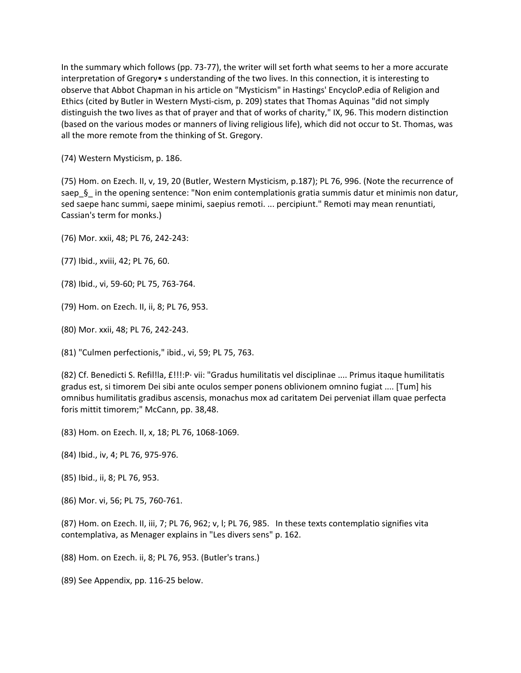In the summary which follows (pp. 73-77), the writer will set forth what seems to her a more accurate interpretation of Gregory• s understanding of the two lives. In this connection, it is interesting to observe that Abbot Chapman in his article on "Mysticism" in Hastings' EncycloP.edia of Religion and Ethics (cited by Butler in Western Mysti-cism, p. 209) states that Thomas Aquinas "did not simply distinguish the two lives as that of prayer and that of works of charity," IX, 96. This modern distinction (based on the various modes or manners of living religious life), which did not occur to St. Thomas, was all the more remote from the thinking of St. Gregory.

(74) Western Mysticism, p. 186.

(75) Hom. on Ezech. II, v, 19, 20 (Butler, Western Mysticism, p.187); PL 76, 996. (Note the recurrence of saep\_§\_ in the opening sentence: "Non enim contemplationis gratia summis datur et minimis non datur, sed saepe hanc summi, saepe minimi, saepius remoti. ... percipiunt." Remoti may mean renuntiati, Cassian's term for monks.)

(76) Mor. xxii, 48; PL 76, 242-243:

(77) Ibid., xviii, 42; PL 76, 60.

(78) Ibid., vi, 59-60; PL 75, 763-764.

(79) Hom. on Ezech. II, ii, 8; PL 76, 953.

(80) Mor. xxii, 48; PL 76, 242-243.

(81) "Culmen perfectionis," ibid., vi, 59; PL 75, 763.

(82) Cf. Benedicti S. Refil!la, £!!!:P· vii: "Gradus humilitatis vel disciplinae .... Primus itaque humilitatis gradus est, si timorem Dei sibi ante oculos semper ponens oblivionem omnino fugiat .... [Tum] his omnibus humilitatis gradibus ascensis, monachus mox ad caritatem Dei perveniat illam quae perfecta foris mittit timorem;" McCann, pp. 38,48.

(83) Hom. on Ezech. II, x, 18; PL 76, 1068-1069.

(84) Ibid., iv, 4; PL 76, 975-976.

(85) Ibid., ii, 8; PL 76, 953.

(86) Mor. vi, 56; PL 75, 760-761.

(87) Hom. on Ezech. II, iii, 7; PL 76, 962; v, l; PL 76, 985. In these texts contemplatio signifies vita contemplativa, as Menager explains in "Les divers sens" p. 162.

(88) Hom. on Ezech. ii, 8; PL 76, 953. (Butler's trans.)

(89) See Appendix, pp. 116-25 below.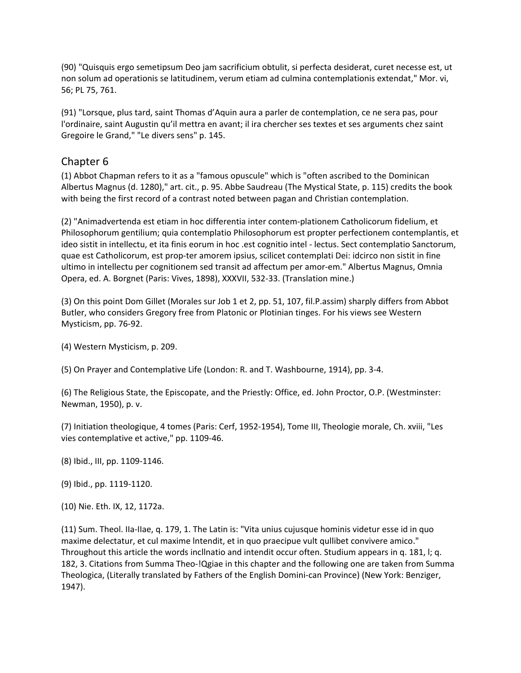(90) "Quisquis ergo semetipsum Deo jam sacrificium obtulit, si perfecta desiderat, curet necesse est, ut non solum ad operationis se latitudinem, verum etiam ad culmina contemplationis extendat," Mor. vi, 56; PL 75, 761.

(91) "Lorsque, plus tard, saint Thomas d'Aquin aura a parler de contemplation, ce ne sera pas, pour l'ordinaire, saint Augustin qu'il mettra en avant; il ira chercher ses textes et ses arguments chez saint Gregoire le Grand," "Le divers sens" p. 145.

# Chapter 6

(1) Abbot Chapman refers to it as a "famous opuscule" which is "often ascribed to the Dominican Albertus Magnus (d. 1280)," art. cit., p. 95. Abbe Saudreau (The Mystical State, p. 115) credits the book with being the first record of a contrast noted between pagan and Christian contemplation.

(2) "Animadvertenda est etiam in hoc differentia inter contem-plationem Catholicorum fidelium, et Philosophorum gentilium; quia contemplatio Philosophorum est propter perfectionem contemplantis, et ideo sistit in intellectu, et ita finis eorum in hoc .est cognitio intel - lectus. Sect contemplatio Sanctorum, quae est Catholicorum, est prop-ter amorem ipsius, scilicet contemplati Dei: idcirco non sistit in fine ultimo in intellectu per cognitionem sed transit ad affectum per amor-em." Albertus Magnus, Omnia Opera, ed. A. Borgnet (Paris: Vives, 1898), XXXVII, 532-33. (Translation mine.)

(3) On this point Dom Gillet (Morales sur Job 1 et 2, pp. 51, 107, fil.P.assim) sharply differs from Abbot Butler, who considers Gregory free from Platonic or Plotinian tinges. For his views see Western Mysticism, pp. 76-92.

(4) Western Mysticism, p. 209.

(5) On Prayer and Contemplative Life (London: R. and T. Washbourne, 1914), pp. 3-4.

(6) The Religious State, the Episcopate, and the Priestly: Office, ed. John Proctor, O.P. (Westminster: Newman, 1950), p. v.

(7) Initiation theologique, 4 tomes (Paris: Cerf, 1952-1954), Tome III, Theologie morale, Ch. xviii, "Les vies contemplative et active," pp. 1109-46.

(8) Ibid., III, pp. 1109-1146.

(9) Ibid., pp. 1119-1120.

(10) Nie. Eth. IX, 12, 1172a.

(11) Sum. Theol. IIa-IIae, q. 179, 1. The Latin is: "Vita unius cujusque hominis videtur esse id in quo maxime delectatur, et cul maxime lntendit, et in quo praecipue vult qullibet convivere amico." Throughout this article the words incllnatio and intendit occur often. Studium appears in q. 181, l; q. 182, 3. Citations from Summa Theo-!Qgiae in this chapter and the following one are taken from Summa Theologica, (Literally translated by Fathers of the English Domini-can Province) (New York: Benziger, 1947).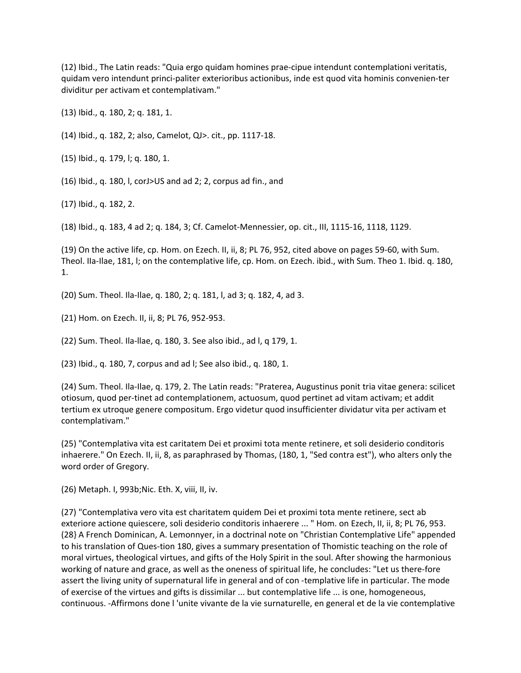(12) Ibid., The Latin reads: "Quia ergo quidam homines prae-cipue intendunt contemplationi veritatis, quidam vero intendunt princi-paliter exterioribus actionibus, inde est quod vita hominis convenien-ter dividitur per activam et contemplativam."

(13) Ibid., q. 180, 2; q. 181, 1.

(14) Ibid., q. 182, 2; also, Camelot, QJ>. cit., pp. 1117-18.

(15) Ibid., q. 179, l; q. 180, 1.

(16) Ibid., q. 180, l, corJ>US and ad 2; 2, corpus ad fin., and

(17) Ibid., q. 182, 2.

(18) Ibid., q. 183, 4 ad 2; q. 184, 3; Cf. Camelot-Mennessier, op. cit., III, 1115-16, 1118, 1129.

(19) On the active life, cp. Hom. on Ezech. II, ii, 8; PL 76, 952, cited above on pages 59-60, with Sum. Theol. IIa-Ilae, 181, l; on the contemplative life, cp. Hom. on Ezech. ibid., with Sum. Theo 1. Ibid. q. 180, 1.

(20) Sum. Theol. Ila-Ilae, q. 180, 2; q. 181, l, ad 3; q. 182, 4, ad 3.

(21) Hom. on Ezech. II, ii, 8; PL 76, 952-953.

(22) Sum. Theol. Ila-llae, q. 180, 3. See also ibid., ad l, q 179, 1.

(23) Ibid., q. 180, 7, corpus and ad l; See also ibid., q. 180, 1.

(24) Sum. Theol. Ila-Ilae, q. 179, 2. The Latin reads: "Praterea, Augustinus ponit tria vitae genera: scilicet otiosum, quod per-tinet ad contemplationem, actuosum, quod pertinet ad vitam activam; et addit tertium ex utroque genere compositum. Ergo videtur quod insufficienter dividatur vita per activam et contemplativam."

(25) "Contemplativa vita est caritatem Dei et proximi tota mente retinere, et soli desiderio conditoris inhaerere." On Ezech. II, ii, 8, as paraphrased by Thomas, (180, 1, "Sed contra est"), who alters only the word order of Gregory.

(26) Metaph. I, 993b;Nic. Eth. X, viii, II, iv.

(27) "Contemplativa vero vita est charitatem quidem Dei et proximi tota mente retinere, sect ab exteriore actione quiescere, soli desiderio conditoris inhaerere ... " Hom. on Ezech, II, ii, 8; PL 76, 953. (28} A French Dominican, A. Lemonnyer, in a doctrinal note on "Christian Contemplative Life" appended to his translation of Ques-tion 180, gives a summary presentation of Thomistic teaching on the role of moral virtues, theological virtues, and gifts of the Holy Spirit in the soul. After showing the harmonious working of nature and grace, as well as the oneness of spiritual life, he concludes: "Let us there-fore assert the living unity of supernatural life in general and of con -templative life in particular. The mode of exercise of the virtues and gifts is dissimilar ... but contemplative life ... is one, homogeneous, continuous. -Affirmons done l 'unite vivante de la vie surnaturelle, en general et de la vie contemplative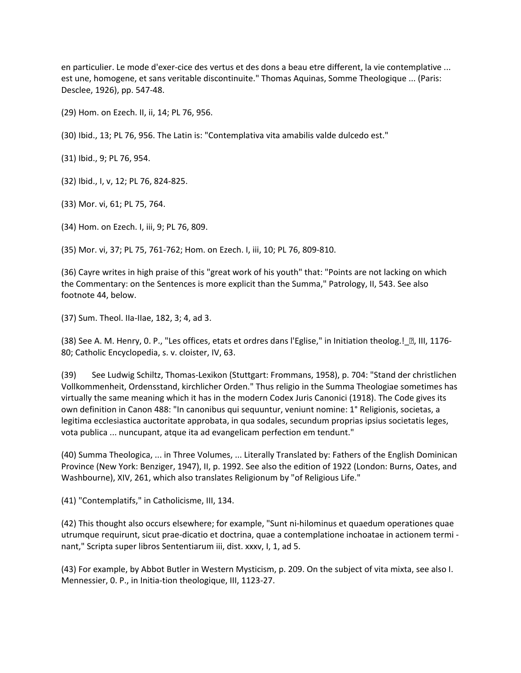en particulier. Le mode d'exer-cice des vertus et des dons a beau etre different, la vie contemplative ... est une, homogene, et sans veritable discontinuite." Thomas Aquinas, Somme Theologique ... (Paris: Desclee, 1926), pp. 547-48.

(29) Hom. on Ezech. II, ii, 14; PL 76, 956.

(30) Ibid., 13; PL 76, 956. The Latin is: "Contemplativa vita amabilis valde dulcedo est."

(31) Ibid., 9; PL 76, 954.

(32) Ibid., I, v, 12; PL 76, 824-825.

(33) Mor. vi, 61; PL 75, 764.

(34) Hom. on Ezech. I, iii, 9; PL 76, 809.

(35) Mor. vi, 37; PL 75, 761-762; Hom. on Ezech. I, iii, 10; PL 76, 809-810.

(36) Cayre writes in high praise of this "great work of his youth" that: "Points are not lacking on which the Commentary: on the Sentences is more explicit than the Summa," Patrology, II, 543. See also footnote 44, below.

(37) Sum. Theol. IIa-IIae, 182, 3; 4, ad 3.

(38) See A. M. Henry, O. P., "Les offices, etats et ordres dans l'Eglise," in Initiation theolog.!\_ [2], III, 1176-80; Catholic Encyclopedia, s. v. cloister, IV, 63.

(39) See Ludwig Schiltz, Thomas-Lexikon (Stuttgart: Frommans, 1958), p. 704: "Stand der christlichen Vollkommenheit, Ordensstand, kirchlicher Orden." Thus religio in the Summa Theologiae sometimes has virtually the same meaning which it has in the modern Codex Juris Canonici (1918). The Code gives its own definition in Canon 488: "In canonibus qui sequuntur, veniunt nomine: 1° Religionis, societas, a legitima ecclesiastica auctoritate approbata, in qua sodales, secundum proprias ipsius societatis leges, vota publica ... nuncupant, atque ita ad evangelicam perfection em tendunt."

(40) Summa Theologica, ... in Three Volumes, ... Literally Translated by: Fathers of the English Dominican Province (New York: Benziger, 1947), II, p. 1992. See also the edition of 1922 (London: Burns, Oates, and Washbourne), XIV, 261, which also translates Religionum by "of Religious Life."

(41) "Contemplatifs," in Catholicisme, III, 134.

(42) This thought also occurs elsewhere; for example, "Sunt ni-hilominus et quaedum operationes quae utrumque requirunt, sicut prae-dicatio et doctrina, quae a contemplatione inchoatae in actionem termi nant," Scripta super libros Sententiarum iii, dist. xxxv, I, 1, ad 5.

(43) For example, by Abbot Butler in Western Mysticism, p. 209. On the subject of vita mixta, see also I. Mennessier, 0. P., in Initia-tion theologique, III, 1123-27.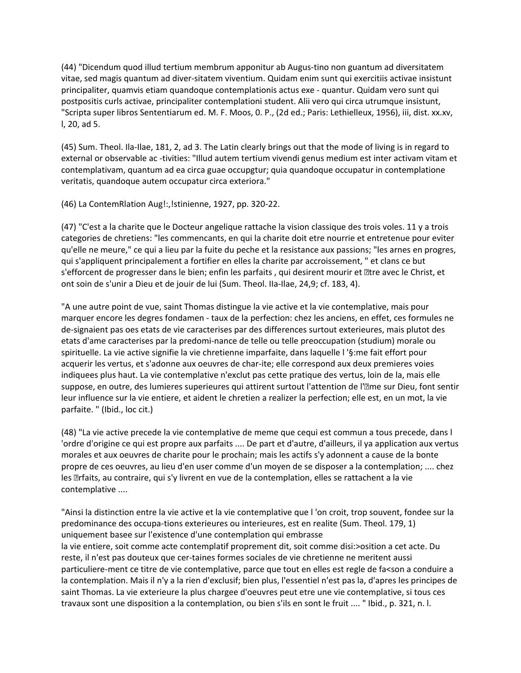(44) "Dicendum quod illud tertium membrum apponitur ab Augus-tino non guantum ad diversitatem vitae, sed magis quantum ad diver-sitatem viventium. Quidam enim sunt qui exercitiis activae insistunt principaliter, quamvis etiam quandoque contemplationis actus exe - quantur. Quidam vero sunt qui postpositis curls activae, principaliter contemplationi student. Alii vero qui circa utrumque insistunt, "Scripta super libros Sententiarum ed. M. F. Moos, 0. P., (2d ed.; Paris: Lethielleux, 1956), iii, dist. xx.xv, l, 20, ad 5.

(45) Sum. Theol. Ila-Ilae, 181, 2, ad 3. The Latin clearly brings out that the mode of living is in regard to external or observable ac -tivities: "Illud autem tertium vivendi genus medium est inter activam vitam et contemplativam, quantum ad ea circa guae occupgtur; quia quandoque occupatur in contemplatione veritatis, quandoque autem occupatur circa exteriora."

(46) La ContemRlation Aug!:,!stinienne, 1927, pp. 320-22.

(47) "C'est a la charite que le Docteur angelique rattache la vision classique des trois voles. 11 y a trois categories de chretiens: "les commencants, en qui la charite doit etre nourrie et entretenue pour eviter qu'elle ne meure," ce qui a lieu par la fuite du peche et la resistance aux passions; "les arnes en progres, qui s'appliquent principalement a fortifier en elles la charite par accroissement, " et clans ce but s'efforcent de progresser dans le bien; enfin les parfaits, qui desirent mourir et letre avec le Christ, et ont soin de s'unir a Dieu et de jouir de lui (Sum. Theol. IIa-Ilae, 24,9; cf. 183, 4).

"A une autre point de vue, saint Thomas distingue la vie active et la vie contemplative, mais pour marquer encore les degres fondamen - taux de la perfection: chez les anciens, en effet, ces formules ne de-signaient pas oes etats de vie caracterises par des differences surtout exterieures, mais plutot des etats d'ame caracterises par la predomi-nance de telle ou telle preoccupation (studium) morale ou spirituelle. La vie active signifie la vie chretienne imparfaite, dans laquelle l '§:me fait effort pour acquerir les vertus, et s'adonne aux oeuvres de char-ite; elle correspond aux deux premieres voies indiquees plus haut. La vie contemplative n'exclut pas cette pratique des vertus, loin de la, mais elle suppose, en outre, des lumieres superieures qui attirent surtout l'attention de l'�me sur Dieu, font sentir leur influence sur la vie entiere, et aident le chretien a realizer la perfection; elle est, en un mot, la vie parfaite. " (Ibid., loc cit.)

(48) "La vie active precede la vie contemplative de meme que cequi est commun a tous precede, dans l 'ordre d'origine ce qui est propre aux parfaits .... De part et d'autre, d'ailleurs, il ya application aux vertus morales et aux oeuvres de charite pour le prochain; mais les actifs s'y adonnent a cause de la bonte propre de ces oeuvres, au lieu d'en user comme d'un moyen de se disposer a la contemplation; .... chez les �rfaits, au contraire, qui s'y livrent en vue de la contemplation, elles se rattachent a la vie contemplative ....

"Ainsi la distinction entre la vie active et la vie contemplative que l 'on croit, trop souvent, fondee sur la predominance des occupa-tions exterieures ou interieures, est en realite (Sum. Theol. 179, 1) uniquement basee sur l'existence d'une contemplation qui embrasse la vie entiere, soit comme acte contemplatif proprement dit, soit comme disi:>osition a cet acte. Du reste, il n'est pas douteux que cer-taines formes sociales de vie chretienne ne meritent aussi particuliere-ment ce titre de vie contemplative, parce que tout en elles est regle de fa<son a conduire a la contemplation. Mais il n'y a la rien d'exclusif; bien plus, l'essentiel n'est pas la, d'apres les principes de saint Thomas. La vie exterieure la plus chargee d'oeuvres peut etre une vie contemplative, si tous ces travaux sont une disposition a la contemplation, ou bien s'ils en sont le fruit .... " Ibid., p. 321, n. l.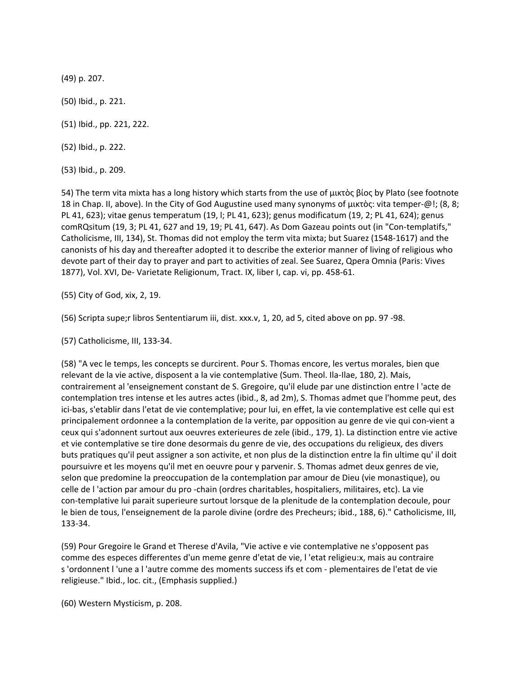(49) p. 207.

(50) Ibid., p. 221.

(51) Ibid., pp. 221, 222.

(52) Ibid., p. 222.

(53) Ibid., p. 209.

54) The term vita mixta has a long history which starts from the use of μικτὸς βίος by Plato (see footnote 18 in Chap. II, above). In the City of God Augustine used many synonyms of μικτὸς: vita temper-@!; (8, 8; PL 41, 623); vitae genus temperatum (19, l; PL 41, 623); genus modificatum (19, 2; PL 41, 624); genus comRQsitum (19, 3; PL 41, 627 and 19, 19; PL 41, 647). As Dom Gazeau points out (in "Con-templatifs," Catholicisme, III, 134), St. Thomas did not employ the term vita mixta; but Suarez (1548-1617) and the canonists of his day and thereafter adopted it to describe the exterior manner of living of religious who devote part of their day to prayer and part to activities of zeal. See Suarez, Qpera Omnia (Paris: Vives 1877), Vol. XVI, De- Varietate Religionum, Tract. IX, liber I, cap. vi, pp. 458-61.

(55) City of God, xix, 2, 19.

(56) Scripta supe;r libros Sententiarum iii, dist. xxx.v, 1, 20, ad 5, cited above on pp. 97 -98.

(57) Catholicisme, III, 133-34.

(58) "A vec le temps, les concepts se durcirent. Pour S. Thomas encore, les vertus morales, bien que relevant de la vie active, disposent a la vie contemplative (Sum. Theol. Ila-Ilae, 180, 2). Mais, contrairement al 'enseignement constant de S. Gregoire, qu'il elude par une distinction entre l 'acte de contemplation tres intense et les autres actes (ibid., 8, ad 2m), S. Thomas admet que l'homme peut, des ici-bas, s'etablir dans l'etat de vie contemplative; pour lui, en effet, la vie contemplative est celle qui est principalement ordonnee a la contemplation de la verite, par opposition au genre de vie qui con-vient a ceux qui s'adonnent surtout aux oeuvres exterieures de zele (ibid., 179, 1). La distinction entre vie active et vie contemplative se tire done desormais du genre de vie, des occupations du religieux, des divers buts pratiques qu'il peut assigner a son activite, et non plus de la distinction entre la fin ultime qu' il doit poursuivre et les moyens qu'il met en oeuvre pour y parvenir. S. Thomas admet deux genres de vie, selon que predomine la preoccupation de la contemplation par amour de Dieu (vie monastique), ou celle de l 'action par amour du pro -chain (ordres charitables, hospitaliers, militaires, etc). La vie con-templative lui parait superieure surtout lorsque de la plenitude de la contemplation decoule, pour le bien de tous, l'enseignement de la parole divine (ordre des Precheurs; ibid., 188, 6)." Catholicisme, III, 133-34.

(59) Pour Gregoire le Grand et Therese d'Avila, "Vie active e vie contemplative ne s'opposent pas comme des especes differentes d'un meme genre d'etat de vie, l 'etat religieu:x, mais au contraire s 'ordonnent l 'une a l 'autre comme des moments success ifs et com - plementaires de l'etat de vie religieuse." Ibid., loc. cit., (Emphasis supplied.)

(60) Western Mysticism, p. 208.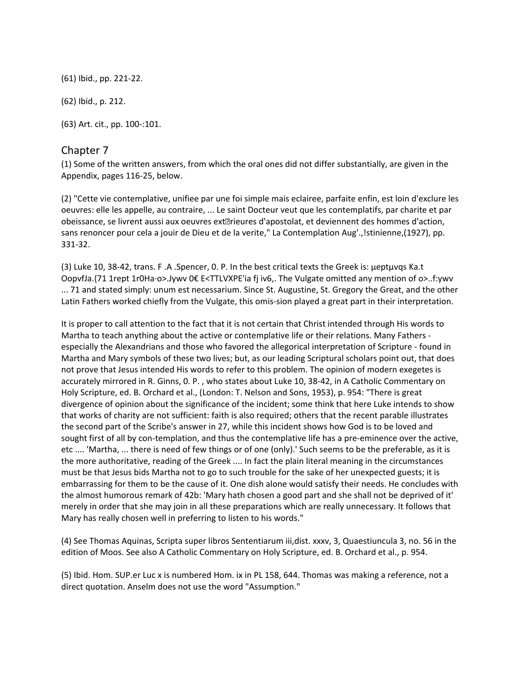(61) Ibid., pp. 221-22.

(62) Ibid., p. 212.

(63) Art. cit., pp. 100-:101.

### Chapter 7

(1) Some of the written answers, from which the oral ones did not differ substantially, are given in the Appendix, pages 116-25, below.

(2) "Cette vie contemplative, unifiee par une foi simple mais eclairee, parfaite enfin, est loin d'exclure les oeuvres: elle les appelle, au contraire, ... Le saint Docteur veut que les contemplatifs, par charite et par obeissance, se livrent aussi aux oeuvres ext�rieures d'apostolat, et deviennent des hommes d'action, sans renoncer pour cela a jouir de Dieu et de la verite," La Contemplation Aug'.,!stinienne,(1927), pp. 331-32.

(3) Luke 10, 38-42, trans. F .A .Spencer, 0. P. In the best critical texts the Greek is: µeptµvqs Ka.t OopvfJa.{71 1rept 1r0Ha·o>.Jywv 0€ E<TTLVXPE'ia fj iv6,. The Vulgate omitted any mention of o>..f:ywv ... 71 and stated simply: unum est necessarium. Since St. Augustine, St. Gregory the Great, and the other Latin Fathers worked chiefly from the Vulgate, this omis-sion played a great part in their interpretation.

It is proper to call attention to the fact that it is not certain that Christ intended through His words to Martha to teach anything about the active or contemplative life or their relations. Many Fathers especially the Alexandrians and those who favored the allegorical interpretation of Scripture - found in Martha and Mary symbols of these two lives; but, as our leading Scriptural scholars point out, that does not prove that Jesus intended His words to refer to this problem. The opinion of modern exegetes is accurately mirrored in R. Ginns, 0. P. , who states about Luke 10, 38-42, in A Catholic Commentary on Holy Scripture, ed. B. Orchard et al., (London: T. Nelson and Sons, 1953), p. 954: "There is great divergence of opinion about the significance of the incident; some think that here Luke intends to show that works of charity are not sufficient: faith is also required; others that the recent parable illustrates the second part of the Scribe's answer in 27, while this incident shows how God is to be loved and sought first of all by con-templation, and thus the contemplative life has a pre-eminence over the active, etc .... 'Martha, ... there is need of few things or of one (only).' Such seems to be the preferable, as it is the more authoritative, reading of the Greek .... In fact the plain literal meaning in the circumstances must be that Jesus bids Martha not to go to such trouble for the sake of her unexpected guests; it is embarrassing for them to be the cause of it. One dish alone would satisfy their needs. He concludes with the almost humorous remark of 42b: 'Mary hath chosen a good part and she shall not be deprived of it' merely in order that she may join in all these preparations which are really unnecessary. It follows that Mary has really chosen well in preferring to listen to his words."

(4) See Thomas Aquinas, Scripta super libros Sententiarum iii,dist. xxxv, 3, Quaestiuncula 3, no. 56 in the edition of Moos. See also A Catholic Commentary on Holy Scripture, ed. B. Orchard et al., p. 954.

(5) Ibid. Hom. SUP.er Luc x is numbered Hom. ix in PL 158, 644. Thomas was making a reference, not a direct quotation. Anselm does not use the word "Assumption."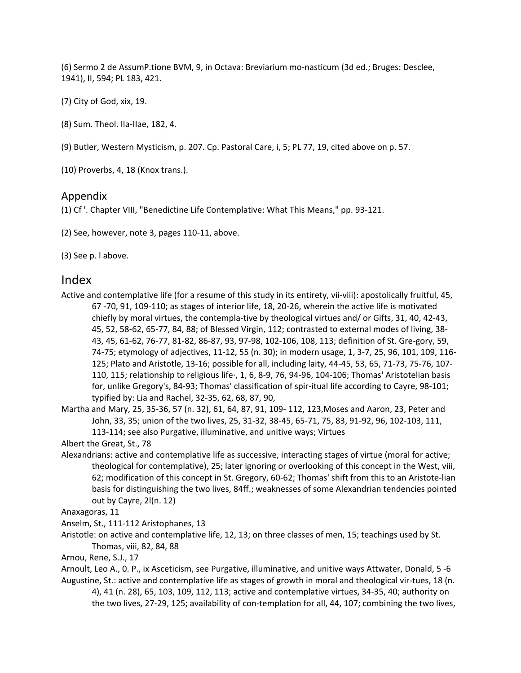(6) Sermo 2 de AssumP.tione BVM, 9, in Octava: Breviarium mo-nasticum (3d ed.; Bruges: Desclee, 1941), II, 594; PL 183, 421.

(7) City of God, xix, 19.

(8) Sum. Theol. IIa-IIae, 182, 4.

(9) Butler, Western Mysticism, p. 207. Cp. Pastoral Care, i, 5; PL 77, 19, cited above on p. 57.

(10) Proverbs, 4, 18 (Knox trans.).

#### Appendix

(1) Cf '. Chapter VIII, "Benedictine Life Contemplative: What This Means," pp. 93-121.

(2) See, however, note 3, pages 110-11, above.

(3) See p. l above.

### Index

Active and contemplative life (for a resume of this study in its entirety, vii-viii): apostolically fruitful, 45, 67 -70, 91, 109-110; as stages of interior life, 18, 20-26, wherein the active life is motivated chiefly by moral virtues, the contempla-tive by theological virtues and/ or Gifts, 31, 40, 42-43, 45, 52, 58-62, 65-77, 84, 88; of Blessed Virgin, 112; contrasted to external modes of living, 38- 43, 45, 61-62, 76-77, 81-82, 86-87, 93, 97-98, 102-106, 108, 113; definition of St. Gre-gory, 59, 74-75; etymology of adjectives, 11-12, 55 (n. 30); in modern usage, 1, 3-7, 25, 96, 101, 109, 116- 125; Plato and Aristotle, 13-16; possible for all, including laity, 44-45, 53, 65, 71-73, 75-76, 107- 110, 115; relationship to religious life·, 1, 6, 8-9, 76, 94-96, 104-106; Thomas' Aristotelian basis for, unlike Gregory's, 84-93; Thomas' classification of spir-itual life according to Cayre, 98-101; typified by: Lia and Rachel, 32-35, 62, 68, 87, 90,

Martha and Mary, 25, 35-36, 57 (n. 32), 61, 64, 87, 91, 109- 112, 123,Moses and Aaron, 23, Peter and John, 33, 35; union of the two lives, 25, 31-32, 38-45, 65-71, 75, 83, 91-92, 96, 102-103, 111, 113-114; see also Purgative, illuminative, and unitive ways; Virtues

Albert the Great, St., 78

Alexandrians: active and contemplative life as successive, interacting stages of virtue (moral for active; theological for contemplative), 25; later ignoring or overlooking of this concept in the West, viii, 62; modification of this concept in St. Gregory, 60-62; Thomas' shift from this to an Aristote-lian basis for distinguishing the two lives, 84ff.; weaknesses of some Alexandrian tendencies pointed out by Cayre, 2l(n. 12)

Anaxagoras, 11

Anselm, St., 111-112 Aristophanes, 13

Aristotle: on active and contemplative life, 12, 13; on three classes of men, 15; teachings used by St. Thomas, viii, 82, 84, 88

Arnou, Rene, S.J., 17

Arnoult, Leo A., 0. P., ix Asceticism, see Purgative, illuminative, and unitive ways Attwater, Donald, 5 -6 Augustine, St.: active and contemplative life as stages of growth in moral and theological vir-tues, 18 (n.

4), 41 (n. 28), 65, 103, 109, 112, 113; active and contemplative virtues, 34-35, 40; authority on the two lives, 27-29, 125; availability of con-templation for all, 44, 107; combining the two lives,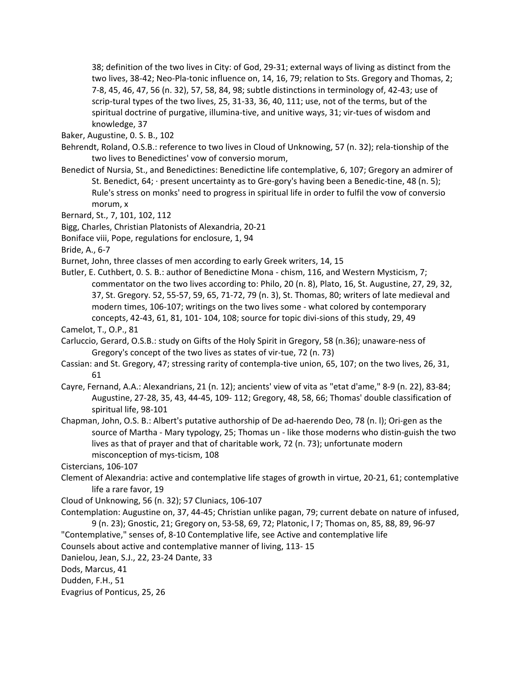38; definition of the two lives in City: of God, 29-31; external ways of living as distinct from the two lives, 38-42; Neo-Pla-tonic influence on, 14, 16, 79; relation to Sts. Gregory and Thomas, 2; 7-8, 45, 46, 47, 56 (n. 32), 57, 58, 84, 98; subtle distinctions in terminology of, 42-43; use of scrip-tural types of the two lives, 25, 31-33, 36, 40, 111; use, not of the terms, but of the spiritual doctrine of purgative, illumina-tive, and unitive ways, 31; vir-tues of wisdom and knowledge, 37

Baker, Augustine, 0. S. B., 102

Behrendt, Roland, O.S.B.: reference to two lives in Cloud of Unknowing, 57 (n. 32); rela-tionship of the two lives to Benedictines' vow of conversio morum,

- Benedict of Nursia, St., and Benedictines: Benedictine life contemplative, 6, 107; Gregory an admirer of St. Benedict, 64; · present uncertainty as to Gre-gory's having been a Benedic-tine, 48 (n. 5); Rule's stress on monks' need to progress in spiritual life in order to fulfil the vow of conversio morum, x
- Bernard, St., 7, 101, 102, 112
- Bigg, Charles, Christian Platonists of Alexandria, 20-21
- Boniface viii, Pope, regulations for enclosure, 1, 94

Bride, A., 6-7

- Burnet, John, three classes of men according to early Greek writers, 14, 15
- Butler, E. Cuthbert, 0. S. B.: author of Benedictine Mona chism, 116, and Western Mysticism, 7; commentator on the two lives according to: Philo, 20 (n. 8), Plato, 16, St. Augustine, 27, 29, 32, 37, St. Gregory. 52, 55-57, 59, 65, 71-72, 79 (n. 3), St. Thomas, 80; writers of late medieval and modern times, 106-107; writings on the two lives some - what colored by contemporary concepts, 42-43, 61, 81, 101- 104, 108; source for topic divi-sions of this study, 29, 49
- Camelot, T., O.P., 81
- Carluccio, Gerard, O.S.B.: study on Gifts of the Holy Spirit in Gregory, 58 (n.36); unaware-ness of Gregory's concept of the two lives as states of vir-tue, 72 (n. 73)
- Cassian: and St. Gregory, 47; stressing rarity of contempla-tive union, 65, 107; on the two lives, 26, 31, 61
- Cayre, Fernand, A.A.: Alexandrians, 21 (n. 12); ancients' view of vita as "etat d'ame," 8-9 (n. 22), 83-84; Augustine, 27-28, 35, 43, 44-45, 109- 112; Gregory, 48, 58, 66; Thomas' double classification of spiritual life, 98-101
- Chapman, John, O.S. B.: Albert's putative authorship of De ad-haerendo Deo, 78 (n. l); Ori-gen as the source of Martha - Mary typology, 25; Thomas un - like those moderns who distin-guish the two lives as that of prayer and that of charitable work, 72 (n. 73); unfortunate modern misconception of mys-ticism, 108

Cistercians, 106-107

- Clement of Alexandria: active and contemplative life stages of growth in virtue, 20-21, 61; contemplative life a rare favor, 19
- Cloud of Unknowing, 56 (n. 32); 57 Cluniacs, 106-107
- Contemplation: Augustine on, 37, 44-45; Christian unlike pagan, 79; current debate on nature of infused, 9 (n. 23); Gnostic, 21; Gregory on, 53-58, 69, 72; Platonic, l 7; Thomas on, 85, 88, 89, 96-97
- "Contemplative," senses of, 8-10 Contemplative life, see Active and contemplative life
- Counsels about active and contemplative manner of living, 113- 15

Danielou, Jean, S.J., 22, 23-24 Dante, 33

Dods, Marcus, 41

Dudden, F.H., 51

Evagrius of Ponticus, 25, 26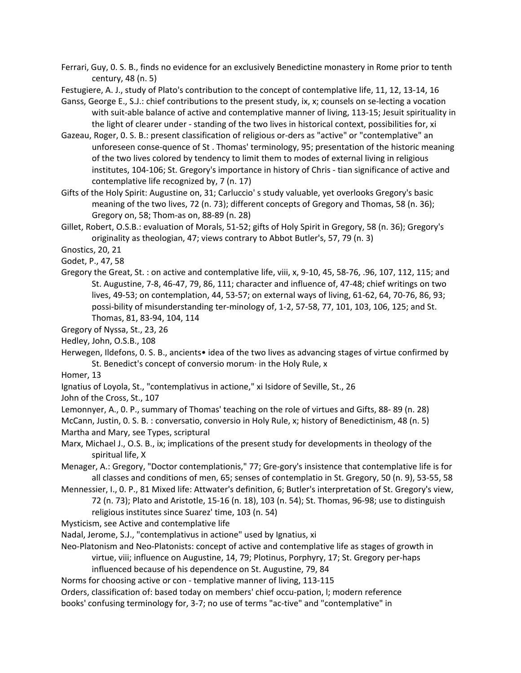Ferrari, Guy, 0. S. B., finds no evidence for an exclusively Benedictine monastery in Rome prior to tenth century, 48 (n. 5)

Festugiere, A. J., study of Plato's contribution to the concept of contemplative life, 11, 12, 13-14, 16

Ganss, George E., S.J.: chief contributions to the present study, ix, x; counsels on se-lecting a vocation with suit-able balance of active and contemplative manner of living, 113-15; Jesuit spirituality in the light of clearer under - standing of the two lives in historical context, possibilities for, xi

Gazeau, Roger, 0. S. B.: present classification of religious or-ders as "active" or "contemplative" an unforeseen conse-quence of St . Thomas' terminology, 95; presentation of the historic meaning of the two lives colored by tendency to limit them to modes of external living in religious institutes, 104-106; St. Gregory's importance in history of Chris - tian significance of active and contemplative life recognized by, 7 (n. 17)

Gifts of the Holy Spirit: Augustine on, 31; Carluccio' s study valuable, yet overlooks Gregory's basic meaning of the two lives, 72 (n. 73); different concepts of Gregory and Thomas, 58 (n. 36); Gregory on, 58; Thom-as on, 88-89 (n. 28)

Gillet, Robert, O.S.B.: evaluation of Morals, 51-52; gifts of Holy Spirit in Gregory, 58 (n. 36); Gregory's originality as theologian, 47; views contrary to Abbot Butler's, 57, 79 (n. 3)

Gnostics, 20, 21

Godet, P., 47, 58

Gregory the Great, St. : on active and contemplative life, viii, x, 9-10, 45, 58-76, .96, 107, 112, 115; and St. Augustine, 7-8, 46-47, 79, 86, 111; character and influence of, 47-48; chief writings on two lives, 49-53; on contemplation, 44, 53-57; on external ways of living, 61-62, 64, 70-76, 86, 93; possi-bility of misunderstanding ter-minology of, 1-2, 57-58, 77, 101, 103, 106, 125; and St. Thomas, 81, 83-94, 104, 114

Gregory of Nyssa, St., 23, 26

Hedley, John, O.S.B., 108

Herwegen, Ildefons, 0. S. B., ancients• idea of the two lives as advancing stages of virtue confirmed by St. Benedict's concept of conversio morum· in the Holy Rule, x

Homer, 13

Ignatius of Loyola, St., "contemplativus in actione," xi Isidore of Seville, St., 26

John of the Cross, St., 107

Lemonnyer, A., 0. P., summary of Thomas' teaching on the role of virtues and Gifts, 88- 89 (n. 28)

McCann, Justin, 0. S. B. : conversatio, conversio in Holy Rule, x; history of Benedictinism, 48 (n. 5) Martha and Mary, see Types, scriptural

Marx, Michael J., O.S. B., ix; implications of the present study for developments in theology of the spiritual life, X

Menager, A.: Gregory, "Doctor contemplationis," 77; Gre-gory's insistence that contemplative life is for all classes and conditions of men, 65; senses of contemplatio in St. Gregory, 50 (n. 9), 53-55, 58

Mennessier, I., 0. P., 81 Mixed life: Attwater's definition, 6; Butler's interpretation of St. Gregory's view, 72 (n. 73); Plato and Aristotle, 15-16 (n. 18), 103 (n. 54); St. Thomas, 96-98; use to distinguish religious institutes since Suarez' time, 103 (n. 54)

Mysticism, see Active and contemplative life

Nadal, Jerome, S.J., "contemplativus in actione" used by Ignatius, xi

Neo-Platonism and Neo-Platonists: concept of active and contemplative life as stages of growth in virtue, viii; influence on Augustine, 14, 79; Plotinus, Porphyry, 17; St. Gregory per-haps

influenced because of his dependence on St. Augustine, 79, 84

Norms for choosing active or con - templative manner of living, 113-115

Orders, classification of: based today on members' chief occu-pation, l; modern reference books' confusing terminology for, 3-7; no use of terms "ac-tive" and "contemplative" in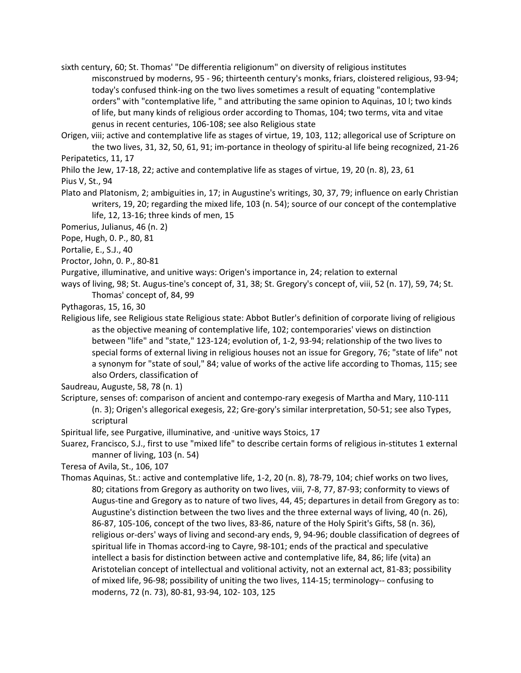sixth century, 60; St. Thomas' "De differentia religionum" on diversity of religious institutes misconstrued by moderns, 95 - 96; thirteenth century's monks, friars, cloistered religious, 93-94; today's confused think-ing on the two lives sometimes a result of equating "contemplative orders" with "contemplative life, " and attributing the same opinion to Aquinas, 10 l; two kinds of life, but many kinds of religious order according to Thomas, 104; two terms, vita and vitae genus in recent centuries, 106-108; see also Religious state

Origen, viii; active and contemplative life as stages of virtue, 19, 103, 112; allegorical use of Scripture on the two lives, 31, 32, 50, 61, 91; im-portance in theology of spiritu-al life being recognized, 21-26 Peripatetics, 11, 17

Philo the Jew, 17-18, 22; active and contemplative life as stages of virtue, 19, 20 (n. 8), 23, 61

Pius V, St., 94

Plato and Platonism, 2; ambiguities in, 17; in Augustine's writings, 30, 37, 79; influence on early Christian writers, 19, 20; regarding the mixed life, 103 (n. 54); source of our concept of the contemplative life, 12, 13-16; three kinds of men, 15

Pomerius, Julianus, 46 (n. 2)

Pope, Hugh, 0. P., 80, 81

Portalie, E., S.J., 40

Proctor, John, 0. P., 80-81

Purgative, illuminative, and unitive ways: Origen's importance in, 24; relation to external

ways of living, 98; St. Augus-tine's concept of, 31, 38; St. Gregory's concept of, viii, 52 (n. 17), 59, 74; St. Thomas' concept of, 84, 99

Pythagoras, 15, 16, 30

Religious life, see Religious state Religious state: Abbot Butler's definition of corporate living of religious as the objective meaning of contemplative life, 102; contemporaries' views on distinction between "life" and "state," 123-124; evolution of, 1-2, 93-94; relationship of the two lives to special forms of external living in religious houses not an issue for Gregory, 76; "state of life" not a synonym for "state of soul," 84; value of works of the active life according to Thomas, 115; see also Orders, classification of

Saudreau, Auguste, 58, 78 (n. 1)

Scripture, senses of: comparison of ancient and contempo-rary exegesis of Martha and Mary, 110-111 (n. 3); Origen's allegorical exegesis, 22; Gre-gory's similar interpretation, 50-51; see also Types, scriptural

Spiritual life, see Purgative, illuminative, and ·unitive ways Stoics, 17

Suarez, Francisco, S.J., first to use "mixed life" to describe certain forms of religious in-stitutes 1 external manner of living, 103 (n. 54)

Teresa of Avila, St., 106, 107

Thomas Aquinas, St.: active and contemplative life, 1-2, 20 (n. 8), 78-79, 104; chief works on two lives, 80; citations from Gregory as authority on two lives, viii, 7-8, 77, 87-93; conformity to views of Augus-tine and Gregory as to nature of two lives, 44, 45; departures in detail from Gregory as to: Augustine's distinction between the two lives and the three external ways of living, 40 (n. 26), 86-87, 105-106, concept of the two lives, 83-86, nature of the Holy Spirit's Gifts, 58 (n. 36), religious or-ders' ways of living and second-ary ends, 9, 94-96; double classification of degrees of spiritual life in Thomas accord-ing to Cayre, 98-101; ends of the practical and speculative intellect a basis for distinction between active and contemplative life, 84, 86; life (vita) an Aristotelian concept of intellectual and volitional activity, not an external act, 81-83; possibility of mixed life, 96-98; possibility of uniting the two lives, 114-15; terminology-- confusing to moderns, 72 (n. 73), 80-81, 93-94, 102- 103, 125